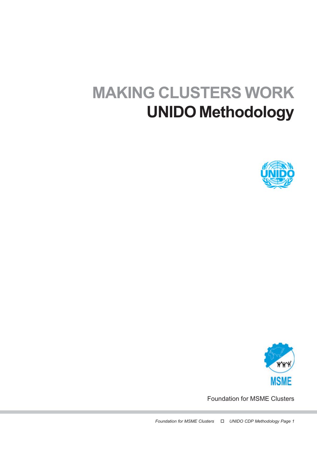# MAKING CLUSTERS WORK UNIDO Methodology





Foundation for MSME Clusters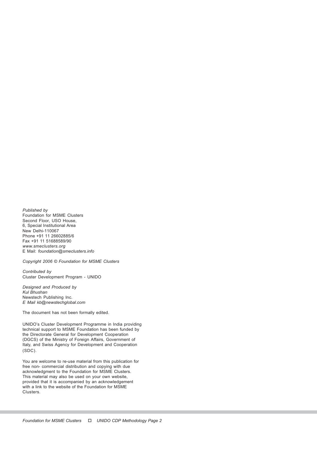Published by Foundation for MSME Clusters Second Floor, USO House, 6, Special Institutional Area New Delhi-110067 Phone +91 11 26602885/6 Fax +91 11 51688589/90 www.smeclusters.org E Mail: foundation@smeclusters.info

Copyright 2006 © Foundation for MSME Clusters

Contributed by Cluster Development Program - UNIDO

Designed and Produced by Kul Bhushan Newstech Publishing Inc. E Mail kb@newstechglobal.com

The document has not been formally edited.

UNIDO's Cluster Development Programme in India providing technical support to MSME Foundation has been funded by the Directorate General for Development Cooperation (DGCS) of the Ministry of Foreign Affairs, Government of Italy, and Swiss Agency for Development and Cooperation (SDC).

You are welcome to re-use material from this publication for free non- commercial distribution and copying with due acknowledgment to the Foundation for MSME Clusters. This material may also be used on your own website, provided that it is accompanied by an acknowledgement with a link to the website of the Foundation for MSME Clusters.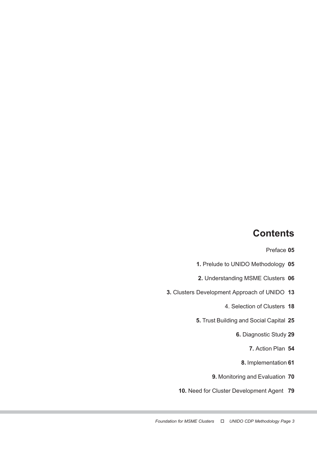# **Contents**

Preface 05

- 1. Prelude to UNIDO Methodology 05
- 2. Understanding MSME Clusters 06
- 3. Clusters Development Approach of UNIDO 13
	- 4. Selection of Clusters 18
	- 5. Trust Building and Social Capital 25
		- 6. Diagnostic Study 29
			- 7. Action Plan 54
			- 8. Implementation 61
		- 9. Monitoring and Evaluation 70
	- 10. Need for Cluster Development Agent 79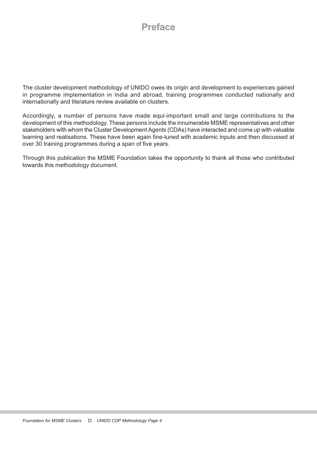# Preface

The cluster development methodology of UNIDO owes its origin and development to experiences gained in programme implementation in India and abroad, training programmes conducted nationally and internationally and literature review available on clusters.

Accordingly, a number of persons have made equi-important small and large contributions to the development of this methodology. These persons include the innumerable MSME representatives and other stakeholders with whom the Cluster Development Agents (CDAs) have interacted and come up with valuable learning and realisations. These have been again fine-tuned with academic inputs and then discussed at over 30 training programmes during a span of five years.

Through this publication the MSME Foundation takes the opportunity to thank all those who contributed towards this methodology document.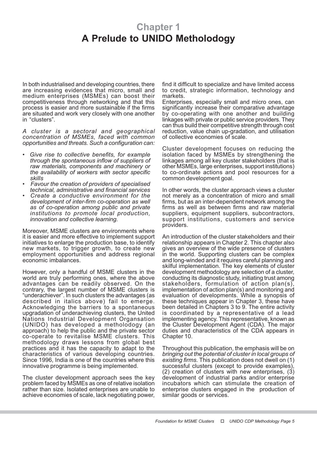# Chapter 1 A Prelude to UNIDO Metholodogy

In both industrialised and developing countries, there are increasing evidences that micro, small and medium enterprises (MSMEs) can boost their competitiveness through networking and that this process is easier and more sustainable if the firms are situated and work very closely with one another in "clusters".

A cluster is a sectoral and geographical concentration of MSMEs, faced with common opportunities and threats. Such a configuration can:

- Give rise to collective benefits, for example through the spontaneous inflow of suppliers of raw materials, components and machinery or the availability of workers with sector specific skills
- Favour the creation of providers of specialised technical, administrative and financial services
- Create a conductive environment for the development of inter-firm co-operation as well as of co-operation among public and private institutions to promote local production, innovation and collective learning.

Moreover, MSME clusters are environments where it is easier and more effective to implement support initiatives to enlarge the production base, to identify new markets, to trigger growth, to create new employment opportunities and address regional economic imbalances.

However, only a handful of MSME clusters in the world are truly performing ones, where the above advantages can be readily observed. On the contrary, the largest number of MSME clusters is "underachiever". In such clusters the advantages (as described in italics above) fail to emerge. Acknowledging the barriers to a spontaneous upgradation of underachieving clusters, the United Nations Industrial Development Organsation (UNIDO) has developed a metholodogy (an approach) to help the public and the private sector co-operate to revitalise MSME clusters. This methodology draws lessons from global best practices and it has the capacity to adapt to the characteristics of various developing countries. Since 1996, India is one of the countries where this innovative programme is being implemented.

The cluster development approach sees the key problem faced by MSMEs as one of relative isolation rather than size. Isolated enterprises are unable to achieve economies of scale, lack negotiating power,

find it difficult to specialize and have limited access to credit, strategic information, technology and markets.

Enterprises, especially small and micro ones, can significantly increase their comparative advantage by co-operating with one another and building linkages with private or public service providers. They can thus build their competitive strength through cost reduction, value chain up-gradation, and utilisation of collective economies of scale.

Cluster development focuses on reducing the isolation faced by MSMEs by strengthening the linkages among all key cluster stakeholders (that is other MSMEs, large enterprises, support institutions) to co-ordinate actions and pool resources for a common development goal.

In other words, the cluster approach views a cluster not merely as a concentration of micro and small firms, but as an inter-dependent network among the firms as well as between firms and raw material suppliers, equipment suppliers, subcontractors, support institutions, customers and service providers.

An introduction of the cluster stakeholders and their relationship appears in Chapter 2. This chapter also gives an overview of the wide presence of clusters in the world. Supporting clusters can be complex and long-winded and it requires careful planning and skilful implementation. The key elements of cluster development methodology are selection of a cluster, conducting its diagnostic study, initiating trust among stakeholders, formulation of action plan(s), implementation of action plan(s) and monitoring and evaluation of developments. While a synopsis of these techniques appear in Chapter 3, these have been detailed in Chapters 3 to 9. The entire activity is coordinated by a representative of a lead implementing agency. This representative, known as the Cluster Development Agent (CDA). The major duties and characteristics of the CDA appears in Chapter 10.

Throughout this publication, the emphasis will be on bringing out the potential of cluster in local groups of existing firms. This publication does not dwell on (1) successful clusters (except to provide examples), (2) creation of clusters with new enterprises, (3) development of industrial parks and/or enterprise incubators which can stimulate the creation of enterprise clusters engaged in the production of similar goods or services.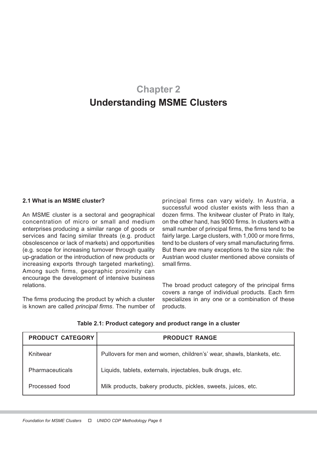# Chapter 2 Understanding MSME Clusters

#### 2.1 What is an MSME cluster?

An MSME cluster is a sectoral and geographical concentration of micro or small and medium enterprises producing a similar range of goods or services and facing similar threats (e.g. product obsolescence or lack of markets) and opportunities (e.g. scope for increasing turnover through quality up-gradation or the introduction of new products or increasing exports through targeted marketing). Among such firms, geographic proximity can encourage the development of intensive business relations.

The firms producing the product by which a cluster is known are called principal firms. The number of

principal firms can vary widely. In Austria, a successful wood cluster exists with less than a dozen firms. The knitwear cluster of Prato in Italy, on the other hand, has 9000 firms. In clusters with a small number of principal firms, the firms tend to be fairly large. Large clusters, with 1,000 or more firms, tend to be clusters of very small manufacturing firms. But there are many exceptions to the size rule: the Austrian wood cluster mentioned above consists of small firms.

The broad product category of the principal firms covers a range of individual products. Each firm specializes in any one or a combination of these products.

| <b>PRODUCT CATEGORY</b> | <b>PRODUCT RANGE</b>                                                  |
|-------------------------|-----------------------------------------------------------------------|
| Knitwear                | Pullovers for men and women, children's' wear, shawls, blankets, etc. |
| <b>Pharmaceuticals</b>  | Liquids, tablets, externals, injectables, bulk drugs, etc.            |
| Processed food          | Milk products, bakery products, pickles, sweets, juices, etc.         |

Table 2.1: Product category and product range in a cluster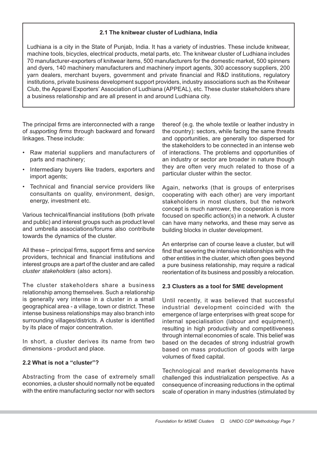# 2.1 The knitwear cluster of Ludhiana, India

Ludhiana is a city in the State of Punjab, India. It has a variety of industries. These include knitwear, machine tools, bicycles, electrical products, metal parts, etc. The knitwear cluster of Ludhiana includes 70 manufacturer-exporters of knitwear items, 500 manufacturers for the domestic market, 500 spinners and dyers, 140 machinery manufacturers and machinery import agents, 300 accessory suppliers, 200 yarn dealers, merchant buyers, government and private financial and R&D institutions, regulatory institutions, private business development support providers, industry associations such as the Knitwear Club, the Apparel Exporters' Association of Ludhiana (APPEAL), etc. These cluster stakeholders share a business relationship and are all present in and around Ludhiana city.

The principal firms are interconnected with a range of supporting firms through backward and forward linkages. These include:

- Raw material suppliers and manufacturers of parts and machinery;
- Intermediary buyers like traders, exporters and import agents;
- Technical and financial service providers like consultants on quality, environment, design, energy, investment etc.

Various technical/financial institutions (both private and public) and interest groups such as product level and umbrella associations/forums also contribute towards the dynamics of the cluster.

All these – principal firms, support firms and service providers, technical and financial institutions and interest groups are a part of the cluster and are called cluster stakeholders (also actors).

The cluster stakeholders share a business relationship among themselves. Such a relationship is generally very intense in a cluster in a small geographical area - a village, town or district. These intense business relationships may also branch into surrounding villages/districts. A cluster is identified by its place of major concentration.

In short, a cluster derives its name from two dimensions - product and place.

# 2.2 What is not a "cluster"?

Abstracting from the case of extremely small economies, a cluster should normally not be equated with the entire manufacturing sector nor with sectors

thereof (e.g. the whole textile or leather industry in the country): sectors, while facing the same threats and opportunities, are generally too dispersed for the stakeholders to be connected in an intense web of interactions. The problems and opportunities of an industry or sector are broader in nature though they are often very much related to those of a particular cluster within the sector.

Again, networks (that is groups of enterprises cooperating with each other) are very important stakeholders in most clusters, but the network concept is much narrower, the cooperation is more focused on specific action(s) in a network. A cluster can have many networks, and these may serve as building blocks in cluster development.

An enterprise can of course leave a cluster, but will find that severing the intensive relationships with the other entities in the cluster, which often goes beyond a pure business relationship, may require a radical reorientation of its business and possibly a relocation.

#### 2.3 Clusters as a tool for SME development

Until recently, it was believed that successful industrial development coincided with the emergence of large enterprises with great scope for internal specialisation (labour and equipment), resulting in high productivity and competitiveness through internal economies of scale. This belief was based on the decades of strong industrial growth based on mass production of goods with large volumes of fixed capital.

Technological and market developments have challenged this industrialization perspective. As a consequence of increasing reductions in the optimal scale of operation in many industries (stimulated by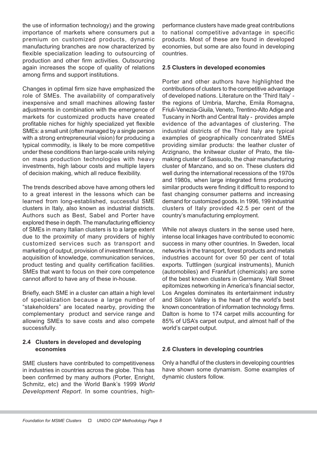the use of information technology) and the growing importance of markets where consumers put a premium on customized products, dynamic manufacturing branches are now characterized by flexible specialization leading to outsourcing of production and other firm activities. Outsourcing again increases the scope of quality of relations among firms and support institutions.

Changes in optimal firm size have emphasized the role of SMEs. The availability of comparatively inexpensive and small machines allowing faster adjustments in combination with the emergence of markets for customized products have created profitable niches for highly specialized yet flexible SMEs: a small unit (often managed by a single person with a strong entrepreneurial vision) for producing a typical commodity, is likely to be more competitive under these conditions than large-scale units relying on mass production technologies with heavy investments, high labour costs and multiple layers of decision making, which all reduce flexibility.

The trends described above have among others led to a great interest in the lessons which can be learned from long-established, successful SME clusters in Italy, also known as industrial districts. Authors such as Best, Sabel and Porter have explored these in depth. The manufacturing efficiency of SMEs in many Italian clusters is to a large extent due to the proximity of many providers of highly customized services such as transport and marketing of output, provision of investment finance, acquisition of knowledge, communication services, product testing and quality certification facilities. SMEs that want to focus on their core competence cannot afford to have any of these in-house.

Briefly, each SME in a cluster can attain a high level of specialization because a large number of "stakeholders" are located nearby, providing the complementary product and service range and allowing SMEs to save costs and also compete successfully.

# 2.4 Clusters in developed and developing economies

SME clusters have contributed to competitiveness in industries in countries across the globe. This has been confirmed by many authors (Porter, Enright, Schmitz, etc) and the World Bank's 1999 World Development Report. In some countries, high-

performance clusters have made great contributions to national competitive advantage in specific products. Most of these are found in developed economies, but some are also found in developing countries.

# 2.5 Clusters in developed economies

Porter and other authors have highlighted the contributions of clusters to the competitive advantage of developed nations. Literature on the 'Third Italy' the regions of Umbria, Marche, Emila Romagna, Friuli-Venezia-Giuila, Veneto, Trentino-Alto Adige and Tuscany in North and Central Italy - provides ample evidence of the advantages of clustering. The industrial districts of the Third Italy are typical examples of geographically concentrated SMEs providing similar products: the leather cluster of Arzignano, the knitwear cluster of Prato, the tilemaking cluster of Sassuolo, the chair manufacturing cluster of Manzano, and so on. These clusters did well during the international recessions of the 1970s and 1980s, when large integrated firms producing similar products were finding it difficult to respond to fast changing consumer patterns and increasing demand for customized goods. In 1996, 199 industrial clusters of Italy provided 42.5 per cent of the country's manufacturing employment.

While not always clusters in the sense used here, intense local linkages have contributed to economic success in many other countries. In Sweden, local networks in the transport, forest products and metals industries account for over 50 per cent of total exports. Tuttlingen (surgical instruments), Munich (automobiles) and Frankfurt (chemicals) are some of the best known clusters in Germany. Wall Street epitomizes networking in America's financial sector, Los Angeles dominates its entertainment industry and Silicon Valley is the heart of the world's best known concentration of information technology firms. Dalton is home to 174 carpet mills accounting for 85% of USA's carpet output, and almost half of the world's carpet output.

#### 2.6 Clusters in developing countries

Only a handful of the clusters in developing countries have shown some dynamism. Some examples of dynamic clusters follow.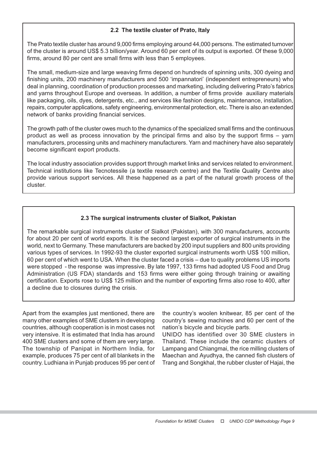# 2.2 The textile cluster of Prato, Italy

The Prato textile cluster has around 9,000 firms employing around 44,000 persons. The estimated turnover of the cluster is around US\$ 5.3 billion/year. Around 60 per cent of its output is exported. Of these 9,000 firms, around 80 per cent are small firms with less than 5 employees.

The small, medium-size and large weaving firms depend on hundreds of spinning units, 300 dyeing and finishing units, 200 machinery manufacturers and 500 'impannatori' (independent entrepreneurs) who deal in planning, coordination of production processes and marketing, including delivering Prato's fabrics and yarns throughout Europe and overseas. In addition, a number of firms provide auxiliary materials like packaging, oils, dyes, detergents, etc., and services like fashion designs, maintenance, installation, repairs, computer applications, safety engineering, environmental protection, etc. There is also an extended network of banks providing financial services.

The growth path of the cluster owes much to the dynamics of the specialized small firms and the continuous product as well as process innovation by the principal firms and also by the support firms – yarn manufacturers, processing units and machinery manufacturers. Yarn and machinery have also separately become significant export products.

The local industry association provides support through market links and services related to environment. Technical institutions like Tecnotessile (a textile research centre) and the Textile Quality Centre also provide various support services. All these happened as a part of the natural growth process of the cluster.

# 2.3 The surgical instruments cluster of Sialkot, Pakistan

The remarkable surgical instruments cluster of Sialkot (Pakistan), with 300 manufacturers, accounts for about 20 per cent of world exports. It is the second largest exporter of surgical instruments in the world, next to Germany. These manufacturers are backed by 200 input suppliers and 800 units providing various types of services. In 1992-93 the cluster exported surgical instruments worth US\$ 100 million, 60 per cent of which went to USA. When the cluster faced a crisis – due to quality problems US imports were stopped - the response was impressive. By late 1997, 133 firms had adopted US Food and Drug Administration (US FDA) standards and 153 firms were either going through training or awaiting certification. Exports rose to US\$ 125 million and the number of exporting firms also rose to 400, after a decline due to closures during the crisis.

Apart from the examples just mentioned, there are many other examples of SME clusters in developing countries, although cooperation is in most cases not very intensive. It is estimated that India has around 400 SME clusters and some of them are very large. The township of Panipat in Northern India, for example, produces 75 per cent of all blankets in the country. Ludhiana in Punjab produces 95 per cent of the country's woolen knitwear, 85 per cent of the country's sewing machines and 60 per cent of the nation's bicycle and bicycle parts.

UNIDO has identified over 30 SME clusters in Thailand. These include the ceramic clusters of Lampang and Chiangmai, the rice milling clusters of Maechan and Ayudhya, the canned fish clusters of Trang and Songkhal, the rubber cluster of Hajai, the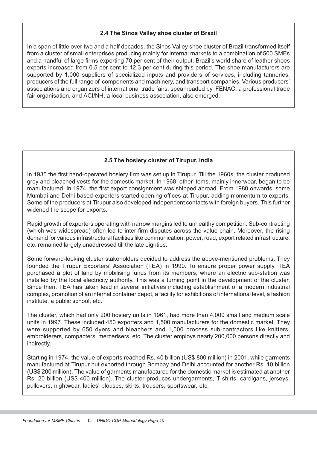### 2.4 The Sinos Valley shoe cluster of Brazil

In a span of little over two and a half decades, the Sinos Valley shoe cluster of Brazil transformed itself from a cluster of small enterprises producing mainly for internal markets to a combination of 500 SMEs and a handful of large firms exporting 70 per cent of their output. Brazil's world share of leather shoes exports increased from 0.5 per cent to 12.3 per cent during this period. The shoe manufacturers are supported by 1,000 suppliers of specialized inputs and providers of services, including tanneries, producers of the full range of components and machinery, and transport companies. Various producers' associations and organizers of international trade fairs, spearheaded by. FENAC, a professional trade fair organisation, and ACI/NH, a local business association, also emerged.

# 2.5 The hosiery cluster of Tirupur, India

In 1935 the first hand-operated hosiery firm was set up in Tirupur. Till the 1960s, the cluster produced grey and bleached vests for the domestic market. In 1968, other items, mainly innerwear, began to be manufactured. In 1974, the first export consignment was shipped abroad. From 1980 onwards, some Mumbai and Delhi based exporters started opening offices at Tirupur, adding momentum to exports. Some of the producers at Tirupur also developed independent contacts with foreign buyers. This further widened the scope for exports.

Rapid growth of exporters operating with narrow margins led to unhealthy competition. Sub-contracting (which was widespread) often led to inter-firm disputes across the value chain. Moreover, the rising demand for various infrastructural facilities like communication, power, road, export related infrastructure, etc. remained largely unaddressed till the late eighties.

Some forward-looking cluster stakeholders decided to address the above-mentioned problems. They founded the Tirupur Exporters' Association (TEA) in 1990. To ensure proper power supply, TEA purchased a plot of land by mobilising funds from its members, where an electric sub-station was installed by the local electricity authority. This was a turning point in the development of the cluster. Since then, TEA has taken lead in several initiatives including establishment of a modern industrial complex, promotion of an internal container depot, a facility for exhibitions of international level, a fashion institute, a public school, etc.

The cluster, which had only 200 hosiery units in 1961, had more than 4,000 small and medium scale units in 1997. These included 450 exporters and 1,500 manufacturers for the domestic market. They were supported by 650 dyers and bleachers and 1,500 process sub-contractors like knitters, embroiderers, compacters, mercerisers, etc. The cluster employs nearly 200,000 persons directly and indirectly.

Starting in 1974, the value of exports reached Rs. 40 billion (US\$ 800 million) in 2001, while garments manufactured at Tirupur but exported through Bombay and Delhi accounted for another Rs. 10 billion (US\$ 200 million). The value of garments manufactured for the domestic market is estimated at another Rs. 20 billion (US\$ 400 million). The cluster produces undergarments, T-shirts, cardigans, jerseys, pullovers, nightwear, ladies' blouses, skirts, trousers, sportswear, etc.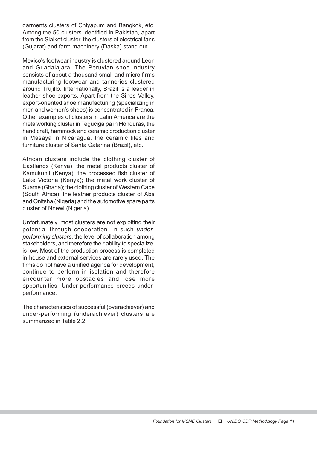garments clusters of Chiyapum and Bangkok, etc. Among the 50 clusters identified in Pakistan, apart from the Sialkot cluster, the clusters of electrical fans (Gujarat) and farm machinery (Daska) stand out.

Mexico's footwear industry is clustered around Leon and Guadalajara. The Peruvian shoe industry consists of about a thousand small and micro firms manufacturing footwear and tanneries clustered around Trujillo. Internationally, Brazil is a leader in leather shoe exports. Apart from the Sinos Valley, export-oriented shoe manufacturing (specializing in men and women's shoes) is concentrated in Franca. Other examples of clusters in Latin America are the metalworking cluster in Tegucigalpa in Honduras, the handicraft, hammock and ceramic production cluster in Masaya in Nicaragua, the ceramic tiles and furniture cluster of Santa Catarina (Brazil), etc.

African clusters include the clothing cluster of Eastlands (Kenya), the metal products cluster of Kamukunji (Kenya), the processed fish cluster of Lake Victoria (Kenya); the metal work cluster of Suame (Ghana); the clothing cluster of Western Cape (South Africa); the leather products cluster of Aba and Onitsha (Nigeria) and the automotive spare parts cluster of Nnewi (Nigeria).

Unfortunately, most clusters are not exploiting their potential through cooperation. In such underperforming clusters, the level of collaboration among stakeholders, and therefore their ability to specialize, is low. Most of the production process is completed in-house and external services are rarely used. The firms do not have a unified agenda for development, continue to perform in isolation and therefore encounter more obstacles and lose more opportunities. Under-performance breeds underperformance.

The characteristics of successful (overachiever) and under-performing (underachiever) clusters are summarized in Table 2.2.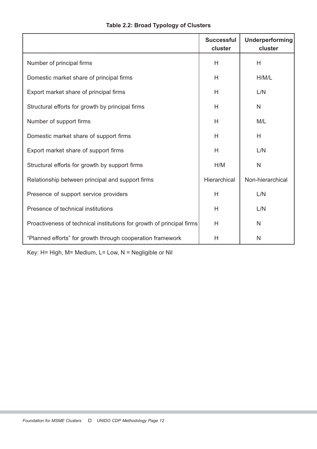|                                                                       | <b>Successful</b><br>cluster | Underperforming<br>cluster |
|-----------------------------------------------------------------------|------------------------------|----------------------------|
| Number of principal firms                                             | H                            | H                          |
| Domestic market share of principal firms                              | H                            | H/M/L                      |
| Export market share of principal firms                                | H                            | L/N                        |
| Structural efforts for growth by principal firms                      | H                            | $\mathsf{N}$               |
| Number of support firms                                               | H                            | M/L                        |
| Domestic market share of support firms                                | H                            | H                          |
| Export market share of support firms                                  | H                            | L/N                        |
| Structural efforts for growth by support firms                        | H/M                          | $\mathsf{N}$               |
| Relationship between principal and support firms                      | Hierarchical                 | Non-hierarchical           |
| Presence of support service providers                                 | H                            | L/N                        |
| Presence of technical institutions                                    | H                            | L/N                        |
| Proactiveness of technical institutions for growth of principal firms | H                            | $\mathsf{N}$               |
| "Planned efforts" for growth through cooperation framework            | H                            | N                          |

Key: H= High, M= Medium, L= Low, N = Negligible or Nil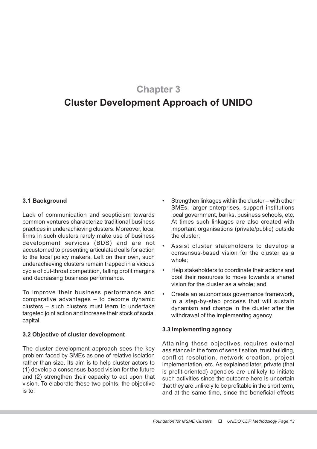# Chapter 3

# Cluster Development Approach of UNIDO

# 3.1 Background

Lack of communication and scepticism towards common ventures characterize traditional business practices in underachieving clusters. Moreover, local firms in such clusters rarely make use of business development services (BDS) and are not accustomed to presenting articulated calls for action to the local policy makers. Left on their own, such underachieving clusters remain trapped in a vicious cycle of cut-throat competition, falling profit margins and decreasing business performance.

To improve their business performance and comparative advantages – to become dynamic clusters – such clusters must learn to undertake targeted joint action and increase their stock of social capital.

#### 3.2 Objective of cluster development

The cluster development approach sees the key problem faced by SMEs as one of relative isolation rather than size. Its aim is to help cluster actors to (1) develop a consensus-based vision for the future and (2) strengthen their capacity to act upon that vision. To elaborate these two points, the objective is to:

- Strengthen linkages within the cluster with other SME<sub>s</sub>, larger enterprises, support institutions local government, banks, business schools, etc. At times such linkages are also created with important organisations (private/public) outside the cluster;
- Assist cluster stakeholders to develop a consensus-based vision for the cluster as a whole;
- Help stakeholders to coordinate their actions and pool their resources to move towards a shared vision for the cluster as a whole; and
- Create an autonomous governance framework, in a step-by-step process that will sustain dynamism and change in the cluster after the withdrawal of the implementing agency.

#### 3.3 Implementing agency

Attaining these objectives requires external assistance in the form of sensitisation, trust building, conflict resolution, network creation, project implementation, etc. As explained later, private (that is profit-oriented) agencies are unlikely to initiate such activities since the outcome here is uncertain that they are unlikely to be profitable in the short term, and at the same time, since the beneficial effects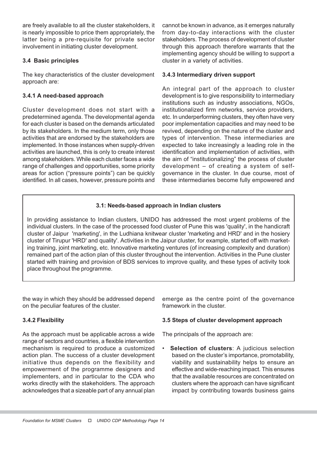are freely available to all the cluster stakeholders, it is nearly impossible to price them appropriately, the latter being a pre-requisite for private sector involvement in initiating cluster development.

# 3.4 Basic principles

The key characteristics of the cluster development approach are:

# 3.4.1 A need-based approach

Cluster development does not start with a predetermined agenda. The developmental agenda for each cluster is based on the demands articulated by its stakeholders. In the medium term, only those activities that are endorsed by the stakeholders are implemented. In those instances when supply-driven activities are launched, this is only to create interest among stakeholders. While each cluster faces a wide range of challenges and opportunities, some priority areas for action ("pressure points") can be quickly identified. In all cases, however, pressure points and

cannot be known in advance, as it emerges naturally from day-to-day interactions with the cluster stakeholders. The process of development of cluster through this approach therefore warrants that the implementing agency should be willing to support a cluster in a variety of activities.

### 3.4.3 Intermediary driven support

An integral part of the approach to cluster development is to give responsibility to intermediary institutions such as industry associations, NGOs, institutionalized firm networks, service providers, etc. In underperforming clusters, they often have very poor implementation capacities and may need to be revived, depending on the nature of the cluster and types of intervention. These intermediaries are expected to take increasingly a leading role in the identification and implementation of activities, with the aim of "institutionalizing" the process of cluster development – of creating a system of selfgovernance in the cluster. In due course, most of these intermediaries become fully empowered and

# 3.1: Needs-based approach in Indian clusters

In providing assistance to Indian clusters, UNIDO has addressed the most urgent problems of the individual clusters. In the case of the processed food cluster of Pune this was 'quality', in the handicraft cluster of Jaipur 'marketing', in the Ludhiana knitwear cluster 'marketing and HRD' and in the hosiery cluster of Tirupur 'HRD' and quality'. Activities in the Jaipur cluster, for example, started off with marketing training, joint marketing, etc. Innovative marketing ventures (of increasing complexity and duration) remained part of the action plan of this cluster throughout the intervention. Activities in the Pune cluster started with training and provision of BDS services to improve quality, and these types of activity took place throughout the programme.

the way in which they should be addressed depend on the peculiar features of the cluster.

# 3.4.2 Flexibility

As the approach must be applicable across a wide range of sectors and countries, a flexible intervention mechanism is required to produce a customized action plan. The success of a cluster development initiative thus depends on the flexibility and empowerment of the programme designers and implementers, and in particular to the CDA who works directly with the stakeholders. The approach acknowledges that a sizeable part of any annual plan

emerge as the centre point of the governance framework in the cluster.

#### 3.5 Steps of cluster development approach

The principals of the approach are:

• Selection of clusters: A judicious selection based on the cluster's importance, promotability, viability and sustainability helps to ensure an effective and wide-reaching impact. This ensures that the available resources are concentrated on clusters where the approach can have significant impact by contributing towards business gains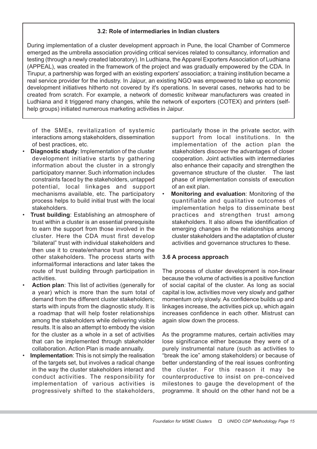# 3.2: Role of intermediaries in Indian clusters

During implementation of a cluster development approach in Pune, the local Chamber of Commerce emerged as the umbrella association providing critical services related to consultancy, information and testing (through a newly created laboratory). In Ludhiana, the Apparel Exporters Association of Ludhiana (APPEAL), was created in the framework of the project and was gradually empowered by the CDA. In Tirupur, a partnership was forged with an existing exporters' association; a training institution became a real service provider for the industry. In Jaipur, an existing NGO was empowered to take up economic development initiatives hitherto not covered by it's operations. In several cases, networks had to be created from scratch. For example, a network of domestic knitwear manufacturers was created in Ludhiana and it triggered many changes, while the network of exporters (COTEX) and printers (selfhelp groups) initiated numerous marketing activities in Jaipur.

of the SMEs, revitalization of systemic interactions among stakeholders, dissemination of best practices, etc.

- **Diagnostic study:** Implementation of the cluster development initiative starts by gathering information about the cluster in a strongly participatory manner. Such information includes constraints faced by the stakeholders, untapped potential, local linkages and support mechanisms available, etc. The participatory process helps to build initial trust with the local stakeholders.
- **Trust building: Establishing an atmosphere of** trust within a cluster is an essential prerequisite to earn the support from those involved in the cluster. Here the CDA must first develop "bilateral" trust with individual stakeholders and then use it to create/enhance trust among the other stakeholders. The process starts with informal/formal interactions and later takes the route of trust building through participation in activities.
- Action plan: This list of activities (generally for a year) which is more than the sum total of demand from the different cluster stakeholders; starts with inputs from the diagnostic study. It is a roadmap that will help foster relationships among the stakeholders while delivering visible results. It is also an attempt to embody the vision for the cluster as a whole in a set of activities that can be implemented through stakeholder collaboration. Action Plan is made annually.
- **Implementation:** This is not simply the realisation of the targets set, but involves a radical change in the way the cluster stakeholders interact and conduct activities. The responsibility for implementation of various activities is progressively shifted to the stakeholders,

particularly those in the private sector, with support from local institutions. In the implementation of the action plan the stakeholders discover the advantages of closer cooperation. Joint activities with intermediaries also enhance their capacity and strengthen the governance structure of the cluster. The last phase of implementation consists of execution of an exit plan.

**Monitoring and evaluation:** Monitoring of the quantifiable and qualitative outcomes of implementation helps to disseminate best practices and strengthen trust among stakeholders. It also allows the identification of emerging changes in the relationships among cluster stakeholders and the adaptation of cluster activities and governance structures to these.

#### 3.6 A process approach

The process of cluster development is non-linear because the volume of activities is a positive function of social capital of the cluster. As long as social capital is low, activities move very slowly and gather momentum only slowly. As confidence builds up and linkages increase, the activities pick up, which again increases confidence in each other. Mistrust can again slow down the process.

As the programme matures, certain activities may lose significance either because they were of a purely instrumental nature (such as activities to "break the ice" among stakeholders) or because of better understanding of the real issues confronting the cluster. For this reason it may be counterproductive to insist on pre-conceived milestones to gauge the development of the programme. It should on the other hand not be a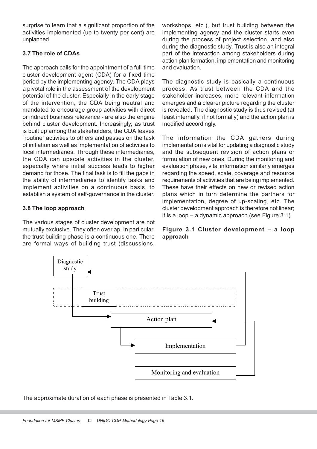surprise to learn that a significant proportion of the activities implemented (up to twenty per cent) are unplanned.

# 3.7 The role of CDAs

The approach calls for the appointment of a full-time cluster development agent (CDA) for a fixed time period by the implementing agency. The CDA plays a pivotal role in the assessment of the development potential of the cluster. Especially in the early stage of the intervention, the CDA being neutral and mandated to encourage group activities with direct or indirect business relevance - are also the engine behind cluster development. Increasingly, as trust is built up among the stakeholders, the CDA leaves "routine" activities to others and passes on the task of initiation as well as implementation of activities to local intermediaries. Through these intermediaries, the CDA can upscale activities in the cluster, especially where initial success leads to higher demand for those. The final task is to fill the gaps in the ability of intermediaries to identify tasks and implement activities on a continuous basis, to establish a system of self-governance in the cluster.

# 3.8 The loop approach

The various stages of cluster development are not mutually exclusive. They often overlap. In particular, the trust building phase is a continuous one. There are formal ways of building trust (discussions,

workshops, etc.), but trust building between the implementing agency and the cluster starts even during the process of project selection, and also during the diagnostic study. Trust is also an integral part of the interaction among stakeholders during action plan formation, implementation and monitoring and evaluation.

The diagnostic study is basically a continuous process. As trust between the CDA and the stakeholder increases, more relevant information emerges and a clearer picture regarding the cluster is revealed. The diagnostic study is thus revised (at least internally, if not formally) and the action plan is modified accordingly.

The information the CDA gathers during implementation is vital for updating a diagnostic study and the subsequent revision of action plans or formulation of new ones. During the monitoring and evaluation phase, vital information similarly emerges regarding the speed, scale, coverage and resource requirements of activities that are being implemented. These have their effects on new or revised action plans which in turn determine the partners for implementation, degree of up-scaling, etc. The cluster development approach is therefore not linear; it is a loop – a dynamic approach (see Figure 3.1).

# Figure 3.1 Cluster development – a loop approach



The approximate duration of each phase is presented in Table 3.1.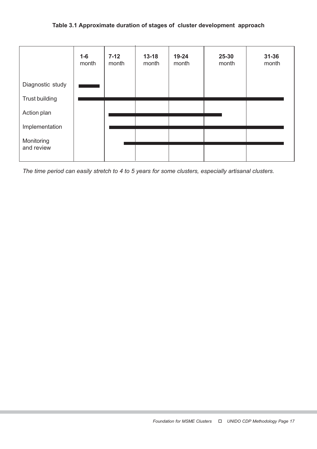|                       | $1-6$<br>month | $7-12$<br>month | $13 - 18$<br>month | 19-24<br>month | 25-30<br>month | $31 - 36$<br>month |
|-----------------------|----------------|-----------------|--------------------|----------------|----------------|--------------------|
| Diagnostic study      |                |                 |                    |                |                |                    |
| <b>Trust building</b> |                |                 |                    |                |                |                    |
| Action plan           |                |                 |                    |                |                |                    |
| Implementation        |                |                 |                    |                |                |                    |
| Monitoring            |                |                 |                    |                |                |                    |
| and review            |                |                 |                    |                |                |                    |

The time period can easily stretch to 4 to 5 years for some clusters, especially artisanal clusters.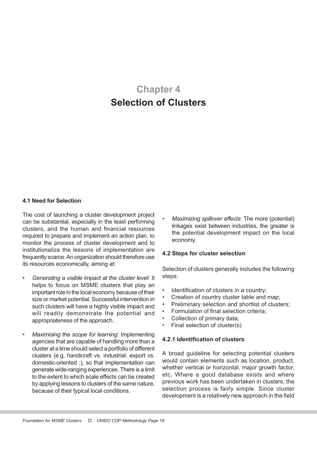# Chapter 4 Selection of Clusters

#### 4.1 Need for Selection

The cost of launching a cluster development project can be substantial, especially in the least performing clusters, and the human and financial resources required to prepare and implement an action plan, to monitor the process of cluster development and to institutionalize the lessons of implementation are frequently scarce. An organization should therefore use its resources economically, aiming at:

- Generating a visible impact at the cluster level: It helps to focus on MSME clusters that play an important role in the local economy because of their size or market potential. Successful intervention in such clusters will have a highly visible impact and will readily demonstrate the potential and appropriateness of the approach.
- Maximising the scope for learning: Implementing agencies that are capable of handling more than a cluster at a time should select a portfolio of different clusters (e.g. handicraft vs. industrial, export vs. domestic-oriented ;), so that implementation can generate wide-ranging experiences. There is a limit to the extent to which scale effects can be created by applying lessons to clusters of the same nature, because of their typical local conditions.

Maximizing spillover effects: The more (potential) linkages exist between industries, the greater is the potential development impact on the local economy.

#### 4.2 Steps for cluster selection

Selection of clusters generally includes the following steps:

- Identification of clusters in a country;
- Creation of country cluster table and map;
- Preliminary selection and shortlist of clusters;
- Formulation of final selection criteria;
- Collection of primary data:
- Final selection of cluster(s)

#### 4.2.1 Identification of clusters

A broad guideline for selecting potential clusters would contain elements such as location, product, whether vertical or horizontal, major growth factor, etc. Where a good database exists and where previous work has been undertaken in clusters, the selection process is fairly simple. Since cluster development is a relatively new approach in the field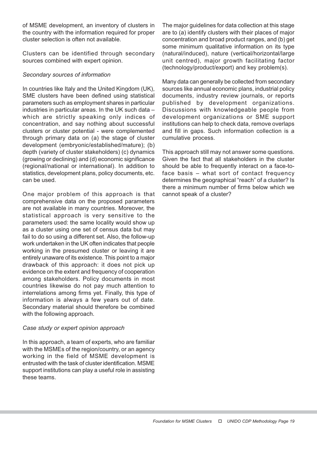of MSME development, an inventory of clusters in the country with the information required for proper cluster selection is often not available.

Clusters can be identified through secondary sources combined with expert opinion.

# Secondary sources of information

In countries like Italy and the United Kingdom (UK), SME clusters have been defined using statistical parameters such as employment shares in particular industries in particular areas. In the UK such data – which are strictly speaking only indices of concentration, and say nothing about successful clusters or cluster potential - were complemented through primary data on (a) the stage of cluster development (embryonic/established/mature); (b) depth (variety of cluster stakeholders) (c) dynamics (growing or declining) and (d) economic significance (regional/national or international). In addition to statistics, development plans, policy documents, etc. can be used.

One major problem of this approach is that comprehensive data on the proposed parameters are not available in many countries. Moreover, the statistical approach is very sensitive to the parameters used: the same locality would show up as a cluster using one set of census data but may fail to do so using a different set. Also, the follow-up work undertaken in the UK often indicates that people working in the presumed cluster or leaving it are entirely unaware of its existence. This point to a major drawback of this approach: it does not pick up evidence on the extent and frequency of cooperation among stakeholders. Policy documents in most countries likewise do not pay much attention to interrelations among firms yet. Finally, this type of information is always a few years out of date. Secondary material should therefore be combined with the following approach.

# Case study or expert opinion approach

In this approach, a team of experts, who are familiar with the MSMEs of the region/country, or an agency working in the field of MSME development is entrusted with the task of cluster identification. MSME support institutions can play a useful role in assisting these teams.

The major guidelines for data collection at this stage are to (a) identify clusters with their places of major concentration and broad product ranges, and (b) get some minimum qualitative information on its type (natural/induced), nature (vertical/horizontal/large unit centred), major growth facilitating factor (technology/product/export) and key problem(s).

Many data can generally be collected from secondary sources like annual economic plans, industrial policy documents, industry review journals, or reports published by development organizations. Discussions with knowledgeable people from development organizations or SME support institutions can help to check data, remove overlaps and fill in gaps. Such information collection is a cumulative process.

This approach still may not answer some questions. Given the fact that all stakeholders in the cluster should be able to frequently interact on a face-toface basis – what sort of contact frequency determines the geographical "reach" of a cluster? Is there a minimum number of firms below which we cannot speak of a cluster?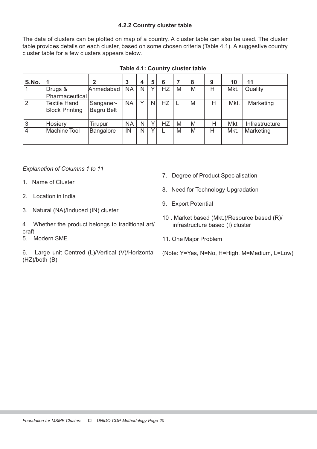# 4.2.2 Country cluster table

The data of clusters can be plotted on map of a country. A cluster table can also be used. The cluster table provides details on each cluster, based on some chosen criteria (Table 4.1). A suggestive country cluster table for a few clusters appears below.

| S.No.          |                                              | າ                              | 3         | 4 | 5 | 6         |   | 8 | 9 | 10   | 11             |
|----------------|----------------------------------------------|--------------------------------|-----------|---|---|-----------|---|---|---|------|----------------|
|                | Drugs &<br>Pharmaceutical                    | Ahmedabad                      | <b>NA</b> | N |   | HZ        | M | M | Н | Mkt. | Quality        |
| $ 2\rangle$    | <b>Textile Hand</b><br><b>Block Printing</b> | Sanganer-<br><b>Bagru Belt</b> | <b>NA</b> | v | N | <b>HZ</b> |   | M | H | Mkt. | Marketing      |
| 3              | Hosiery                                      | Tirupur                        | <b>NA</b> | N |   | ΗZ        | M | M | Η | Mkt  | Infrastructure |
| $\overline{4}$ | Machine Tool                                 | Bangalore                      | IN.       | N |   |           | M | M | н | Mkt. | Marketing      |

|  | Table 4.1: Country cluster table |  |
|--|----------------------------------|--|
|  |                                  |  |

Explanation of Columns 1 to 11

- 1. Name of Cluster
- 2. Location in India
- 3. Natural (NA)/Induced (IN) cluster

4. Whether the product belongs to traditional art/ craft

5. Modern SME

6. Large unit Centred (L)/Vertical (V)/Horizontal (HZ)/both (B)

- 7. Degree of Product Specialisation
- 8. Need for Technology Upgradation
- 9. Export Potential
- 10 . Market based (Mkt.)/Resource based (R)/ infrastructure based (I) cluster
- 11. One Major Problem
- (Note: Y=Yes, N=No, H=High, M=Medium, L=Low)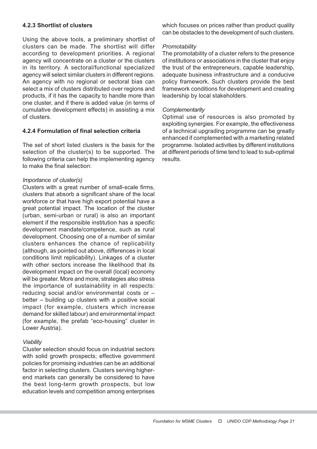# 4.2.3 Shortlist of clusters

Using the above tools, a preliminary shortlist of clusters can be made. The shortlist will differ according to development priorities. A regional agency will concentrate on a cluster or the clusters in its territory. A sectoral/functional specialized agency will select similar clusters in different regions. An agency with no regional or sectoral bias can select a mix of clusters distributed over regions and products, if it has the capacity to handle more than one cluster, and if there is added value (in terms of cumulative development effects) in assisting a mix of clusters.

#### 4.2.4 Formulation of final selection criteria

The set of short listed clusters is the basis for the selection of the cluster(s) to be supported. The following criteria can help the implementing agency to make the final selection:

#### Importance of cluster(s)

Clusters with a great number of small-scale firms, clusters that absorb a significant share of the local workforce or that have high export potential have a great potential impact. The location of the cluster (urban, semi-urban or rural) is also an important element if the responsible institution has a specific development mandate/competence, such as rural development. Choosing one of a number of similar clusters enhances the chance of replicability (although, as pointed out above, differences in local conditions limit replicability). Linkages of a cluster with other sectors increase the likelihood that its development impact on the overall (local) economy will be greater. More and more, strategies also stress the importance of sustainability in all respects: reducing social and/or environmental costs or – better – building up clusters with a positive social impact (for example, clusters which increase demand for skilled labour) and environmental impact (for example, the prefab "eco-housing" cluster in Lower Austria).

#### **Viability**

Cluster selection should focus on industrial sectors with solid growth prospects; effective government policies for promising industries can be an additional factor in selecting clusters. Clusters serving higherend markets can generally be considered to have the best long-term growth prospects, but low education levels and competition among enterprises

which focuses on prices rather than product quality can be obstacles to the development of such clusters.

#### **Promotability**

The promotability of a cluster refers to the presence of institutions or associations in the cluster that enjoy the trust of the entrepreneurs, capable leadership, adequate business infrastructure and a conducive policy framework. Such clusters provide the best framework conditions for development and creating leadership by local stakeholders.

#### **Complementarity**

Optimal use of resources is also promoted by exploiting synergies. For example, the effectiveness of a technical upgrading programme can be greatly enhanced if complemented with a marketing related programme. Isolated activities by different institutions at different periods of time tend to lead to sub-optimal results.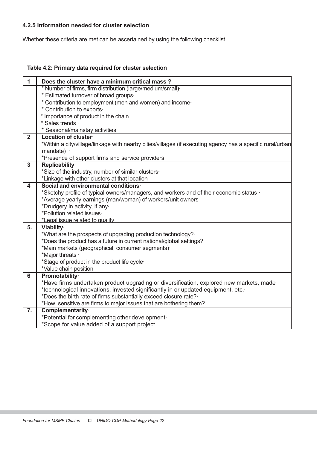# 4.2.5 Information needed for cluster selection

Whether these criteria are met can be ascertained by using the following checklist.

# Table 4.2: Primary data required for cluster selection

| $\mathbf{1}$     | Does the cluster have a minimum critical mass?                                                             |
|------------------|------------------------------------------------------------------------------------------------------------|
|                  | * Number of firms, firm distribution (large/medium/small) +                                                |
|                  | * Estimated turnover of broad groups.                                                                      |
|                  | * Contribution to employment (men and women) and income-                                                   |
|                  | * Contribution to exports.                                                                                 |
|                  | * Importance of product in the chain                                                                       |
|                  | * Sales trends ·                                                                                           |
|                  | * Seasonal/mainstay activities                                                                             |
| $\overline{2}$   | Location of cluster                                                                                        |
|                  | *Within a city/village/linkage with nearby cities/villages (if executing agency has a specific rural/urban |
|                  | mandate) ·                                                                                                 |
|                  | *Presence of support firms and service providers                                                           |
| $\overline{3}$   | Replicability <sup>.</sup>                                                                                 |
|                  | *Size of the industry, number of similar clusters·                                                         |
| 4                | *Linkage with other clusters at that location<br>Social and environmental conditions.                      |
|                  | *Sketchy profile of typical owners/managers, and workers and of their economic status ·                    |
|                  | *Average yearly earnings (man/woman) of workers/unit owners                                                |
|                  | *Drudgery in activity, if any·                                                                             |
|                  | *Pollution related issues·                                                                                 |
|                  | *Legal issue related to quality                                                                            |
| 5.               | Viability·                                                                                                 |
|                  | *What are the prospects of upgrading production technology?                                                |
|                  | *Does the product has a future in current national/global settings?                                        |
|                  | *Main markets (geographical, consumer segments).                                                           |
|                  | *Major threats ·                                                                                           |
|                  | *Stage of product in the product life cycle·                                                               |
|                  | *Value chain position                                                                                      |
| $6\phantom{1}$   | Promotability·                                                                                             |
|                  | *Have firms undertaken product upgrading or diversification, explored new markets, made                    |
|                  | *technological innovations, invested significantly in or updated equipment, etc.                           |
|                  | *Does the birth rate of firms substantially exceed closure rate?                                           |
|                  | *How sensitive are firms to major issues that are bothering them?                                          |
| $\overline{7}$ . | Complementarity·                                                                                           |
|                  | *Potential for complementing other development·                                                            |
|                  | *Scope for value added of a support project                                                                |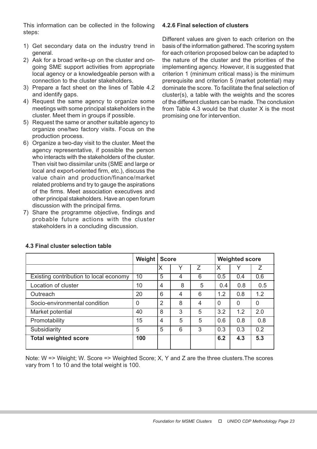This information can be collected in the following steps:

- 1) Get secondary data on the industry trend in general.
- 2) Ask for a broad write-up on the cluster and ongoing SME support activities from appropriate local agency or a knowledgeable person with a connection to the cluster stakeholders.
- 3) Prepare a fact sheet on the lines of Table 4.2 and identify gaps.
- 4) Request the same agency to organize some meetings with some principal stakeholders in the cluster. Meet them in groups if possible.
- 5) Request the same or another suitable agency to organize one/two factory visits. Focus on the production process.
- 6) Organize a two-day visit to the cluster. Meet the agency representative, if possible the person who interacts with the stakeholders of the cluster. Then visit two dissimilar units (SME and large or local and export-oriented firm, etc.), discuss the value chain and production/finance/market related problems and try to gauge the aspirations of the firms. Meet association executives and other principal stakeholders. Have an open forum discussion with the principal firms.
- 7) Share the programme objective, findings and probable future actions with the cluster stakeholders in a concluding discussion.

# 4.2.6 Final selection of clusters

Different values are given to each criterion on the basis of the information gathered. The scoring system for each criterion proposed below can be adapted to the nature of the cluster and the priorities of the implementing agency. However, it is suggested that criterion 1 (minimum critical mass) is the minimum prerequisite and criterion 5 (market potential) may dominate the score. To facilitate the final selection of cluster(s), a table with the weights and the scores of the different clusters can be made. The conclusion from Table 4.3 would be that cluster X is the most promising one for intervention.

|                                        | Weight   | <b>Score</b>   |   |   | <b>Weighted score</b> |          |     |  |
|----------------------------------------|----------|----------------|---|---|-----------------------|----------|-----|--|
|                                        |          | Х              | v | 7 | X                     |          | 7   |  |
| Existing contribution to local economy | 10       | 5              | 4 | 6 | 0.5                   | 0.4      | 0.6 |  |
| Location of cluster                    | 10       | $\overline{4}$ | 8 | 5 | 0.4                   | 0.8      | 0.5 |  |
| Outreach                               | 20       | 6              | 4 | 6 | 1.2                   | 0.8      | 1.2 |  |
| Socio-environmental condition          | $\Omega$ | 2              | 8 | 4 | $\Omega$              | $\Omega$ | 0   |  |
| Market potential                       | 40       | 8              | 3 | 5 | 3.2                   | 1.2      | 2.0 |  |
| Promotability                          | 15       | 4              | 5 | 5 | 0.6                   | 0.8      | 0.8 |  |
| Subsidiarity                           | 5        | 5              | 6 | 3 | 0.3                   | 0.3      | 0.2 |  |
| <b>Total weighted score</b>            | 100      |                |   |   | 6.2                   | 4.3      | 5.3 |  |

#### 4.3 Final cluster selection table

Note: W => Weight; W. Score => Weighted Score; X, Y and Z are the three clusters.The scores vary from 1 to 10 and the total weight is 100.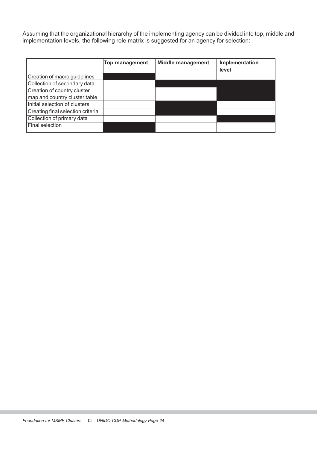Assuming that the organizational hierarchy of the implementing agency can be divided into top, middle and implementation levels, the following role matrix is suggested for an agency for selection:

|                                   | Top management | <b>Middle management</b> | Implementation<br>level |
|-----------------------------------|----------------|--------------------------|-------------------------|
|                                   |                |                          |                         |
| Creation of macro guidelines      |                |                          |                         |
| Collection of secondary data      |                |                          |                         |
| Creation of country cluster       |                |                          |                         |
| map and country cluster table     |                |                          |                         |
| Initial selection of clusters     |                |                          |                         |
| Creating final selection criteria |                |                          |                         |
| Collection of primary data        |                |                          |                         |
| Final selection                   |                |                          |                         |
|                                   |                |                          |                         |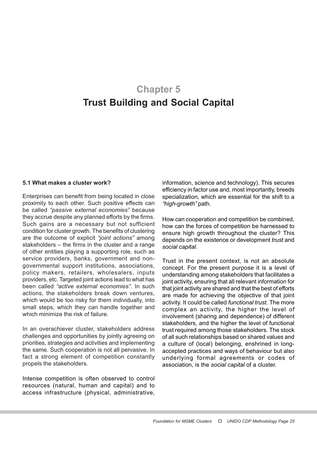# Chapter 5 Trust Building and Social Capital

#### 5.1 What makes a cluster work?

Enterprises can benefit from being located in close proximity to each other. Such positive effects can be called "passive external economies" because they accrue despite any planned efforts by the firms. Such gains are a necessary but not sufficient condition for cluster growth. The benefits of clustering are the outcome of explicit "joint actions" among stakeholders – the firms in the cluster and a range of other entities playing a supporting role, such as service providers, banks, government and nongovernmental support institutions, associations, policy makers, retailers, wholesalers, inputs providers, etc. Targeted joint actions lead to what has been called "active external economies". In such actions, the stakeholders break down ventures, which would be too risky for them individually, into small steps, which they can handle together and which minimize the risk of failure.

In an overachiever cluster, stakeholders address challenges and opportunities by jointly agreeing on priorities, strategies and activities and implementing the same. Such cooperation is not all pervasive. In fact a strong element of competition constantly propels the stakeholders.

Intense competition is often observed to control resources (natural, human and capital) and to access infrastructure (physical, administrative,

information, science and technology). This secures efficiency in factor use and, most importantly, breeds specialization, which are essential for the shift to a "high-growth" path.

How can cooperation and competition be combined, how can the forces of competition be harnessed to ensure high growth throughout the cluster? This depends on the existence or development trust and social capital.

Trust in the present context, is not an absolute concept. For the present purpose it is a level of understanding among stakeholders that facilitates a joint activity, ensuring that all relevant information for that joint activity are shared and that the best of efforts are made for achieving the objective of that joint activity. It could be called functional trust. The more complex an activity, the higher the level of involvement (sharing and dependence) of different stakeholders, and the higher the level of functional trust required among those stakeholders. The stock of all such relationships based on shared values and a culture of (local) belonging, enshrined in longaccepted practices and ways of behaviour but also underlying formal agreements or codes of association, is the social capital of a cluster.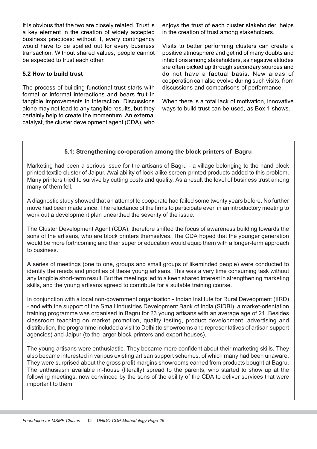It is obvious that the two are closely related. Trust is a key element in the creation of widely accepted business practices: without it, every contingency would have to be spelled out for every business transaction. Without shared values, people cannot be expected to trust each other.

# 5.2 How to build trust

The process of building functional trust starts with formal or informal interactions and bears fruit in tangible improvements in interaction. Discussions alone may not lead to any tangible results, but they certainly help to create the momentum. An external catalyst, the cluster development agent (CDA), who

enjoys the trust of each cluster stakeholder, helps in the creation of trust among stakeholders.

Visits to better performing clusters can create a positive atmosphere and get rid of many doubts and inhibitions among stakeholders, as negative atitudes are often picked up through secondary sources and do not have a factual basis. New areas of cooperation can also evolve during such visits, from discussions and comparisons of performance.

When there is a total lack of motivation, innovative ways to build trust can be used, as Box 1 shows.

# 5.1: Strengthening co-operation among the block printers of Bagru

Marketing had been a serious issue for the artisans of Bagru - a village belonging to the hand block printed textile cluster of Jaipur. Availability of look-alike screen-printed products added to this problem. Many printers tried to survive by cutting costs and quality. As a result the level of business trust among many of them fell.

A diagnostic study showed that an attempt to cooperate had failed some twenty years before. No further move had been made since. The reluctance of the firms to participate even in an introductory meeting to work out a development plan unearthed the severity of the issue.

The Cluster Development Agent (CDA), therefore shifted the focus of awareness building towards the sons of the artisans, who are block printers themselves. The CDA hoped that the younger generation would be more forthcoming and their superior education would equip them with a longer-term approach to business.

A series of meetings (one to one, groups and small groups of likeminded people) were conducted to identify the needs and priorities of these young artisans. This was a very time consuming task without any tangible short-term result. But the meetings led to a keen shared interest in strengthening marketing skills, and the young artisans agreed to contribute for a suitable training course.

In conjunction with a local non-government organisation - Indian Institute for Rural Deveopment (IIRD) - and with the support of the Small Industries Development Bank of India (SIDBI), a market-orientation training programme was organised in Bagru for 23 young artisans with an average age of 21. Besides classroom teaching on market promotion, quality testing, product development, advertising and distribution, the programme included a visit to Delhi (to showrooms and representatives of artisan support agencies) and Jaipur (to the larger block-printers and export houses).

The young artisans were enthusiastic. They became more confident about their marketing skills. They also became interested in various existing artisan support schemes, of which many had been unaware. They were surprised about the gross profit margins showrooms earned from products bought at Bagru. The enthusiasm available in-house (literally) spread to the parents, who started to show up at the following meetings, now convinced by the sons of the ability of the CDA to deliver services that were important to them.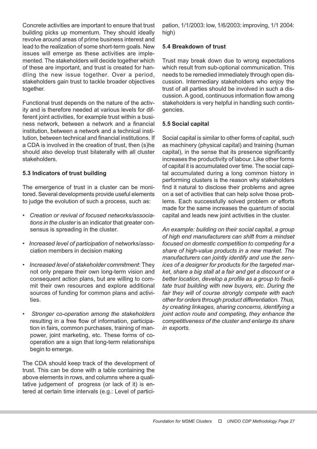Concrete activities are important to ensure that trust building picks up momentum. They should ideally revolve around areas of prime business interest and lead to the realization of some short-term goals. New issues will emerge as these activities are implemented. The stakeholders will decide together which of these are important, and trust is created for handling the new issue together. Over a period, stakeholders gain trust to tackle broader objectives together.

Functional trust depends on the nature of the activity and is therefore needed at various levels for different joint activities, for example trust within a business network, between a network and a financial institution, between a network and a technical institution, between technical and financial institutions. If a CDA is involved in the creation of trust, then (s)he should also develop trust bilaterally with all cluster stakeholders.

# 5.3 Indicators of trust building

The emergence of trust in a cluster can be monitored. Several developments provide useful elements to judge the evolution of such a process, such as:

- Creation or revival of focused networks/associations in the cluster is an indicator that greater consensus is spreading in the cluster.
- Increased level of participation of networks/association members in decision making
- Increased level of stakeholder commitment: They not only prepare their own long-term vision and consequent action plans, but are willing to commit their own resources and explore additional sources of funding for common plans and activities.
- Stronger co-operation among the stakeholders resulting in a free flow of information, participation in fairs, common purchases, training of manpower, joint marketing, etc. These forms of cooperation are a sign that long-term relationships begin to emerge.

The CDA should keep track of the development of trust. This can be done with a table containing the above elements in rows, and columns where a qualitative judgement of progress (or lack of it) is entered at certain time intervals (e.g.: Level of partici-

pation, 1/1/2003: low, 1/6/2003: improving, 1/1 2004: high)

# 5.4 Breakdown of trust

Trust may break down due to wrong expectations which result from sub-optional communication. This needs to be remedied immediately through open discussion. Intermediary stakeholders who enjoy the trust of all parties should be involved in such a discussion. A good, continuous information flow among stakeholders is very helpful in handling such contingencies.

#### 5.5 Social capital

Social capital is similar to other forms of capital, such as machinery (physical capital) and training (human capital), in the sense that its presence significantly increases the productivity of labour. Like other forms of capital it is accumulated over time. The social capital accumulated during a long common history in performing clusters is the reason why stakeholders find it natural to disclose their problems and agree on a set of activities that can help solve those problems. Each successfully solved problem or efforts made for the same increases the quantum of social capital and leads new joint activities in the cluster.

An example: building on their social capital, a group of high end manufacturers can shift from a mindset focused on domestic competition to competing for a share of high-value products in a new market. The manufacturers can jointly identify and use the services of a designer for products for the targeted market, share a big stall at a fair and get a discount or a better location, develop a profile as a group to facilitate trust building with new buyers, etc. During the fair they will of course strongly compete with each other for orders through product differentiation. Thus, by creating linkages, sharing concerns, identifying a joint action route and competing, they enhance the competitiveness of the cluster and enlarge its share in exports.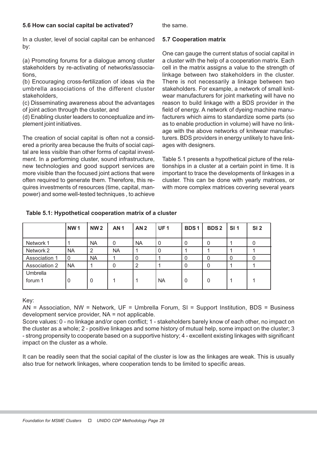#### 5.6 How can social capital be activated?

the same.

In a cluster, level of social capital can be enhanced by:

(a) Promoting forums for a dialogue among cluster stakeholders by re-activating of networks/associations,

(b) Encouraging cross-fertilization of ideas via the umbrella associations of the different cluster stakeholders,

(c) Disseminating awareness about the advantages of joint action through the cluster, and

(d) Enabling cluster leaders to conceptualize and implement joint initiatives.

The creation of social capital is often not a considered a priority area because the fruits of social capital are less visible than other forms of capital investment. In a performing cluster, sound infrastructure, new technologies and good support services are more visible than the focused joint actions that were often required to generate them. Therefore, this requires investments of resources (time, capital, manpower) and some well-tested techniques , to achieve

#### 5.7 Cooperation matrix

One can gauge the current status of social capital in a cluster with the help of a cooperation matrix. Each cell in the matrix assigns a value to the strength of linkage between two stakeholders in the cluster. There is not necessarily a linkage between two stakeholders. For example, a network of small knitwear manufacturers for joint marketing will have no reason to build linkage with a BDS provider in the field of energy. A network of dyeing machine manufacturers which aims to standardize some parts (so as to enable production in volume) will have no linkage with the above networks of knitwear manufacturers. BDS providers in energy unlikely to have linkages with designers.

Table 5.1 presents a hypothetical picture of the relationships in a cluster at a certain point in time. It is important to trace the developments of linkages in a cluster. This can be done with yearly matrices, or with more complex matrices covering several years

|                      | <b>NW1</b> | <b>NW2</b> | <b>AN1</b> | AN <sub>2</sub> | <b>UF1</b> | <b>BDS1</b> | <b>BDS2</b> | SI <sub>1</sub> | SI <sub>2</sub> |
|----------------------|------------|------------|------------|-----------------|------------|-------------|-------------|-----------------|-----------------|
| Network 1            |            | <b>NA</b>  | 0          | <b>NA</b>       | 0          |             | 0           |                 | Ü               |
| Network 2            | <b>NA</b>  | 2          | <b>NA</b>  |                 |            |             |             |                 |                 |
| Association 1        | 0          | <b>NA</b>  |            | 0               |            |             | 0           | 0               |                 |
| <b>Association 2</b> | <b>NA</b>  |            | 0          | 2               |            |             | 0           |                 |                 |
| Umbrella             |            |            |            |                 |            |             |             |                 |                 |
| forum 1              | 0          | $\Omega$   |            |                 | <b>NA</b>  |             | 0           |                 |                 |

#### Table 5.1: Hypothetical cooperation matrix of a cluster

#### Key:

AN = Association, NW = Network, UF = Umbrella Forum, SI = Support Institution, BDS = Business development service provider, NA = not applicable.

Score values: 0 - no linkage and/or open conflict; 1 - stakeholders barely know of each other, no impact on the cluster as a whole; 2 - positive linkages and some history of mutual help, some impact on the cluster; 3 - strong propensity to cooperate based on a supportive history; 4 - excellent existing linkages with significant impact on the cluster as a whole.

It can be readily seen that the social capital of the cluster is low as the linkages are weak. This is usually also true for network linkages, where cooperation tends to be limited to specific areas.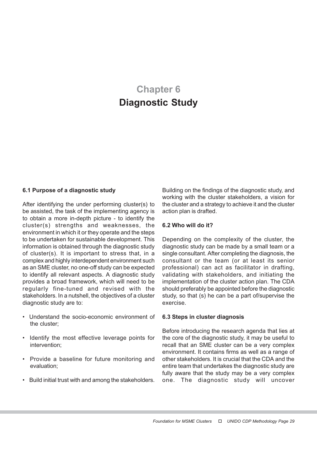# Chapter 6 Diagnostic Study

#### 6.1 Purpose of a diagnostic study

After identifying the under performing cluster(s) to be assisted, the task of the implementing agency is to obtain a more in-depth picture - to identify the cluster(s) strengths and weaknesses, the environment in which it or they operate and the steps to be undertaken for sustainable development. This information is obtained through the diagnostic study of cluster(s). It is important to stress that, in a complex and highly interdependent environment such as an SME cluster, no one-off study can be expected to identify all relevant aspects. A diagnostic study provides a broad framework, which will need to be regularly fine-tuned and revised with the stakeholders. In a nutshell, the objectives of a cluster diagnostic study are to:

- Understand the socio-economic environment of the cluster;
- Identify the most effective leverage points for intervention;
- Provide a baseline for future monitoring and evaluation;
- Build initial trust with and among the stakeholders.

Building on the findings of the diagnostic study, and working with the cluster stakeholders, a vision for the cluster and a strategy to achieve it and the cluster action plan is drafted.

#### 6.2 Who will do it?

Depending on the complexity of the cluster, the diagnostic study can be made by a small team or a single consultant. After completing the diagnosis, the consultant or the team (or at least its senior professional) can act as facilitator in drafting, validating with stakeholders, and initiating the implementation of the cluster action plan. The CDA should preferably be appointed before the diagnostic study, so that (s) he can be a part of/supervise the exercise.

#### 6.3 Steps in cluster diagnosis

Before introducing the research agenda that lies at the core of the diagnostic study, it may be useful to recall that an SME cluster can be a very complex environment. It contains firms as well as a range of other stakeholders. It is crucial that the CDA and the entire team that undertakes the diagnostic study are fully aware that the study may be a very complex one. The diagnostic study will uncover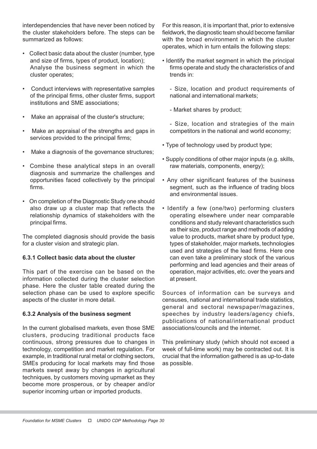interdependencies that have never been noticed by the cluster stakeholders before. The steps can be summarized as follows:

- Collect basic data about the cluster (number, type and size of firms, types of product, location); Analyse the business segment in which the cluster operates;
- Conduct interviews with representative samples of the principal firms, other cluster firms, support institutions and SME associations;
- Make an appraisal of the cluster's structure;
- Make an appraisal of the strengths and gaps in services provided to the principal firms;
- Make a diagnosis of the governance structures;
- Combine these analytical steps in an overall diagnosis and summarize the challenges and opportunities faced collectively by the principal firms.
- On completion of the Diagnostic Study one should also draw up a cluster map that reflects the relationship dynamics of stakeholders with the principal firms.

The completed diagnosis should provide the basis for a cluster vision and strategic plan.

# 6.3.1 Collect basic data about the cluster

This part of the exercise can be based on the information collected during the cluster selection phase. Here the cluster table created during the selection phase can be used to explore specific aspects of the cluster in more detail.

#### 6.3.2 Analysis of the business segment

In the current globalised markets, even those SME clusters, producing traditional products face continuous, strong pressures due to changes in technology, competition and market regulation. For example, in traditional rural metal or clothing sectors, SMEs producing for local markets may find those markets swept away by changes in agricultural techniques, by customers moving upmarket as they become more prosperous, or by cheaper and/or superior incoming urban or imported products.

For this reason, it is important that, prior to extensive fieldwork, the diagnostic team should become familiar with the broad environment in which the cluster operates, which in turn entails the following steps:

• Identify the market segment in which the principal firms operate and study the characteristics of and trends in:

- Size, location and product requirements of national and international markets;

- Market shares by product;

- Size, location and strategies of the main competitors in the national and world economy;

- Type of technology used by product type;
- Supply conditions of other major inputs (e.g. skills, raw materials, components, energy);
- Any other significant features of the business segment, such as the influence of trading blocs and environmental issues.
- Identify a few (one/two) performing clusters operating elsewhere under near comparable conditions and study relevant characteristics such as their size, product range and methods of adding value to products, market share by product type, types of stakeholder, major markets, technologies used and strategies of the lead firms. Here one can even take a preliminary stock of the various performing and lead agencies and their areas of operation, major activities, etc. over the years and at present.

Sources of information can be surveys and censuses, national and international trade statistics, general and sectoral newspaper/magazines, speeches by industry leaders/agency chiefs, publications of national/international product associations/councils and the internet.

This preliminary study (which should not exceed a week of full-time work) may be contracted out. It is crucial that the information gathered is as up-to-date as possible.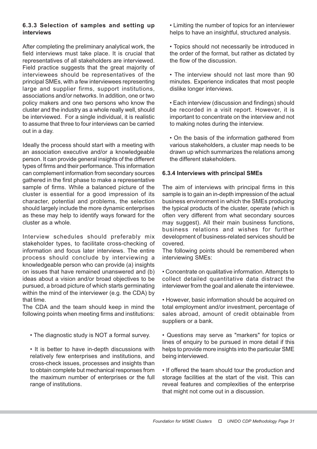# 6.3.3 Selection of samples and setting up interviews

After completing the preliminary analytical work, the field interviews must take place. It is crucial that representatives of all stakeholders are interviewed. Field practice suggests that the great majority of interviewees should be representatives of the principal SMEs, with a few interviewees representing large and supplier firms, support institutions, associations and/or networks. In addition, one or two policy makers and one two persons who know the cluster and the industry as a whole really well, should be interviewed. For a single individual, it is realistic to assume that three to four interviews can be carried out in a day.

Ideally the process should start with a meeting with an association executive and/or a knowledgeable person. It can provide general insights of the different types of firms and their performance. This information can complement information from secondary sources gathered in the first phase to make a representative sample of firms. While a balanced picture of the cluster is essential for a good impression of its character, potential and problems, the selection should largely include the more dynamic enterprises as these may help to identify ways forward for the cluster as a whole.

Interview schedules should preferably mix stakeholder types, to facilitate cross-checking of information and focus later interviews. The entire process should conclude by interviewing a knowledgeable person who can provide (a) insights on issues that have remained unanswered and (b) ideas about a vision and/or broad objectives to be pursued, a broad picture of which starts germinating within the mind of the interviewer (e.g. the CDA) by that time.

The CDA and the team should keep in mind the following points when meeting firms and institutions:

• The diagnostic study is NOT a formal survey.

• It is better to have in-depth discussions with relatively few enterprises and institutions, and cross-check issues, processes and insights than to obtain complete but mechanical responses from the maximum number of enterprises or the full range of institutions.

• Limiting the number of topics for an interviewer helps to have an insightful, structured analysis.

- Topics should not necessarily be introduced in the order of the format, but rather as dictated by the flow of the discussion.
- The interview should not last more than 90 minutes. Experience indicates that most people dislike longer interviews.
- Each interview (discussion and findings) should be recorded in a visit report. However, it is important to concentrate on the interview and not to making notes during the interview.
- On the basis of the information gathered from various stakeholders, a cluster map needs to be drawn up which summarizes the relations among the different stakeholders.

# 6.3.4 Interviews with principal SMEs

The aim of interviews with principal firms in this sample is to gain an in-depth impression of the actual business environment in which the SMEs producing the typical products of the cluster, operate (which is often very different from what secondary sources may suggest). All their main business functions, business relations and wishes for further development of business-related services should be covered.

The following points should be remembered when interviewing SMEs:

• Concentrate on qualitative information. Attempts to collect detailed quantitative data distract the interviewer from the goal and alienate the interviewee.

• However, basic information should be acquired on total employment and/or investment, percentage of sales abroad, amount of credit obtainable from suppliers or a bank.

• Questions may serve as "markers" for topics or lines of enquiry to be pursued in more detail if this helps to provide more insights into the particular SME being interviewed.

• If offered the team should tour the production and storage facilities at the start of the visit. This can reveal features and complexities of the enterprise that might not come out in a discussion.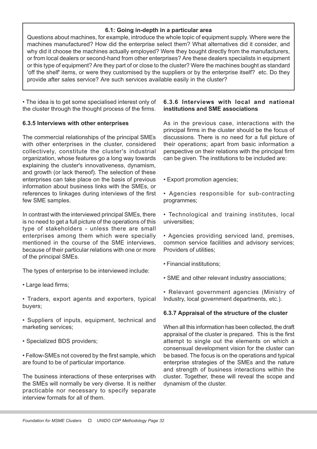#### 6.1: Going in-depth in a particular area

Questions about machines, for example, introduce the whole topic of equipment supply. Where were the machines manufactured? How did the enterprise select them? What alternatives did it consider, and why did it choose the machines actually employed? Were they bought directly from the manufacturers, or from local dealers or second-hand from other enterprises? Are these dealers specialists in equipment or this type of equipment? Are they part of or close to the cluster? Were the machines bought as standard 'off the shelf' items, or were they customised by the suppliers or by the enterprise itself? etc. Do they provide after sales service? Are such services available easily in the cluster?

• The idea is to get some specialised interest only of the cluster through the thought process of the firms.

# 6.3.5 Interviews with other enterprises

The commercial relationships of the principal SMEs with other enterprises in the cluster, considered collectively, constitute the cluster's industrial organization, whose features go a long way towards explaining the cluster's innovativeness, dynamism, and growth (or lack thereof). The selection of these enterprises can take place on the basis of previous information about business links with the SMEs, or references to linkages during interviews of the first few SME samples.

In contrast with the interviewed principal SMEs, there is no need to get a full picture of the operations of this type of stakeholders - unless there are small enterprises among them which were specially mentioned in the course of the SME interviews, because of their particular relations with one or more of the principal SMEs.

The types of enterprise to be interviewed include:

- Large lead firms;
- Traders, export agents and exporters, typical buyers;
- Suppliers of inputs, equipment, technical and marketing services;
- Specialized BDS providers;

• Fellow-SMEs not covered by the first sample, which are found to be of particular importance.

The business interactions of these enterprises with the SMEs will normally be very diverse. It is neither practicable nor necessary to specify separate interview formats for all of them.

# 6.3.6 Interviews with local and national institutions and SME associations

As in the previous case, interactions with the principal firms in the cluster should be the focus of discussions. There is no need for a full picture of their operations; apart from basic information a perspective on their relations with the principal firm can be given. The institutions to be included are:

- Export promotion agencies;
- Agencies responsible for sub-contracting programmes;
- Technological and training institutes, local universities;

• Agencies providing serviced land, premises, common service facilities and advisory services; Providers of utilities;

- Financial institutions;
- SME and other relevant industry associations;

• Relevant government agencies (Ministry of Industry, local government departments, etc.).

# 6.3.7 Appraisal of the structure of the cluster

When all this information has been collected, the draft appraisal of the cluster is prepared. This is the first attempt to single out the elements on which a consensual development vision for the cluster can be based. The focus is on the operations and typical enterprise strategies of the SMEs and the nature and strength of business interactions within the cluster. Together, these will reveal the scope and dynamism of the cluster.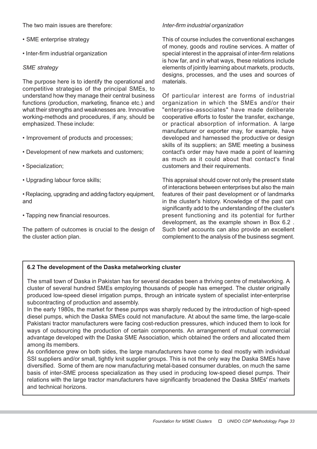The two main issues are therefore:

- SME enterprise strategy
- Inter-firm industrial organization

#### SME strategy

The purpose here is to identify the operational and competitive strategies of the principal SMEs, to understand how they manage their central business functions (production, marketing, finance etc.) and what their strengths and weaknesses are. Innovative working-methods and procedures, if any, should be emphasized. These include:

- Improvement of products and processes;
- Development of new markets and customers;
- Specialization;
- Upgrading labour force skills;
- Replacing, upgrading and adding factory equipment, and
- Tapping new financial resources.

The pattern of outcomes is crucial to the design of the cluster action plan.

#### Inter-firm industrial organization

This of course includes the conventional exchanges of money, goods and routine services. A matter of special interest in the appraisal of inter-firm relations is how far, and in what ways, these relations include elements of jointly learning about markets, products, designs, processes, and the uses and sources of materials.

Of particular interest are forms of industrial organization in which the SMEs and/or their "enterprise-associates" have made deliberate cooperative efforts to foster the transfer, exchange, or practical absorption of information. A large manufacturer or exporter may, for example, have developed and harnessed the productive or design skills of its suppliers; an SME meeting a business contact's order may have made a point of learning as much as it could about that contact's final customers and their requirements.

This appraisal should cover not only the present state of interactions between enterprises but also the main features of their past development or of landmarks in the cluster's history. Knowledge of the past can significantly add to the understanding of the cluster's present functioning and its potential for further development, as the example shown in Box 6.2 . Such brief accounts can also provide an excellent complement to the analysis of the business segment.

#### 6.2 The development of the Daska metalworking cluster

The small town of Daska in Pakistan has for several decades been a thriving centre of metalworking. A cluster of several hundred SMEs employing thousands of people has emerged. The cluster originally produced low-speed diesel irrigation pumps, through an intricate system of specialist inter-enterprise subcontracting of production and assembly.

In the early 1980s, the market for these pumps was sharply reduced by the introduction of high-speed diesel pumps, which the Daska SMEs could not manufacture. At about the same time, the large-scale Pakistani tractor manufacturers were facing cost-reduction pressures, which induced them to look for ways of outsourcing the production of certain components. An arrangement of mutual commercial advantage developed with the Daska SME Association, which obtained the orders and allocated them among its members.

As confidence grew on both sides, the large manufacturers have come to deal mostly with individual SSI suppliers and/or small, tightly knit supplier groups. This is not the only way the Daska SMEs have diversified. Some of them are now manufacturing metal-based consumer durables, on much the same basis of inter-SME process specialization as they used in producing low-speed diesel pumps. Their relations with the large tractor manufacturers have significantly broadened the Daska SMEs' markets and technical horizons.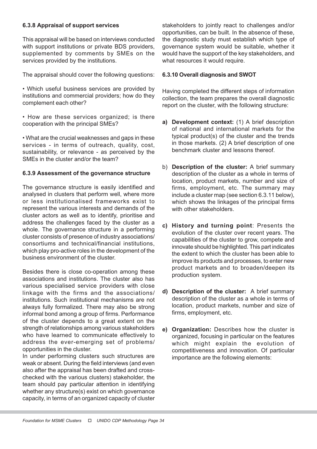# 6.3.8 Appraisal of support services

This appraisal will be based on interviews conducted with support institutions or private BDS providers, supplemented by comments by SMEs on the services provided by the institutions.

The appraisal should cover the following questions:

- Which useful business services are provided by institutions and commercial providers; how do they complement each other?
- How are these services organized; is there cooperation with the principal SMEs?

• What are the crucial weaknesses and gaps in these services - in terms of outreach, quality, cost, sustainability, or relevance - as perceived by the SMEs in the cluster and/or the team?

#### 6.3.9 Assessment of the governance structure

The governance structure is easily identified and analysed in clusters that perform well, where more or less institutionalised frameworks exist to represent the various interests and demands of the cluster actors as well as to identify, prioritise and address the challenges faced by the cluster as a whole. The governance structure in a performing cluster consists of presence of industry associations/ consortiums and technical/financial institutions, which play pro-active roles in the development of the business environment of the cluster.

Besides there is close co-operation among these associations and institutions. The cluster also has various specialised service providers with close linkage with the firms and the associations/ institutions. Such institutional mechanisms are not always fully formalized. There may also be strong informal bond among a group of firms. Performance of the cluster depends to a great extent on the strength of relationships among various stakeholders who have learned to communicate effectively to address the ever-emerging set of problems/ opportunities in the cluster.

In under performing clusters such structures are weak or absent. During the field interviews (and even also after the appraisal has been drafted and crosschecked with the various clusters) stakeholder, the team should pay particular attention in identifying whether any structure(s) exist on which governance capacity, in terms of an organized capacity of cluster stakeholders to jointly react to challenges and/or opportunities, can be built. In the absence of these, the diagnostic study must establish which type of governance system would be suitable, whether it would have the support of the key stakeholders, and what resources it would require.

#### 6.3.10 Overall diagnosis and SWOT

Having completed the different steps of information collection, the team prepares the overall diagnostic report on the cluster, with the following structure:

- a) Development context: (1) A brief description of national and international markets for the typical product(s) of the cluster and the trends in those markets. (2) A brief description of one benchmark cluster and lessons thereof.
- b) Description of the cluster: A brief summary description of the cluster as a whole in terms of location, product markets, number and size of firms, employment, etc. The summary may include a cluster map (see section 6.3.11 below), which shows the linkages of the principal firms with other stakeholders.
- c) History and turning point: Presents the evolution of the cluster over recent years. The capabilities of the cluster to grow, compete and innovate should be highlighted. This part indicates the extent to which the cluster has been able to improve its products and processes, to enter new product markets and to broaden/deepen its production system.
- d) Description of the cluster: A brief summary description of the cluster as a whole in terms of location, product markets, number and size of firms, employment, etc.
- e) Organization: Describes how the cluster is organized, focusing in particular on the features which might explain the evolution of competitiveness and innovation. Of particular importance are the following elements: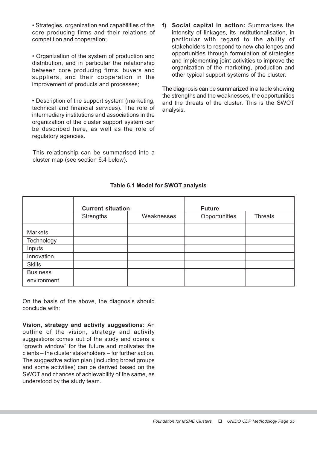• Strategies, organization and capabilities of the core producing firms and their relations of competition and cooperation;

• Organization of the system of production and distribution, and in particular the relationship between core producing firms, buyers and suppliers, and their cooperation in the improvement of products and processes;

• Description of the support system (marketing, technical and financial services). The role of intermediary institutions and associations in the organization of the cluster support system can be described here, as well as the role of regulatory agencies.

This relationship can be summarised into a cluster map (see section 6.4 below).

f) Social capital in action: Summarises the intensity of linkages, its institutionalisation, in particular with regard to the ability of stakeholders to respond to new challenges and opportunities through formulation of strategies and implementing joint activities to improve the organization of the marketing, production and other typical support systems of the cluster.

The diagnosis can be summarized in a table showing the strengths and the weaknesses, the opportunities and the threats of the cluster. This is the SWOT analysis.

|                                | <b>Current situation</b> |            | <b>Future</b> |                |  |
|--------------------------------|--------------------------|------------|---------------|----------------|--|
|                                | Strengths                | Weaknesses | Opportunities | <b>Threats</b> |  |
| <b>Markets</b>                 |                          |            |               |                |  |
| Technology                     |                          |            |               |                |  |
| Inputs                         |                          |            |               |                |  |
| Innovation                     |                          |            |               |                |  |
| <b>Skills</b>                  |                          |            |               |                |  |
| <b>Business</b><br>environment |                          |            |               |                |  |

# Table 6.1 Model for SWOT analysis

On the basis of the above, the diagnosis should conclude with:

Vision, strategy and activity suggestions: An outline of the vision, strategy and activity suggestions comes out of the study and opens a "growth window" for the future and motivates the clients – the cluster stakeholders – for further action. The suggestive action plan (including broad groups and some activities) can be derived based on the SWOT and chances of achievability of the same, as understood by the study team.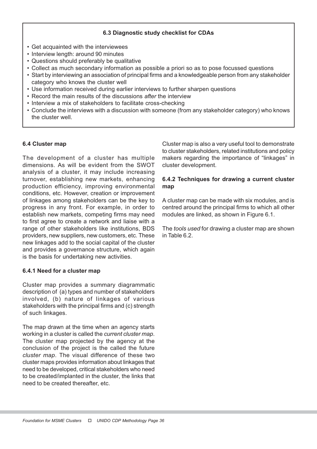### 6.3 Diagnostic study checklist for CDAs

- Get acquainted with the interviewees
- Interview length: around 90 minutes
- Questions should preferably be qualitative
- Collect as much secondary information as possible a priori so as to pose focussed questions
- Start by interviewing an association of principal firms and a knowledgeable person from any stakeholder category who knows the cluster well
- Use information received during earlier interviews to further sharpen questions
- Record the main results of the discussions *after* the interview
- Interview a mix of stakeholders to facilitate cross-checking
- Conclude the interviews with a discussion with someone (from any stakeholder category) who knows the cluster well.

#### 6.4 Cluster map

The development of a cluster has multiple dimensions. As will be evident from the SWOT analysis of a cluster, it may include increasing turnover, establishing new markets, enhancing production efficiency, improving environmental conditions, etc. However, creation or improvement of linkages among stakeholders can be the key to progress in any front. For example, in order to establish new markets, competing firms may need to first agree to create a network and liaise with a range of other stakeholders like institutions, BDS providers, new suppliers, new customers, etc. These new linkages add to the social capital of the cluster and provides a governance structure, which again is the basis for undertaking new activities.

#### 6.4.1 Need for a cluster map

Cluster map provides a summary diagrammatic description of (a) types and number of stakeholders involved, (b) nature of linkages of various stakeholders with the principal firms and (c) strength of such linkages.

The map drawn at the time when an agency starts working in a cluster is called the current cluster map. The cluster map projected by the agency at the conclusion of the project is the called the future cluster map. The visual difference of these two cluster maps provides information about linkages that need to be developed, critical stakeholders who need to be created/implanted in the cluster, the links that need to be created thereafter, etc.

Cluster map is also a very useful tool to demonstrate to cluster stakeholders, related institutions and policy makers regarding the importance of "linkages" in cluster development.

#### 6.4.2 Techniques for drawing a current cluster map

A cluster map can be made with six modules, and is centred around the principal firms to which all other modules are linked, as shown in Figure 6.1.

The *tools used* for drawing a cluster map are shown in Table 6.2.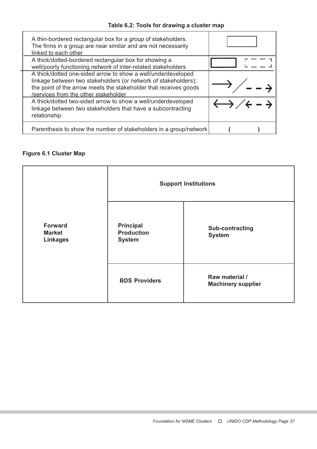| A thin-bordered rectangular box for a group of stakeholders.<br>The firms in a group are near similar and are not necessarily<br>linked to each other                                                                                      |                                                  |
|--------------------------------------------------------------------------------------------------------------------------------------------------------------------------------------------------------------------------------------------|--------------------------------------------------|
| A thick/dotted-bordered rectangular box for showing a<br>well/poorly functioning network of inter-related stakeholders                                                                                                                     |                                                  |
| A thick/dotted one-sided arrow to show a well/underdeveloped<br>linkage between two stakeholders (or network of stakeholders);<br>the point of the arrow meets the stakeholder that receives goods<br>/services from the other stakeholder |                                                  |
| A thick/dotted two-sided arrow to show a well/underdeveloped<br>linkage between two stakeholders that have a subcontracting<br>relationship                                                                                                | $\leftrightarrow$ / $\leftarrow$ - $\rightarrow$ |
| Parenthesis to show the number of stakeholders in a group/network                                                                                                                                                                          |                                                  |

# Figure 6.1 Cluster Map

|                                                    | <b>Support Institutions</b>                            |                                             |  |  |  |
|----------------------------------------------------|--------------------------------------------------------|---------------------------------------------|--|--|--|
| <b>Forward</b><br><b>Market</b><br><b>Linkages</b> | <b>Principal</b><br><b>Production</b><br><b>System</b> | <b>Sub-contracting</b><br><b>System</b>     |  |  |  |
|                                                    | <b>BDS Providers</b>                                   | Raw material /<br><b>Machinery supplier</b> |  |  |  |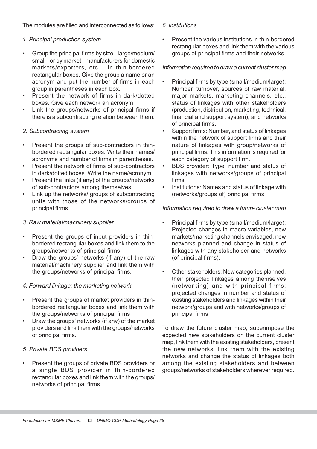The modules are filled and interconnected as follows:

# 1. Principal production system

- Group the principal firms by size large/medium/ small - or by market - manufacturers for domestic markets/exporters, etc. - in thin-bordered rectangular boxes. Give the group a name or an acronym and put the number of firms in each group in parentheses in each box.
- Present the network of firms in dark/dotted boxes. Give each network an acronym.
- Link the groups/networks of principal firms if there is a subcontracting relation between them.

# 2. Subcontracting system

- Present the groups of sub-contractors in thinbordered rectangular boxes. Write their names/ acronyms and number of firms in parentheses.
- Present the network of firms of sub-contractors in dark/dotted boxes. Write the name/acronym.
- Present the links (if any) of the groups/networks of sub-contractors among themselves.
- Link up the networks/ groups of subcontracting units with those of the networks/groups of principal firms.

# 3. Raw material/machinery supplier

- Present the groups of input providers in thinbordered rectangular boxes and link them to the groups/networks of principal firms.
- Draw the groups' networks (if any) of the raw material/machinery supplier and link them with the groups/networks of principal firms.

## 4. Forward linkage: the marketing network

- Present the groups of market providers in thinbordered rectangular boxes and link them with the groups/networks of principal firms
- Draw the groups' networks (if any) of the market providers and link them with the groups/networks of principal firms.

## 5. Private BDS providers

• Present the groups of private BDS providers or a single BDS provider in thin-bordered rectangular boxes and link them with the groups/ networks of principal firms.

#### 6. Institutions

• Present the various institutions in thin-bordered rectangular boxes and link them with the various groups of principal firms and their networks.

## Information required to draw a current cluster map

- Principal firms by type (small/medium/large): Number, turnover, sources of raw material, major markets, marketing channels, etc., status of linkages with other stakeholders (production, distribution, marketing, technical, financial and support system), and networks of principal firms.
- Support firms: Number, and status of linkages within the network of support firms and their nature of linkages with group/networks of principal firms. This information is required for each category of support firm.
- BDS provider: Type, number and status of linkages with networks/groups of principal firms.
- Institutions: Names and status of linkage with (networks/groups of) principal firms.

## Information required to draw a future cluster map

- Principal firms by type (small/medium/large): Projected changes in macro variables, new markets/marketing channels envisaged, new networks planned and change in status of linkages with any stakeholder and networks (of principal firms).
- Other stakeholders: New categories planned, their projected linkages among themselves (networking) and with principal firms; projected changes in number and status of existing stakeholders and linkages within their network/groups and with networks/groups of principal firms.

To draw the future cluster map, superimpose the expected new stakeholders on the current cluster map, link them with the existing stakeholders, present the new networks, link them with the existing networks and change the status of linkages both among the existing stakeholders and between groups/networks of stakeholders wherever required.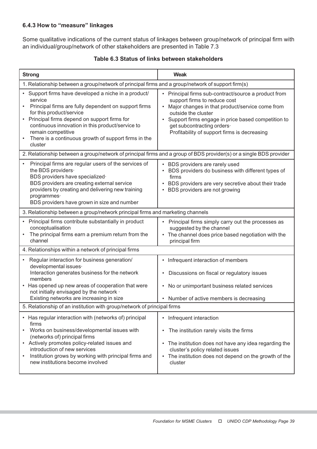# 6.4.3 How to "measure" linkages

Some qualitative indications of the current status of linkages between group/network of principal firm with an individual/group/network of other stakeholders are presented in Table 7.3

| <b>Strong</b>                                                                                                                                                                                                                                                                                                                                                                          | <b>Weak</b>                                                                                                                                                                                                                                                                                          |  |  |  |  |
|----------------------------------------------------------------------------------------------------------------------------------------------------------------------------------------------------------------------------------------------------------------------------------------------------------------------------------------------------------------------------------------|------------------------------------------------------------------------------------------------------------------------------------------------------------------------------------------------------------------------------------------------------------------------------------------------------|--|--|--|--|
| 1. Relationship between a group/network of principal firms and a group/network of support firm(s)                                                                                                                                                                                                                                                                                      |                                                                                                                                                                                                                                                                                                      |  |  |  |  |
| • Support firms have developed a niche in a product/<br>service<br>Principal firms are fully dependent on support firms<br>$\bullet$<br>for this product/service<br>Principal firms depend on support firms for<br>$\bullet$<br>continuous innovation in this product/service to<br>remain competitive<br>There is a continuous growth of support firms in the<br>$\bullet$<br>cluster | • Principal firms sub-contract/source a product from<br>support firms to reduce cost<br>Major changes in that product/service come from<br>outside the cluster<br>• Support firms engage in price based competition to<br>get subcontracting orders.<br>Profitability of support firms is decreasing |  |  |  |  |
| 2. Relationship between a group/network of principal firms and a group of BDS provider(s) or a single BDS provider                                                                                                                                                                                                                                                                     |                                                                                                                                                                                                                                                                                                      |  |  |  |  |
| Principal firms are regular users of the services of<br>$\bullet$<br>the BDS providers.<br>BDS providers have specialized·<br>BDS providers are creating external service<br>providers by creating and delivering new training<br>programmes·<br>BDS providers have grown in size and number                                                                                           | • BDS providers are rarely used<br>• BDS providers do business with different types of<br>firms<br>• BDS providers are very secretive about their trade<br>• BDS providers are not growing                                                                                                           |  |  |  |  |
| 3. Relationship between a group/network principal firms and marketing channels                                                                                                                                                                                                                                                                                                         |                                                                                                                                                                                                                                                                                                      |  |  |  |  |
| • Principal firms contribute substantially in product<br>conceptualisation<br>The principal firms earn a premium return from the<br>$\bullet$<br>channel                                                                                                                                                                                                                               | Principal firms simply carry out the processes as<br>suggested by the channel<br>• The channel does price based negotiation with the<br>principal firm                                                                                                                                               |  |  |  |  |
| 4. Relationships within a network of principal firms                                                                                                                                                                                                                                                                                                                                   |                                                                                                                                                                                                                                                                                                      |  |  |  |  |
| Regular interaction for business generation/<br>$\bullet$<br>developmental issues·<br>Interaction generates business for the network<br>members<br>• Has opened up new areas of cooperation that were<br>not initially envisaged by the network ·<br>Existing networks are increasing in size                                                                                          | • Infrequent interaction of members<br>Discussions on fiscal or regulatory issues<br>• No or unimportant business related services<br>• Number of active members is decreasing                                                                                                                       |  |  |  |  |
| 5. Relationship of an institution with group/network of principal firms                                                                                                                                                                                                                                                                                                                |                                                                                                                                                                                                                                                                                                      |  |  |  |  |
| • Has regular interaction with (networks of) principal<br>firms<br>Works on business/developmental issues with<br>(networks of) principal firms<br>• Actively promotes policy-related issues and<br>introduction of new services<br>Institution grows by working with principal firms and<br>new institutions become involved                                                          | • Infrequent interaction<br>• The institution rarely visits the firms<br>• The institution does not have any idea regarding the<br>cluster's policy related issues<br>• The institution does not depend on the growth of the<br>cluster                                                              |  |  |  |  |

# Table 6.3 Status of links between stakeholders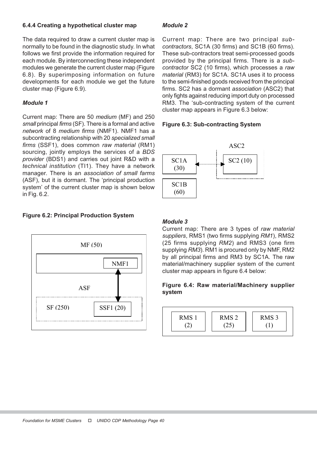## 6.4.4 Creating a hypothetical cluster map

The data required to draw a current cluster map is normally to be found in the diagnostic study. In what follows we first provide the information required for each module. By interconnecting these independent modules we generate the current cluster map (Figure 6.8). By superimposing information on future developments for each module we get the future cluster map (Figure 6.9).

# Module 1

Current map: There are 50 medium (MF) and 250 small principal firms (SF). There is a formal and active network of 8 medium firms (NMF1). NMF1 has a subcontracting relationship with 20 specialized small firms (SSF1), does common raw material (RM1) sourcing, jointly employs the services of a BDS provider (BDS1) and carries out joint R&D with a technical institution (TI1). They have a network manager. There is an association of small farms (ASF), but it is dormant. The 'principal production system' of the current cluster map is shown below in Fig. 6.2.

# Figure 6.2: Principal Production System



# Module 2

Current map: There are two principal subcontractors, SC1A (30 firms) and SC1B (60 firms). These sub-contractors treat semi-processed goods provided by the principal firms. There is a subcontractor SC2 (10 firms), which processes a raw material (RM3) for SC1A. SC1A uses it to process to the semi-finished goods received from the principal firms. SC2 has a dormant association (ASC2) that only fights against reducing import duty on processed RM3. The 'sub-contracting system of the current cluster map appears in Figure 6.3 below:

## Figure 6.3: Sub-contracting System



#### Module 3

Current map: There are 3 types of raw material suppliers, RMS1 (two firms supplying RM1), RMS2 (25 firms supplying RM2) and RMS3 (one firm supplying RM3). RM1 is procured only by NMF, RM2 by all principal firms and RM3 by SC1A. The raw material/machinery supplier system of the current cluster map appears in figure 6.4 below:

## Figure 6.4: Raw material/Machinery supplier system

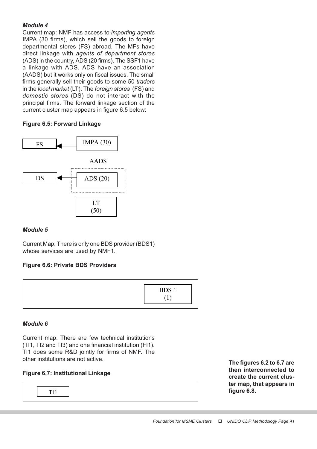# Module 4

Current map: NMF has access to importing agents IMPA (30 firms), which sell the goods to foreign departmental stores (FS) abroad. The MFs have direct linkage with agents of department stores (ADS) in the country, ADS (20 firms). The SSF1 have a linkage with ADS. ADS have an association (AADS) but it works only on fiscal issues. The small firms generally sell their goods to some 50 traders in the local market (LT). The foreign stores (FS) and domestic stores (DS) do not interact with the principal firms. The forward linkage section of the current cluster map appears in figure 6.5 below:

# Figure 6.5: Forward Linkage



# Module 5

Current Map: There is only one BDS provider (BDS1) whose services are used by NMF1.

# Figure 6.6: Private BDS Providers



# Module 6

Current map: There are few technical institutions (TI1, TI2 and TI3) and one financial institution (FI1). TI1 does some R&D jointly for firms of NMF. The other institutions are not active.

# Figure 6.7: Institutional Linkage

TI1

The figures 6.2 to 6.7 are then interconnected to create the current cluster map, that appears in figure 6.8.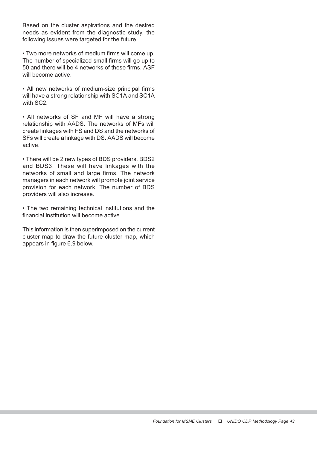Based on the cluster aspirations and the desired needs as evident from the diagnostic study, the following issues were targeted for the future

• Two more networks of medium firms will come up. The number of specialized small firms will go up to 50 and there will be 4 networks of these firms. ASF will become active.

• All new networks of medium-size principal firms will have a strong relationship with SC1A and SC1A with SC2.

• All networks of SF and MF will have a strong relationship with AADS. The networks of MFs will create linkages with FS and DS and the networks of SFs will create a linkage with DS. AADS will become active.

• There will be 2 new types of BDS providers, BDS2 and BDS3. These will have linkages with the networks of small and large firms. The network managers in each network will promote joint service provision for each network. The number of BDS providers will also increase.

• The two remaining technical institutions and the financial institution will become active.

This information is then superimposed on the current cluster map to draw the future cluster map, which appears in figure 6.9 below.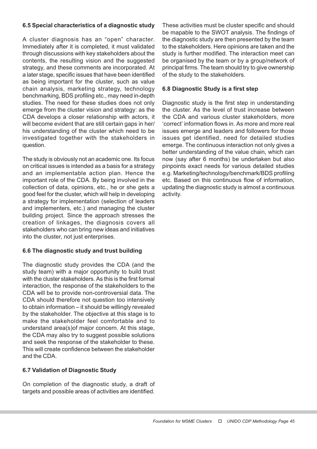# 6.5 Special characteristics of a diagnostic study

A cluster diagnosis has an "open" character. Immediately after it is completed, it must validated through discussions with key stakeholders about the contents, the resulting vision and the suggested strategy, and these comments are incorporated. At a later stage, specific issues that have been identified as being important for the cluster, such as value chain analysis, marketing strategy, technology benchmarking, BDS profiling etc., may need in-depth studies. The need for these studies does not only emerge from the cluster vision and strategy: as the CDA develops a closer relationship with actors, it will become evident that are still certain gaps in her/ his understanding of the cluster which need to be investigated together with the stakeholders in question.

The study is obviously not an academic one. Its focus on critical issues is intended as a basis for a strategy and an implementable action plan. Hence the important role of the CDA. By being involved in the collection of data, opinions, etc., he or she gets a good feel for the cluster, which will help in developing a strategy for implementation (selection of leaders and implementers, etc.) and managing the cluster building project. Since the approach stresses the creation of linkages, the diagnosis covers all stakeholders who can bring new ideas and initiatives into the cluster, not just enterprises.

## 6.6 The diagnostic study and trust building

The diagnostic study provides the CDA (and the study team) with a major opportunity to build trust with the cluster stakeholders. As this is the first formal interaction, the response of the stakeholders to the CDA will be to provide non-controversial data. The CDA should therefore not question too intensively to obtain information – it should be willingly revealed by the stakeholder. The objective at this stage is to make the stakeholder feel comfortable and to understand area(s)of major concern. At this stage, the CDA may also try to suggest possible solutions and seek the response of the stakeholder to these. This will create confidence between the stakeholder and the CDA.

# 6.7 Validation of Diagnostic Study

On completion of the diagnostic study, a draft of targets and possible areas of activities are identified.

These activities must be cluster specific and should be mapable to the SWOT analysis. The findings of the diagnostic study are then presented by the team to the stakeholders. Here opinions are taken and the study is further modified. The interaction meet can be organised by the team or by a group/network of principal firms. The team should try to give ownership of the study to the stakeholders.

## 6.8 Diagnostic Study is a first step

Diagnostic study is the first step in understanding the cluster. As the level of trust increase between the CDA and various cluster stakeholders, more 'correct' information flows in. As more and more real issues emerge and leaders and followers for those issues get identified, need for detailed studies emerge. The continuous interaction not only gives a better understanding of the value chain, which can now (say after 6 months) be undertaken but also pinpoints exact needs for various detailed studies e.g. Marketing/technology/benchmark/BDS profiling etc. Based on this continuous flow of information, updating the diagnostic study is almost a continuous activity.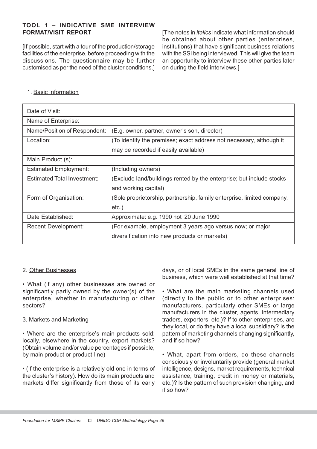# TOOL 1 – INDICATIVE SME INTERVIEW FORMAT/VISIT REPORT

[If possible, start with a tour of the production/storage facilities of the enterprise, before proceeding with the discussions. The questionnaire may be further customised as per the need of the cluster conditions.] [The notes in italics indicate what information should be obtained about other parties (enterprises, institutions) that have significant business relations with the SSI being interviewed. This will give the team an opportunity to interview these other parties later on during the field interviews.]

#### 1. Basic Information

| Date of Visit:               |                                                                        |
|------------------------------|------------------------------------------------------------------------|
| Name of Enterprise:          |                                                                        |
| Name/Position of Respondent: | (E.g. owner, partner, owner's son, director)                           |
| Location:                    | (To identify the premises; exact address not necessary, although it    |
|                              | may be recorded if easily available)                                   |
| Main Product (s):            |                                                                        |
| <b>Estimated Employment:</b> | (Including owners)                                                     |
| Estimated Total Investment:  | (Exclude land/buildings rented by the enterprise; but include stocks   |
|                              | and working capital)                                                   |
| Form of Organisation:        | (Sole proprietorship, partnership, family enterprise, limited company, |
|                              | $etc.$ )                                                               |
| Date Established:            | Approximate: e.g. 1990 not 20 June 1990                                |
| <b>Recent Development:</b>   | (For example, employment 3 years ago versus now; or major              |
|                              | diversification into new products or markets)                          |

## 2. Other Businesses

• What (if any) other businesses are owned or significantly partly owned by the owner(s) of the enterprise, whether in manufacturing or other sectors?

## 3. Markets and Marketing

• Where are the enterprise's main products sold: locally, elsewhere in the country, export markets? (Obtain volume and/or value percentages if possible, by main product or product-line)

• (If the enterprise is a relatively old one in terms of the cluster's history). How do its main products and markets differ significantly from those of its early

days, or of local SMEs in the same general line of business, which were well established at that time?

• What are the main marketing channels used (directly to the public or to other enterprises: manufacturers, particularly other SMEs or large manufacturers in the cluster, agents, intermediary traders, exporters, etc.)? If to other enterprises, are they local, or do they have a local subsidiary? Is the pattern of marketing channels changing significantly, and if so how?

• What, apart from orders, do these channels consciously or involuntarily provide (general market intelligence, designs, market requirements, technical assistance, training, credit in money or materials, etc.)? Is the pattern of such provision changing, and if so how?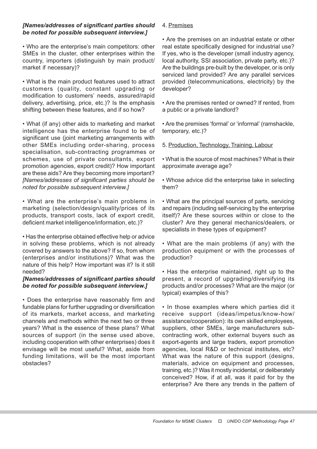# [Names/addresses of significant parties should be noted for possible subsequent interview.]

• Who are the enterprise's main competitors: other SMEs in the cluster, other enterprises within the country, importers (distinguish by main product/ market if necessary)?

• What is the main product features used to attract customers (quality, constant upgrading or modification to customers' needs, assured/rapid delivery, advertising, price, etc.)? Is the emphasis shifting between these features, and if so how?

• What (if any) other aids to marketing and market intelligence has the enterprise found to be of significant use (joint marketing arrangements with other SMEs including order-sharing, process specialisation, sub-contracting programmes or schemes, use of private consultants, export promotion agencies, export credit)? How important are these aids? Are they becoming more important? [Names/addresses of significant parties should be noted for possible subsequent interview.]

• What are the enterprise's main problems in marketing (selection/design/quality/prices of its products, transport costs, lack of export credit, deficient market intelligence/information, etc.)?

• Has the enterprise obtained effective help or advice in solving these problems, which is not already covered by answers to the above? If so, from whom (enterprises and/or institutions)? What was the nature of this help? How important was it? Is it still needed?

## [Names/addresses of significant parties should be noted for possible subsequent interview.]

• Does the enterprise have reasonably firm and fundable plans for further upgrading or diversification of its markets, market access, and marketing channels and methods within the next two or three years? What is the essence of these plans? What sources of support (in the sense used above, including cooperation with other enterprises) does it envisage will be most useful? What, aside from funding limitations, will be the most important obstacles?

### 4. Premises

• Are the premises on an industrial estate or other real estate specifically designed for industrial use? If yes, who is the developer (small industry agency, local authority, SSI association, private party, etc.)? Are the buildings pre-built by the developer, or is only serviced land provided? Are any parallel services provided (telecommunications, electricity) by the developer?

• Are the premises rented or owned? If rented, from a public or a private landlord?

• Are the premises 'formal' or 'informal' (ramshackle, temporary, etc.)?

5. Production, Technology, Training, Labour

• What is the source of most machines? What is their approximate average age?

• Whose advice did the enterprise take in selecting them?

• What are the principal sources of parts, servicing and repairs (including self-servicing by the enterprise itself)? Are these sources within or close to the cluster? Are they general mechanics/dealers, or specialists in these types of equipment?

• What are the main problems (if any) with the production equipment or with the processes of production?

• Has the enterprise maintained, right up to the present, a record of upgrading/diversifying its products and/or processes? What are the major (or typical) examples of this?

• In those examples where which parties did it receive support (ideas/impetus/know-how/ assistance/cooperation): its own skilled employees, suppliers, other SMEs, large manufacturers subcontracting work, other external buyers such as export-agents and large traders, export promotion agencies, local R&D or technical institutes, etc? What was the nature of this support (designs, materials, advice on equipment and processes, training, etc.)? Was it mostly incidental, or deliberately conceived? How, if at all, was it paid for by the enterprise? Are there any trends in the pattern of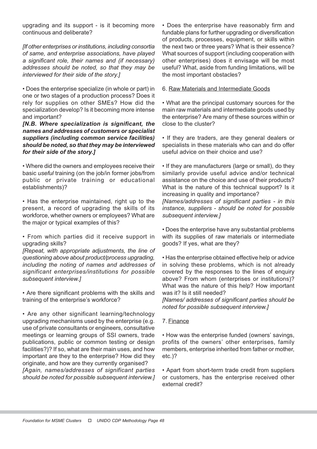upgrading and its support - is it becoming more continuous and deliberate?

[If other enterprises or institutions, including consortia of same, and enterprise associations, have played a significant role, their names and (if necessary) addresses should be noted, so that they may be interviewed for their side of the story.]

• Does the enterprise specialize (in whole or part) in one or two stages of a production process? Does it rely for supplies on other SMEs? How did the specialization develop? Is it becoming more intense and important?

[N.B. Where specialization is significant, the names and addresses of customers or specialist suppliers (including common service facilities) should be noted, so that they may be interviewed for their side of the story.]

• Where did the owners and employees receive their basic useful training (on the job/in former jobs/from public or private training or educational establishments)?

• Has the enterprise maintained, right up to the present, a record of upgrading the skills of its workforce, whether owners or employees? What are the major or typical examples of this?

• From which parties did it receive support in upgrading skills?

[Repeat, with appropriate adjustments, the line of questioning above about product/process upgrading, including the noting of names and addresses of significant enterprises/institutions for possible subsequent interview.1

• Are there significant problems with the skills and training of the enterprise's workforce?

• Are any other significant learning/technology upgrading mechanisms used by the enterprise (e.g. use of private consultants or engineers, consultative meetings or learning groups of SSI owners, trade publications, public or common testing or design facilities?)? If so, what are their main uses, and how important are they to the enterprise? How did they originate, and how are they currently organised? [Again, names/addresses of significant parties should be noted for possible subsequent interview.]

• Does the enterprise have reasonably firm and fundable plans for further upgrading or diversification of products, processes, equipment, or skills within the next two or three years? What is their essence? What sources of support (including cooperation with other enterprises) does it envisage will be most useful? What, aside from funding limitations, will be the most important obstacles?

6. Raw Materials and Intermediate Goods

• What are the principal customary sources for the main raw materials and intermediate goods used by the enterprise? Are many of these sources within or close to the cluster?

• If they are traders, are they general dealers or specialists in these materials who can and do offer useful advice on their choice and use?

• If they are manufacturers (large or small), do they similarly provide useful advice and/or technical assistance on the choice and use of their products? What is the nature of this technical support? Is it increasing in quality and importance?

[Names/addresses of significant parties - in this instance, suppliers - should be noted for possible subsequent interview.]

• Does the enterprise have any substantial problems with its supplies of raw materials or intermediate goods? If yes, what are they?

• Has the enterprise obtained effective help or advice in solving these problems, which is not already covered by the responses to the lines of enquiry above? From whom (enterprises or institutions)? What was the nature of this help? How important was it? Is it still needed?

[Names/ addresses of significant parties should be noted for possible subsequent interview.]

7. Finance

• How was the enterprise funded (owners' savings, profits of the owners' other enterprises, family members, enterprise inherited from father or mother, etc.)?

• Apart from short-term trade credit from suppliers or customers, has the enterprise received other external credit?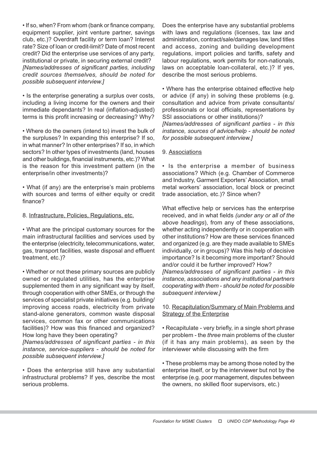• If so, when? From whom (bank or finance company, equipment supplier, joint venture partner, savings club, etc.)? Overdraft facility or term loan? Interest rate? Size of loan or credit-limit? Date of most recent credit? Did the enterprise use services of any party, institutional or private, in securing external credit? [Names/addresses of significant parties, including credit sources themselves, should be noted for possible subsequent interview.]

• Is the enterprise generating a surplus over costs, including a living income for the owners and their immediate dependants? In real (inflation-adjusted) terms is this profit increasing or decreasing? Why?

• Where do the owners (intend to) invest the bulk of the surpluses? In expanding this enterprise? If so, in what manner? In other enterprises? If so, in which sectors? In other types of investments (land, houses and other buildings, financial instruments, etc.)? What is the reason for this investment pattern (in the enterprise/in other investments)?

• What (if any) are the enterprise's main problems with sources and terms of either equity or credit finance?

8. Infrastructure, Policies, Regulations, etc.

• What are the principal customary sources for the main infrastructural facilities and services used by the enterprise (electricity, telecommunications, water, gas, transport facilities, waste disposal and effluent treatment, etc.)?

• Whether or not these primary sources are publicly owned or regulated utilities, has the enterprise supplemented them in any significant way by itself, through cooperation with other SMEs, or through the services of specialist private initiatives (e.g. building/ improving access roads, electricity from private stand-alone generators, common waste disposal services, common fax or other communications facilities)? How was this financed and organized? How long have they been operating?

[Names/addresses of significant parties - in this instance, service-suppliers - should be noted for possible subsequent interview.]

• Does the enterprise still have any substantial infrastructural problems? If yes, describe the most serious problems.

Does the enterprise have any substantial problems with laws and regulations (licenses, tax law and administration, contract/sale/damages law, land titles and access, zoning and building development regulations, import policies and tariffs, safety and labour regulations, work permits for non-nationals, laws on acceptable loan-collateral, etc.)? If yes, describe the most serious problems.

• Where has the enterprise obtained effective help or advice (if any) in solving these problems (e.g. consultation and advice from private consultants/ professionals or local officials, representations by SSI associations or other institutions)?

[Names/addresses of significant parties - in this instance, sources of advice/help - should be noted for possible subsequent interview.]

# 9. Associations

• Is the enterprise a member of business associations? Which (e.g. Chamber of Commerce and Industry, Garment Exporters' Association, small metal workers' association, local block or precinct trade association, etc.)? Since when?

What effective help or services has the enterprise received, and in what fields (under any or all of the above headings), from any of these associations, whether acting independently or in cooperation with other institutions? How are these services financed and organized (e.g. are they made available to SMEs individually, or in groups)? Was this help of decisive importance? Is it becoming more important? Should and/or could it be further improved? How? [Names/addresses of significant parties - in this instance, associations and any institutional partners cooperating with them - should be noted for possible subsequent interview.]

# 10. Recapitulation/Summary of Main Problems and Strategy of the Enterprise

• Recapitulate - very briefly, in a single short phrase per problem - the three main problems of the cluster (if it has any main problems), as seen by the interviewer while discussing with the firm

• These problems may be among those noted by the enterprise itself, or by the interviewer but not by the enterprise (e.g. poor management, disputes between the owners, no skilled floor supervisors, etc.)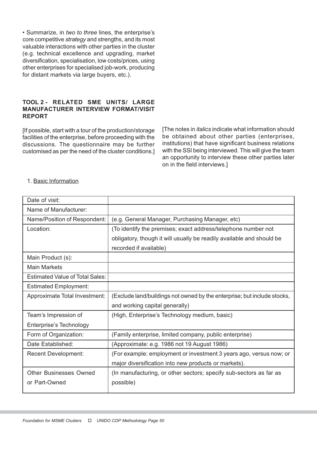• Summarize, in two to three lines, the enterprise's core competitive strategy and strengths, and its most valuable interactions with other parties in the cluster (e.g. technical excellence and upgrading, market diversification, specialisation, low costs/prices, using other enterprises for specialised job-work, producing for distant markets via large buyers, etc.).

### TOOL 2 - RELATED SME UNITS/ LARGE MANUFACTURER INTERVIEW FORMAT/VISIT REPORT

[If possible, start with a tour of the production/storage facilities of the enterprise, before proceeding with the discussions. The questionnaire may be further customised as per the need of the cluster conditions.] [The notes in italics indicate what information should be obtained about other parties (enterprises, institutions) that have significant business relations with the SSI being interviewed. This will give the team an opportunity to interview these other parties later on in the field interviews.]

# 1. Basic Information

| Date of visit:                         |                                                                          |
|----------------------------------------|--------------------------------------------------------------------------|
| Name of Manufacturer:                  |                                                                          |
| Name/Position of Respondent:           | (e.g. General Manager, Purchasing Manager, etc)                          |
| Location:                              | (To identify the premises; exact address/telephone number not            |
|                                        | obligatory, though it will usually be readily available and should be    |
|                                        | recorded if available)                                                   |
| Main Product (s):                      |                                                                          |
| <b>Main Markets</b>                    |                                                                          |
| <b>Estimated Value of Total Sales:</b> |                                                                          |
| <b>Estimated Employment:</b>           |                                                                          |
| Approximate Total Investment:          | (Exclude land/buildings not owned by the enterprise; but include stocks, |
|                                        | and working capital generally)                                           |
| Team's Impression of                   | (High, Enterprise's Technology medium, basic)                            |
| Enterprise's Technology                |                                                                          |
| Form of Organization:                  | (Family enterprise, limited company, public enterprise)                  |
| Date Established:                      | (Approximate: e.g. 1986 not 19 August 1986)                              |
| <b>Recent Development:</b>             | (For example: employment or investment 3 years ago, versus now; or       |
|                                        | major diversification into new products or markets).                     |
| <b>Other Businesses Owned</b>          | (In manufacturing, or other sectors; specify sub-sectors as far as       |
| or Part-Owned                          | possible)                                                                |
|                                        |                                                                          |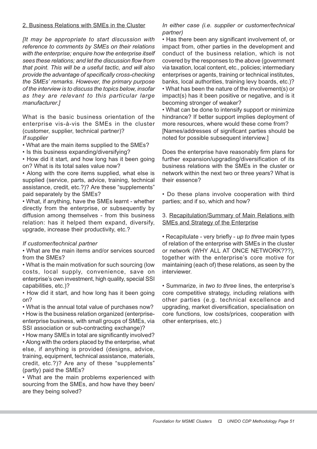### 2. Business Relations with SMEs in the Cluster

[It may be appropriate to start discussion with reference to comments by SMEs on their relations with the enterprise; enquire how the enterprise itself sees these relations; and let the discussion flow from that point. This will be a useful tactic, and will also provide the advantage of specifically cross-checking the SMEs' remarks. However, the primary purpose of the interview is to discuss the topics below, insofar as they are relevant to this particular large manufacturer.]

What is the basic business orientation of the enterprise vis-à-vis the SMEs in the cluster (customer, supplier, technical partner)? If supplier

• What are the main items supplied to the SMEs?

• Is this business expanding/diversifying?

• How did it start, and how long has it been going on? What is its total sales value now?

• Along with the core items supplied, what else is supplied (service, parts, advice, training, technical assistance, credit, etc.?)? Are these "supplements" paid separately by the SMEs?

• What, if anything, have the SMEs learnt - whether directly from the enterprise, or subsequently by diffusion among themselves - from this business relation: has it helped them expand, diversify, upgrade, increase their productivity, etc.?

#### If customer/technical partner

• What are the main items and/or services sourced from the SMEs?

• What is the main motivation for such sourcing (low costs, local supply, convenience, save on enterprise's own investment, high quality, special SSI capabilities, etc.)?

• How did it start, and how long has it been going on?

• What is the annual total value of purchases now? • How is the business relation organized (enterpriseenterprise business, with small groups of SMEs, via SSI association or sub-contracting exchange)?

• How many SMEs in total are significantly involved? • Along with the orders placed by the enterprise, what else, if anything is provided (designs, advice, training, equipment, technical assistance, materials, credit, etc.?)? Are any of these "supplements" (partly) paid the SMEs?

• What are the main problems experienced with sourcing from the SMEs, and how have they been/ are they being solved?

### In either case (i.e. supplier or customer/technical partner)

• Has there been any significant involvement of, or impact from, other parties in the development and conduct of the business relation, which is not covered by the responses to the above (government via taxation, local content, etc., policies; intermediary enterprises or agents, training or technical institutes, banks, local authorities, training levy boards, etc.)? • What has been the nature of the involvement(s) or impact(s) has it been positive or negative, and is it becoming stronger of weaker?

• What can be done to intensify support or minimize hindrance? If better support implies deployment of more resources, where would these come from? [Names/addresses of significant parties should be noted for possible subsequent interview.]

Does the enterprise have reasonably firm plans for further expansion/upgrading/diversification of its business relations with the SMEs in the cluster or network within the next two or three years? What is their essence?

• Do these plans involve cooperation with third parties; and if so, which and how?

3. Recapitulation/Summary of Main Relations with SMEs and Strategy of the Enterprise

• Recapitulate - very briefly - up to three main types of relation of the enterprise with SMEs in the cluster or network (WHY ALL AT ONCE NETWORK???), together with the enterprise's core motive for maintaining (each of) these relations, as seen by the interviewer.

• Summarize, in two to three lines, the enterprise's core competitive strategy, including relations with other parties (e.g. technical excellence and upgrading, market diversification, specialisation on core functions, low costs/prices, cooperation with other enterprises, etc.)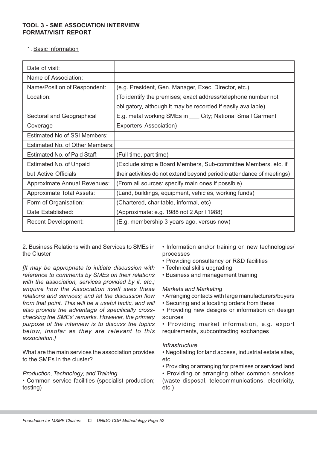## TOOL 3 - SME ASSOCIATION INTERVIEW FORMAT/VISIT REPORT

1. Basic Information

| Date of visit:                      |                                                                        |
|-------------------------------------|------------------------------------------------------------------------|
| Name of Association:                |                                                                        |
| Name/Position of Respondent:        | (e.g. President, Gen. Manager, Exec. Director, etc.)                   |
| Location:                           | (To identify the premises; exact address/telephone number not          |
|                                     | obligatory, although it may be recorded if easily available)           |
| Sectoral and Geographical           | E.g. metal working SMEs in ___ City; National Small Garment            |
| Coverage                            | Exporters Association)                                                 |
| <b>Estimated No of SSI Members:</b> |                                                                        |
| Estimated No. of Other Members:     |                                                                        |
| Estimated No. of Paid Staff:        | (Full time, part time)                                                 |
| Estimated No. of Unpaid             | (Exclude simple Board Members, Sub-committee Members, etc. if          |
| but Active Officials                | their activities do not extend beyond periodic attendance of meetings) |
| <b>Approximate Annual Revenues:</b> | (From all sources: specify main ones if possible)                      |
| <b>Approximate Total Assets:</b>    | (Land, buildings, equipment, vehicles, working funds)                  |
| Form of Organisation:               | (Chartered, charitable, informal, etc)                                 |
| Date Established:                   | (Approximate: e.g. 1988 not 2 April 1988)                              |
| <b>Recent Development:</b>          | (E.g. membership 3 years ago, versus now)                              |

2. Business Relations with and Services to SMEs in the Cluster

[It may be appropriate to initiate discussion with reference to comments by SMEs on their relations with the association, services provided by it, etc.; enquire how the Association itself sees these relations and services; and let the discussion flow from that point. This will be a useful tactic, and will also provide the advantage of specifically crosschecking the SMEs' remarks. However, the primary purpose of the interview is to discuss the topics below, insofar as they are relevant to this association.]

What are the main services the association provides to the SMEs in the cluster?

#### Production, Technology, and Training

• Common service facilities (specialist production; testing)

• Information and/or training on new technologies/ processes

- Providing consultancy or R&D facilities
- Technical skills upgrading
- Business and management training

#### Markets and Marketing

- Arranging contacts with large manufacturers/buyers
- Securing and allocating orders from these

• Providing new designs or information on design sources

• Providing market information, e.g. export requirements, subcontracting exchanges

#### **Infrastructure**

- Negotiating for land access, industrial estate sites, etc.
- Providing or arranging for premises or serviced land

• Providing or arranging other common services (waste disposal, telecommunications, electricity, etc.)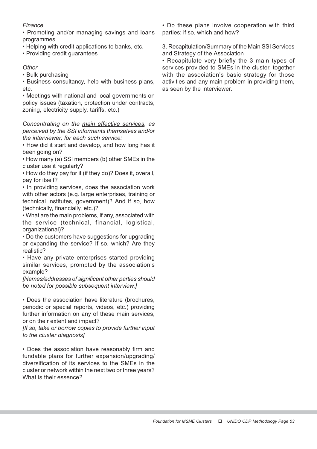# **Finance**

• Promoting and/or managing savings and loans programmes

- Helping with credit applications to banks, etc.
- Providing credit guarantees

# **Other**

• Bulk purchasing

• Business consultancy, help with business plans, etc.

• Meetings with national and local governments on policy issues (taxation, protection under contracts, zoning, electricity supply, tariffs, etc.)

Concentrating on the main effective services, as perceived by the SSI informants themselves and/or the interviewer, for each such service:

• How did it start and develop, and how long has it been going on?

• How many (a) SSI members (b) other SMEs in the cluster use it regularly?

• How do they pay for it (if they do)? Does it, overall, pay for itself?

• In providing services, does the association work with other actors (e.g. large enterprises, training or technical institutes, government)? And if so, how (technically, financially, etc.)?

• What are the main problems, if any, associated with the service (technical, financial, logistical, organizational)?

• Do the customers have suggestions for upgrading or expanding the service? If so, which? Are they realistic?

• Have any private enterprises started providing similar services, prompted by the association's example?

[Names/addresses of significant other parties should be noted for possible subsequent interview.]

• Does the association have literature (brochures, periodic or special reports, videos, etc.) providing further information on any of these main services, or on their extent and impact?

[If so, take or borrow copies to provide further input to the cluster diagnosis]

• Does the association have reasonably firm and fundable plans for further expansion/upgrading/ diversification of its services to the SMEs in the cluster or network within the next two or three years? What is their essence?

• Do these plans involve cooperation with third parties; if so, which and how?

3. Recapitulation/Summary of the Main SSI Services and Strategy of the Association

• Recapitulate very briefly the 3 main types of services provided to SMEs in the cluster, together with the association's basic strategy for those activities and any main problem in providing them, as seen by the interviewer.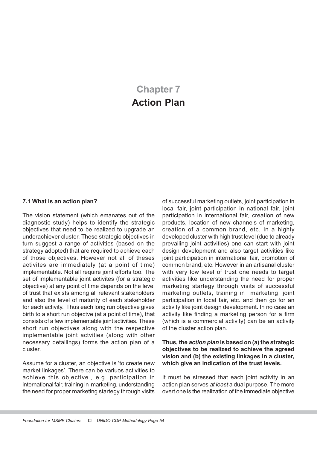# Chapter 7 Action Plan

#### 7.1 What is an action plan?

The vision statement (which emanates out of the diagnostic study) helps to identify the strategic objectives that need to be realized to upgrade an underachiever cluster. These strategic objectives in turn suggest a range of activities (based on the strategy adopted) that are required to achieve each of those objectives. However not all of theses activites are immediately (at a point of time) implementable. Not all require joint efforts too. The set of implementable joint activites (for a strategic objective) at any point of time depends on the level of trust that exists among all relevant stakeholders and also the level of maturity of each stakeholder for each activity. Thus each long run objective gives birth to a short run objectve (at a point of time), that consists of a few implementable joint activities. These short run objectives along with the respective implementable joint actvities (along with other necessary detailings) forms the action plan of a cluster.

Assume for a cluster, an objective is 'to create new market linkages'. There can be variuos activities to achieve this objective., e.g. participation in international fair, training in marketing, understanding the need for proper marketing startegy through visits of successful marketing outlets, joint participation in local fair, joint participation in national fair, joint participation in international fair, creation of new products, location of new channels of marketing, creation of a common brand, etc. In a highly developed cluster with high trust level (due to already prevailing joint activities) one can start with joint design development and also target activities like joint participation in international fair, promotion of common brand, etc. However in an artisanal cluster with very low level of trust one needs to target activities like understanding the need for proper marketing startegy through visits of successful marketing outlets, training in marketing, joint participation in local fair, etc. and then go for an activity like joint design development. In no case an activity like finding a marketing person for a firm (which is a commercial activity) can be an activity of the cluster action plan.

#### Thus, the action plan is based on (a) the strategic objectives to be realized to achieve the agreed vision and (b) the existing linkages in a cluster, which give an indication of the trust levels.

It must be stressed that each joint activity in an action plan serves at least a dual purpose. The more overt one is the realization of the immediate objective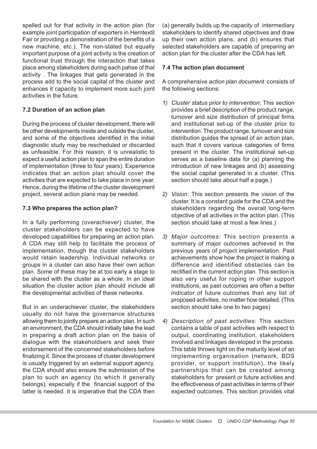spelled out for that activity in the action plan (for example joint participation of exporters in Hemtextil Fair or providing a demonstration of the benefits of a new machine, etc.). The non-stated but equally important purpose of a joint activity is the creation of functional trust through the interaction that takes place among stakeholders during each pahse of that activity . The linkages that gets generated in the process add to the social capital of the cluster and enhances it capacity to implement more such joint activities in the future.

# 7.2 Duration of an action plan

During the process of cluster development, there will be other developments inside and outside the cluster, and some of the objectives identified in the initial diagnostic study may be rescheduled or discarded as unfeasible. For this reason, it is unrealistic to expect a useful action plan to span the entire duration of implementation (three to four years). Experience indicates that an action plan should cover the activities that are expected to take place in one year. Hence, during the lifetime of the cluster development project, several action plans may be needed.

# 7.3 Who prepares the action plan?

In a fully performing (overachiever) cluster, the cluster stakeholders can be expected to have developed capabilities for preparing an action plan. A CDA may still help to facilitate the process of implementation, though the cluster stakeholders would retain leadership. Individual networks or groups in a cluster can also have their own action plan. Some of these may be at too early a stage to be shared with the cluster as a whole. In an ideal situation the cluster action plan should include all the developmental activities of these networks.

But in an underachiever cluster, the stakeholders usually do not have the governance structures allowing them to jointly prepare an action plan. In such an environment, the CDA should initially take the lead in preparing a draft action plan on the basis of dialogue with the stakeholdsers and seek their endorsement of the concerned stakeholders before finalizing it. Since the process of cluster development is usually triggered by an external support agency, the CDA should also ensure the submission of the plan to such an agency (to which it generally belongs), especially if the financial support of the latter is needed. It is imperative that the CDA then

(a) generally builds up the capacity of intermediary stakeholders to identify shared objectives and draw up their own action plans, and (b) ensures that selected stakeholders are capable of preparing an action plan for the cluster after the CDA has left.

# 7.4 The action plan document

A comprehensive action plan document consists of the following sections:

- 1) Cluster status prior to intervention: This section provides a brief description of the product range, turnover and size distribution of principal firms and institutional set-up of the cluster prior to intervention. The product range, turnover and size distribution guides the spread of an action plan, such that it covers various categories of firms present in the cluster. The institutional set-up serves as a baseline data for (a) planning the introduction of new linkages and (b) assessing the social capital generated in a cluster. (This section should take about half a page.)
- 2) Vision: This section presents the vision of the cluster. It is a constant guide for the CDA and the stakeholders regarding the overall long-term objective of all activities in the action plan. (This section should take at most a few lines.)
- 3) Major outcomes: This section presents a summary of major outcomes achieved in the previous years of project implementation. Past achievements show how the project is making a difference and identified obstacles can be rectified in the current action plan. This section is also very useful for roping in other support institutions, as past outcomes are often a better indicator of future outcomes than any list of proposed activities, no matter how detailed. (This section should take one to two pages)
- 4) Description of past activities: This section contains a table of past activities with respect to output, coordinating institution, stakeholders involved and linkages developed in the process. This table throws light on the maturity level of an implementing organisation (network, BDS provider, or support institution), the likely partnerships that can be created among stakeholders for present or future activities and the effectiveness of past activities in terms of their expected outcomes. This section provides vital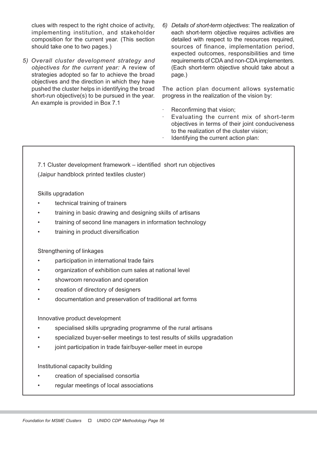clues with respect to the right choice of activity, implementing institution, and stakeholder composition for the current year. (This section should take one to two pages.)

- 5) Overall cluster development strategy and objectives for the current year: A review of strategies adopted so far to achieve the broad objectives and the direction in which they have pushed the cluster helps in identifying the broad short-run objective(s) to be pursued in the year. An example is provided in Box 7.1
- 6) Details of short-term objectives: The realization of each short-term objective requires activities are detailed with respect to the resources required, sources of finance, implementation period, expected outcomes, responsibilities and time requirements of CDA and non-CDA implementers. (Each short-term objective should take about a page.)

The action plan document allows systematic progress in the realization of the vision by:

- Reconfirming that vision;
- Evaluating the current mix of short-term objectives in terms of their joint conduciveness to the realization of the cluster vision;
- Identifying the current action plan:

7.1 Cluster development framework – identified short run objectives (Jaipur handblock printed textiles cluster)

Skills upgradation

- technical training of trainers
- training in basic drawing and designing skills of artisans
- training of second line managers in information technology
- training in product diversification

Strengthening of linkages

- participation in international trade fairs
- organization of exhibition cum sales at national level
- showroom renovation and operation
- creation of directory of designers
- documentation and preservation of traditional art forms

Innovative product development

- specialised skills uprgrading programme of the rural artisans
- specialized buyer-seller meetings to test results of skills upgradation
- joint participation in trade fair/buyer-seller meet in europe

Institutional capacity building

- creation of specialised consortia
- regular meetings of local associations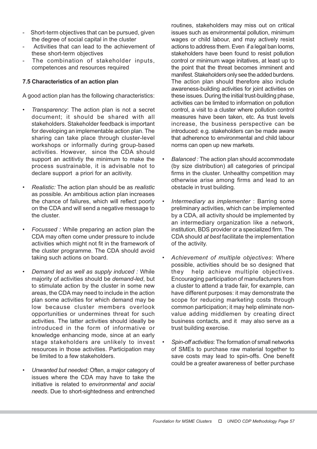- Short-term objectives that can be pursued, given the degree of social capital in the cluster
- Activities that can lead to the achievement of these short-term objectives
- The combination of stakeholder inputs, competences and resources required

# 7.5 Characteristics of an action plan

A good action plan has the following characteristics:

- Transparency: The action plan is not a secret document; it should be shared with all stakeholders. Stakeholder feedback is important for developing an implementable action plan. The sharing can take place through cluster-level workshops or informally during group-based activities. However, since the CDA should support an actitivtiy the minimum to make the process sustrainable, it is advisable not to declare support a priori for an acitivity.
- Realistic: The action plan should be as realistic as possible. An ambitious action plan increases the chance of failures, which will reflect poorly on the CDA and will send a negative message to the cluster.
- Focussed : While preparing an action plan the CDA may often come under pressure to include activities which might not fit in the framework of the cluster programme. The CDA should avoid taking such actions on board.
- Demand led as well as supply induced : While majority of activities should be demand-led, but to stimulate action by the cluster in some new areas, the CDA may need to include in the action plan some activities for which demand may be low because cluster members overlook opportunities or undermines threat for such activities. The latter activities should ideally be introduced in the form of informative or knowledge enhancing mode, since at an early stage stakeholders are unlikely to invest resources in those activities. Participation may be limited to a few stakeholders.
- Unwanted but needed: Often, a major category of issues where the CDA may have to take the initiative is related to environmental and social needs. Due to short-sightedness and entrenched

routines, stakeholders may miss out on critical issues such as environmental pollution, minimum wages or child labour, and may actively resist actions to address them. Even if a legal ban looms, stakeholders have been found to resist pollution control or minimum wage initatives, at least up to the point that the threat becomes imminent and manifest. Stakeholders only see the added burdens. The action plan should therefore also include awareness-building activities for joint activities on these issues. During the initial trust-building phase, activities can be limited to information on pollution control, a visit to a cluster where pollution control measures have been taken, etc. As trust levels increase, the business perspective can be introduced: e.g. stakeholders can be made aware that adherence to environmental and child labour norms can open up new markets.

- Balanced : The action plan should accommodate (by size distribution) all categories of principal firms in the cluster. Unhealthy competition may otherwise arise among firms and lead to an obstacle in trust building.
- Intermediary as implementer : Barring some preliminary activities, which can be implemented by a CDA, all activity should be implemented by an intermediary organization like a network, institution, BDS provider or a specialized firm. The CDA should at best facilitate the implementation of the activity.
- Achievement of multiple objectives: Where possible, activities should be so designed that they help achieve multiple objectives. Encouraging participation of manufacturers from a cluster to attend a trade fair, for example, can have different purposes: it may demonstrate the scope for reducing marketing costs through common participation; it may help eliminate nonvalue adding middlemen by creating direct business contacts, and it may also serve as a trust building exercise.
- Spin-off activities: The formation of small networks of SMEs to purchase raw material together to save costs may lead to spin-offs. One benefit could be a greater awareness of better purchase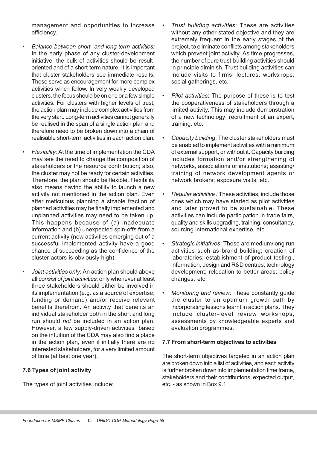management and opportunities to increase efficiency.

- Balance between short- and long-term activities: In the early phase of any cluster-development initiative, the bulk of activities should be resultoriented and of a short-term nature. It is important that cluster stakeholders see immediate results. These serve as encouragement for more complex activities which follow. In very weakly developed clusters, the focus should be on one or a few simple activities. For clusters with higher levels of trust, the action plan may include complex activities from the very start. Long-term activities cannot generally be realised in the span of a single action plan and therefore need to be broken down into a chain of realisable short-term activities in each action plan.
- Flexibility: At the time of implementation the CDA may see the need to change the composition of stakeholders or the resource contribution; also, the cluster may not be ready for certain activities. Therefore, the plan should be flexible. Flexibility also means having the ability to launch a new activity not mentioned in the action plan. Even after meticulous planning a sizable fraction of planned activities may be finally implemented and unplanned activities may need to be taken up. This happens because of (a) inadequate information and (b) unexpected spin-offs from a current activity (new activities emerging out of a successful implemented activity have a good chance of succeeding as the confidence of the cluster actors is obviously high).
- Joint activities only: An action plan should above all consist of joint activities: only whenever at least three stakeholders should either be involved in its implementation (e.g. as a source of expertise, funding or demand) and/or receive relevant benefits therefrom. An activity that benefits an individual stakeholder both in the short and long run should not be included in an action plan. However, a few supply-driven activities based on the intuition of the CDA may also find a place in the action plan, even if initially there are no interested stakeholders, for a very limited amount of time (at best one year).

## 7.6 Types of joint activity

The types of joint activities include:

- Trust building activities: These are activities without any other stated objective and they are extremely frequent in the early stages of the project, to eliminate conflicts among stakeholders which prevent joint activity. As time progresses, the number of pure trust-building activities should in principle diminish. Trust building activities can include visits to firms, lectures, workshops, social gatherings, etc.
- Pilot activities: The purpose of these is to test the cooperativeness of stakeholders through a limited activity. This may include demonstration of a new technology; recruitment of an expert, training, etc.
- Capacity building: The cluster stakeholders must be enabled to implement activities with a minimum of external support, or without it. Capacity building includes formation and/or strengthening of networks, associations or institutions; assisting/ training of network development agents or network brokers; exposure visits; etc.
- Regular activitive : These activities, include those ones which may have started as pilot activities and later proved to be sustainable. These activities can include participation in trade fairs, quality and skills upgrading, training, consultancy, sourcing international expertise, etc.
- Strategic initiatives: These are medium/long run activities such as brand building; creation of laboratories; establishment of product testing., information, design and R&D centres; technology development; relocation to better areas; policy changes, etc.
- Monitoring and review: These constantly guide the cluster to an optimum growth path by incorporating lessons learnt in action plans. They include cluster-level review workshops, assessments by knowledgeable experts and evaluation programmes.

## 7.7 From short-term objectives to activities

The short-term objectives targeted in an action plan are broken down into a list of activities, and each activity is further broken down into implementation time frame, stakeholders and their contributions, expected output, etc. - as shown in Box 9.1.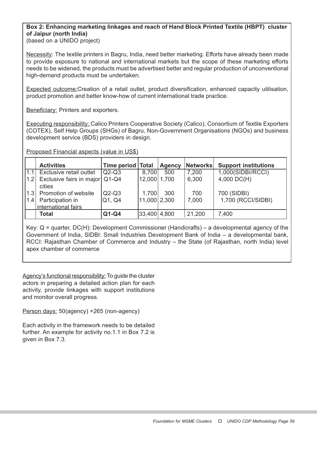# Box 2: Enhancing marketing linkages and reach of Hand Block Printed Textile (HBPT) cluster of Jaipur (north India)

(based on a UNIDO project)

Necessity: The textile printers in Bagru, India, need better marketing. Efforts have already been made to provide exposure to national and international markets but the scope of these marketing efforts needs to be widened, the products must be advertised better and regular production of unconventional high-demand products must be undertaken.

Expected outcome:Creation of a retail outlet, product diversification, enhanced capacity utilisation, product promotion and better know-how of current international trade practice.

Beneficiary: Printers and exporters.

Executing responsibility: Calico Printers Cooperative Society (Calico), Consortium of Textile Exporters (COTEX), Self Help Groups (SHGs) of Bagru, Non-Government Organisations (NGOs) and business development service (BDS) providers in design.

Proposed Financial aspects (value in US\$)

|     | <b>Activities</b>                        | Time period   Total |                | <b>Agency</b> | Networks | <b>Support institutions</b> |
|-----|------------------------------------------|---------------------|----------------|---------------|----------|-----------------------------|
| 1.1 | Exclusive retail outlet                  | $Q2-Q3$             | 8,700          | 500           | 7,200    | 1,000(SIDBI/RCCI)           |
| 1.2 | Exclusive fairs in major Q1-Q4<br>cities |                     | 12,000 1,700   |               | 6,300    | $4,000$ DC(H)               |
| 1.3 | Promotion of website                     | $Q2-Q3$             | 1,700          | 300           | 700      | 700 (SIDBI)                 |
| 1.4 | Participation in                         | Q1, Q4              | $11,000$ 2,300 |               | 7,000    | 1,700 (RCCI/SIDBI)          |
|     | international fairs                      |                     |                |               |          |                             |
|     | Total                                    | $Q1-Q4$             | 33,400 4,800   |               | 21,200   | 7,400                       |

Key: Q = quarter, DC(H): Development Commissioner (Handicrafts) – a developmental agency of the Government of India, SIDBI: Small Industries Development Bank of India – a developmental bank, RCCI: Rajasthan Chamber of Commerce and Industry – the State (of Rajasthan, north India) level apex chamber of commerce

Agency's functional responsibility: To guide the cluster actors in preparing a detailed action plan for each activity, provide linkages with support institutions and monitor overall progress.

Person days: 50(agency) +265 (non-agency)

Each activity in the framework needs to be detailed further. An example for activity no.1.1 in Box 7.2 is given in Box 7.3.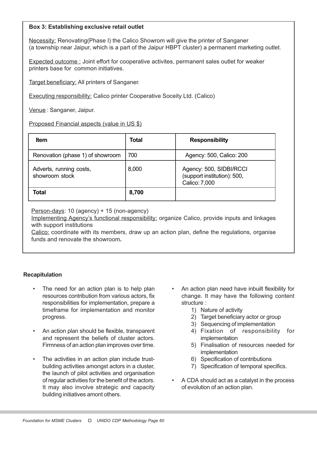## Box 3: Establishing exclusive retail outlet

Necessity: Renovating(Phase I) the Calico Showrom will give the printer of Sanganer (a township near Jaipur, which is a part of the Jaipur HBPT cluster) a permanent marketing outlet.

Expected outcome : Joint effort for cooperative activites, permanent sales outlet for weaker printers base for common initiatives.

Target beneficiary: All printers of Sanganer.

Executing responsibility: Calico printer Cooperative Soceity Ltd. (Calico)

Venue : Sanganer, Jaipur.

Proposed Financial aspects (value in US \$)

| <b>Item</b>                               | Total | <b>Responsibility</b>                                                   |
|-------------------------------------------|-------|-------------------------------------------------------------------------|
| Renovation (phase 1) of showroom          | 700   | Agency: 500, Calico: 200                                                |
| Adverts, running costs,<br>showroom stock | 8,000 | Agency: 500, SIDBI/RCCI<br>(support institution): 500,<br>Calico: 7,000 |
| Total                                     | 8,700 |                                                                         |

Person-days: 10 (agency) + 15 (non-agency)

Implementing Agency's functional responsibility: organize Calico, provide inputs and linkages with support institutions

Calico: coordinate with its members, draw up an action plan, define the regulations, organise funds and renovate the showroom.

## Recapitulation

- The need for an action plan is to help plan resources contribution from various actors, fix responsibilities for implementation, prepare a timeframe for implementation and monitor progress.
- An action plan should be flexible, transparent and represent the beliefs of cluster actors. Firmness of an action plan improves over time.
- The activities in an action plan include trustbuilding activities amongst actors in a cluster, the launch of pilot activities and organisation of regular activities for the benefit of the actors. It may also involve strategic and capacity building initiatives amont others.
- An action plan need have inbuilt flexibility for change. It may have the following content structure :
	- 1) Nature of activity
	- 2) Target beneficiary actor or group
	- 3) Sequencing of implementation
	- 4) Fixation of responsibility for implementation
	- 5) Finalisation of resources needed for implementation
	- 6) Specification of contributions
	- 7) Specification of temporal specifics.
- A CDA should act as a catalyst in the process of evolution of an action plan.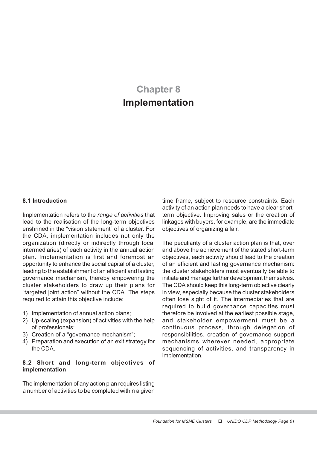# Chapter 8 Implementation

#### 8.1 Introduction

Implementation refers to the range of activities that lead to the realisation of the long-term objectives enshrined in the "vision statement" of a cluster. For the CDA, implementation includes not only the organization (directly or indirectly through local intermediaries) of each activity in the annual action plan. Implementation is first and foremost an opportunity to enhance the social capital of a cluster, leading to the establishment of an efficient and lasting governance mechanism, thereby empowering the cluster stakeholders to draw up their plans for "targeted joint action" without the CDA. The steps required to attain this objective include:

- 1) Implementation of annual action plans;
- 2) Up-scaling (expansion) of activities with the help of professionals;
- 3) Creation of a "governance mechanism";
- 4) Preparation and execution of an exit strategy for the CDA.

## 8.2 Short and long-term objectives of implementation

The implementation of any action plan requires listing a number of activities to be completed within a given

time frame, subject to resource constraints. Each activity of an action plan needs to have a clear shortterm objective. Improving sales or the creation of linkages with buyers, for example, are the immediate objectives of organizing a fair.

The peculiarity of a cluster action plan is that, over and above the achievement of the stated short-term objectives, each activity should lead to the creation of an efficient and lasting governance mechanism: the cluster stakeholders must eventually be able to initiate and manage further development themselves. The CDA should keep this long-term objective clearly in view, especially because the cluster stakeholders often lose sight of it. The intermediaries that are required to build governance capacities must therefore be involved at the earliest possible stage, and stakeholder empowerment must be a continuous process, through delegation of responsibilities, creation of governance support mechanisms wherever needed, appropriate sequencing of activities, and transparency in implementation.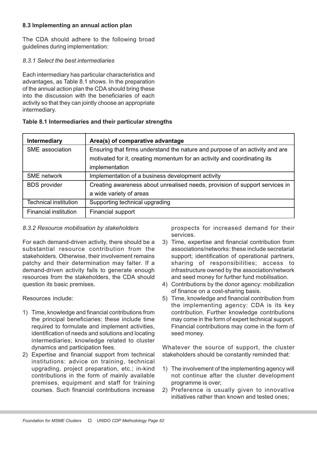# 8.3 Implementing an annual action plan

The CDA should adhere to the following broad guidelines during implementation:

## 8.3.1 Select the best intermediaries

Each intermediary has particular characteristics and advantages, as Table 8.1 shows. In the preparation of the annual action plan the CDA should bring these into the discussion with the beneficiaries of each activity so that they can jointly choose an appropriate intermediary.

# Table 8.1 Intermediaries and their particular strengths

| <b>Intermediary</b>          | Area(s) of comparative advantage                                             |
|------------------------------|------------------------------------------------------------------------------|
| SME association              | Ensuring that firms understand the nature and purpose of an activity and are |
|                              | motivated for it, creating momentum for an activity and coordinating its     |
|                              | implementation                                                               |
| <b>SME</b> network           | Implementation of a business development activity                            |
| <b>BDS</b> provider          | Creating awareness about unrealised needs, provision of support services in  |
|                              | a wide variety of areas                                                      |
| <b>Technical institution</b> | Supporting technical upgrading                                               |
| Financial institution        | Financial support                                                            |

# 8.3.2 Resource mobilisation by stakeholders

For each demand-driven activity, there should be a substantial resource contribution from the stakeholders. Otherwise, their involvement remains patchy and their determination may falter. If a demand-driven activity fails to generate enough resources from the stakeholders, the CDA should question its basic premises.

Resources include:

- 1) Time, knowledge and financial contributions from the principal beneficiaries: these include time required to formulate and implement activities, identification of needs and solutions and locating intermediaries; knowledge related to cluster dynamics and participation fees.
- 2) Expertise and financial support from technical institutions: advice on training, technical upgrading, project preparation, etc.; in-kind contributions in the form of mainly available premises, equipment and staff for training courses. Such financial contributions increase

prospects for increased demand for their services.

- 3) Time, expertise and financial contribution from associations/networks: these include secretarial support; identification of operational partners, sharing of responsibilities; access to infrastructure owned by the association/network and seed money for further fund mobilisation.
- 4) Contributions by the donor agency: mobilization of finance on a cost-sharing basis.
- 5) Time, knowledge and financial contribution from the implementing agency: CDA is its key contribution. Further knowledge contributions may come in the form of expert technical support. Financial contributions may come in the form of seed money.

Whatever the source of support, the cluster stakeholders should be constantly reminded that:

- 1) The involvement of the implementing agency will not continue after the cluster development programme is over;
- 2) Preference is usually given to innovative initiatives rather than known and tested ones;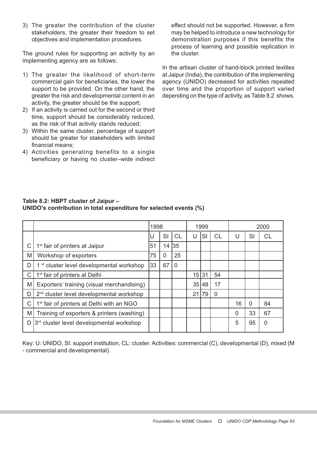3) The greater the contribution of the cluster stakeholders, the greater their freedom to set objectives and implementation procedures.

The ground rules for supporting an activity by an implementing agency are as follows:

- 1) The greater the likelihood of short-term commercial gain for beneficiaries, the lower the support to be provided. On the other hand, the greater the risk and developmental content in an activity, the greater should be the support;
- 2) If an activity is carried out for the second or third time, support should be considerably reduced, as the risk of that activity stands reduced;
- 3) Within the same cluster, percentage of support should be greater for stakeholders with limited financial means;
- 4) Activities generating benefits to a single beneficiary or having no cluster–wide indirect

effect should not be supported. However, a firm may be helped to introduce a new technology for demonstration purposes if this benefits the process of learning and possible replication in the cluster.

In the artisan cluster of hand-block printed textiles at Jaipur (India), the contribution of the implementing agency (UNIDO) decreased for activities repeated over time and the proportion of support varied depending on the type of activity, as Table 8.2 shows.

|   |                                                       | 1998 |           | 1999     |    |       | 2000      |          |          |                |
|---|-------------------------------------------------------|------|-----------|----------|----|-------|-----------|----------|----------|----------------|
|   |                                                       |      | <b>SI</b> | CL       | U  | SI    | <b>CL</b> | U        | SI       | СL             |
| С | 1 <sup>st</sup> fair of printers at Jaipur            | 51   | 14        | 35       |    |       |           |          |          |                |
| M | Workshop of exporters                                 | 75   | 0         | 25       |    |       |           |          |          |                |
| D | 1 <sup>st</sup> cluster level developmental workshop  | 33   | 67        | $\Omega$ |    |       |           |          |          |                |
| C | 1 <sup>st</sup> fair of printers at Delhi             |      |           |          | 15 | 31    | 54        |          |          |                |
| M | Exporters' training (visual merchandising)            |      |           |          |    | 35 48 | 17        |          |          |                |
| D | 2 <sup>nd</sup> cluster level developmental workshop  |      |           |          | 21 | 79    | 0         |          |          |                |
| C | 1 <sup>st</sup> fair of printers at Delhi with an NGO |      |           |          |    |       |           | 16       | $\Omega$ | 84             |
| M | Training of exporters & printers (washing)            |      |           |          |    |       |           | $\Omega$ | 33       | 67             |
| D | 3rd cluster level developmental workshop              |      |           |          |    |       |           | 5        | 95       | $\overline{0}$ |

# Table 8.2: HBPT cluster of Jaipur – UNIDO's contribution in total expenditure for selected events (%)

Key: U: UNIDO, SI: support institution, CL: cluster. Activities: commercial (C), developmental (D), mixed (M - commercial and developmental).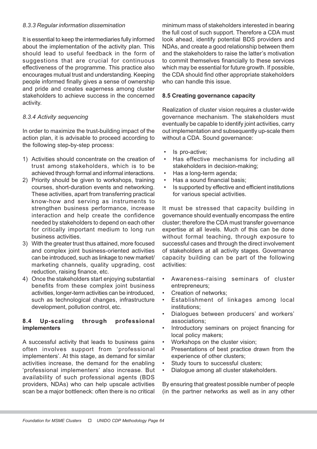## 8.3.3 Regular information dissemination

It is essential to keep the intermediaries fully informed about the implementation of the activity plan. This should lead to useful feedback in the form of suggestions that are crucial for continuous effectiveness of the programme. This practice also encourages mutual trust and understanding. Keeping people informed finally gives a sense of ownership and pride and creates eagerness among cluster stakeholders to achieve success in the concerned activity.

# 8.3.4 Activity sequencing

In order to maximize the trust-building impact of the action plan, it is advisable to proceed according to the following step-by-step process:

- 1) Activities should concentrate on the creation of trust among stakeholders, which is to be achieved through formal and informal interactions.
- 2) Priority should be given to workshops, training courses, short-duration events and networking. These activities, apart from transferring practical know-how and serving as instruments to strengthen business performance, increase interaction and help create the confidence needed by stakeholders to depend on each other for critically important medium to long run business activities.
- 3) With the greater trust thus attained, more focused and complex joint business-oriented activities can be introduced, such as linkage to new market/ marketing channels, quality upgrading, cost reduction, raising finance, etc.
- 4) Once the stakeholders start enjoying substantial benefits from these complex joint business activities, longer-term activities can be introduced, such as technological changes, infrastructure development, pollution control, etc.

# 8.4 Up-scaling through professional implementers

A successful activity that leads to business gains often involves support from 'professional implementers'. At this stage, as demand for similar activities increase, the demand for the enabling 'professional implementers' also increase. But availability of such professional agents (BDS providers, NDAs) who can help upscale activities scan be a major bottleneck: often there is no critical

minimum mass of stakeholders interested in bearing the full cost of such support. Therefore a CDA must look ahead, identify potential BDS providers and NDAs, and create a good relationship between them and the stakeholders to raise the latter's motivation to commit themselves financially to these services which may be essential for future growth. If possible, the CDA should find other appropriate stakeholders who can handle this issue.

#### 8.5 Creating governance capacity

Realization of cluster vision requires a cluster-wide governance mechanism. The stakeholders must eventually be capable to identify joint activities, carry out implementation and subsequently up-scale them without a CDA. Sound governance:

- Is pro-active;
- Has effective mechanisms for including all stakeholders in decision-making;
- Has a long-term agenda;
- Has a sound financial basis;
- Is supported by effective and efficient institutions for various special activities.

It must be stressed that capacity building in governance should eventually encompass the entire cluster; therefore the CDA must transfer governance expertise at all levels. Much of this can be done without formal teaching, through exposure to successful cases and through the direct involvement of stakeholders at all activity stages. Governance capacity building can be part of the following activities:

- Awareness-raising seminars of cluster entrepreneurs;
- Creation of networks;
- Establishment of linkages among local institutions;
- Dialogues between producers' and workers' associations;
- Introductory seminars on project financing for local policy makers;
- Workshops on the cluster vision;
- Presentations of best practice drawn from the experience of other clusters;
- Study tours to successful clusters;
- Dialogue among all cluster stakeholders.

By ensuring that greatest possible number of people (in the partner networks as well as in any other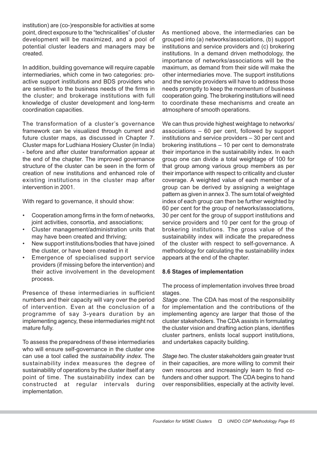institution) are (co-)responsible for activities at some point, direct exposure to the "technicalities" of cluster development will be maximized, and a pool of potential cluster leaders and managers may be created.

In addition, building governance will require capable intermediaries, which come in two categories: proactive support institutions and BDS providers who are sensitive to the business needs of the firms in the cluster; and brokerage institutions with full knowledge of cluster development and long-term coordination capacities.

The transformation of a cluster's governance framework can be visualized through current and future cluster maps, as discussed in Chapter 7. Cluster maps for Ludhiana Hosiery Cluster (in India) - before and after cluster transformation appear at the end of the chapter. The improved governance structure of the cluster can be seen in the form of creation of new institutions and enhanced role of existing institutions in the cluster map after intervention in 2001.

With regard to governance, it should show:

- Cooperation among firms in the form of networks, joint activities, consortia, and associations;
- Cluster management/administration units that may have been created and thriving;
- New support institutions/bodies that have joined the cluster, or have been created in it
- Emergence of specialised support service providers (if missing before the intervention) and their active involvement in the development process.

Presence of these intermediaries in sufficient numbers and their capacity will vary over the period of intervention. Even at the conclusion of a programme of say 3-years duration by an implementing agency, these intermediaries might not mature fully.

To assess the preparedness of these intermediaries who will ensure self-governance in the cluster one can use a tool called the sustainability index. The sustainability index measures the degree of sustainability of operations by the cluster itself at any point of time. The sustainability index can be constructed at regular intervals during implementation.

As mentioned above, the intermediaries can be grouped into (a) networks/associations, (b) support institutions and service providers and (c) brokering institutions. In a demand driven methodology, the importance of networks/associations will be the maximum, as demand from their side will make the other intermediaries move. The support institutions and the service providers will have to address those needs promptly to keep the momentum of business cooperation going. The brokering institutions will need to coordinate these mechanisms and create an atmosphere of smooth operations.

We can thus provide highest weightage to networks/ associations – 60 per cent, followed by support institutions and service providers – 30 per cent and brokering institutions – 10 per cent to demonstrate their importance in the sustainability index. In each group one can divide a total weightage of 100 for that group among various group members as per their importance with respect to criticality and cluster coverage. A weighted value of each member of a group can be derived by assigning a weightage pattern as given in annex 3. The sum total of weighted index of each group can then be further weighted by 60 per cent for the group of networks/associations, 30 per cent for the group of support institutions and service providers and 10 per cent for the group of brokering institutions. The gross value of the sustainability index will indicate the preparedness of the cluster with respect to self-governance. A methodology for calculating the sustainability index appears at the end of the chapter.

## 8.6 Stages of implementation

The process of implementation involves three broad stages.

Stage one. The CDA has most of the responsibility for implementation and the contributions of the implementing agency are larger that those of the cluster stakeholders. The CDA assists in formulating the cluster vision and drafting action plans, identifies cluster partners, enlists local support institutions, and undertakes capacity building.

Stage two. The cluster stakeholders gain greater trust in their capacities, are more willing to commit their own resources and increasingly learn to find cofunders and other support. The CDA begins to hand over responsibilities, especially at the activity level.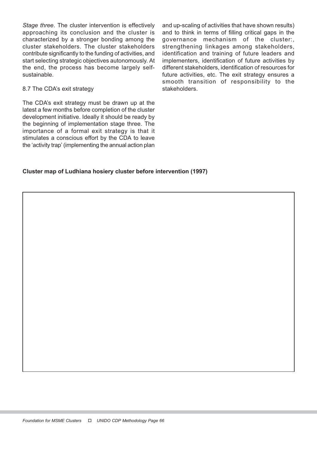Stage three. The cluster intervention is effectively approaching its conclusion and the cluster is characterized by a stronger bonding among the cluster stakeholders. The cluster stakeholders contribute significantly to the funding of activities, and start selecting strategic objectives autonomously. At the end, the process has become largely selfsustainable.

#### 8.7 The CDA's exit strategy

The CDA's exit strategy must be drawn up at the latest a few months before completion of the cluster development initiative. Ideally it should be ready by the beginning of implementation stage three. The importance of a formal exit strategy is that it stimulates a conscious effort by the CDA to leave the 'activity trap' (implementing the annual action plan

and up-scaling of activities that have shown results) and to think in terms of filling critical gaps in the governance mechanism of the cluster:, strengthening linkages among stakeholders, identification and training of future leaders and implementers, identification of future activities by different stakeholders, identification of resources for future activities, etc. The exit strategy ensures a smooth transition of responsibility to the stakeholders.

## Cluster map of Ludhiana hosiery cluster before intervention (1997)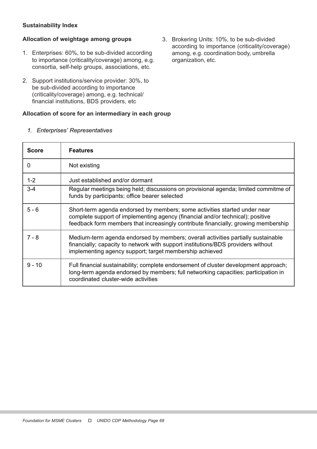# Sustainability Index

# Allocation of weightage among groups

- 1. Enterprises: 60%, to be sub-divided according to importance (criticality/coverage) among, e.g. consortia, self-help groups, associations, etc.
- 2. Support institutions/service provider: 30%, to be sub-divided according to importance (criticality/coverage) among, e.g. technical/ financial institutions, BDS providers, etc

# Allocation of score for an intermediary in each group

3. Brokering Units: 10%, to be sub-divided according to importance (criticality/coverage) among, e.g. coordination body, umbrella organization, etc.

| <b>Score</b> | <b>Features</b>                                                                                                                                                                                                                                   |
|--------------|---------------------------------------------------------------------------------------------------------------------------------------------------------------------------------------------------------------------------------------------------|
| 0            | Not existing                                                                                                                                                                                                                                      |
| $1 - 2$      | Just established and/or dormant                                                                                                                                                                                                                   |
| $3 - 4$      | Regular meetings being held; discussions on provisional agenda; limited commitme of<br>funds by participants; office bearer selected                                                                                                              |
| $5 - 6$      | Short-term agenda endorsed by members; some activities started under near<br>complete support of implementing agency (financial and/or technical); positive<br>feedback form members that increasingly contribute financially; growing membership |
| $7 - 8$      | Medium-term agenda endorsed by members; overall activities partially sustainable<br>financially; capacity to network with support institutions/BDS providers without<br>implementing agency support; target membership achieved                   |
| $9 - 10$     | Full financial sustainability; complete endorsement of cluster development approach;<br>long-term agenda endorsed by members; full networking capacities; participation in<br>coordinated cluster-wide activities                                 |

1. Enterprises' Representatives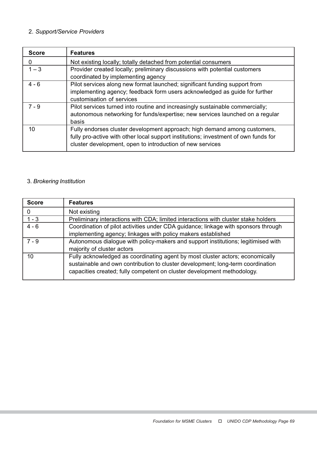# 2. Support/Service Providers

| <b>Score</b> | <b>Features</b>                                                                                                                                                                                                               |
|--------------|-------------------------------------------------------------------------------------------------------------------------------------------------------------------------------------------------------------------------------|
| 0            | Not existing locally; totally detached from potential consumers                                                                                                                                                               |
| $1 - 3$      | Provider created locally; preliminary discussions with potential customers<br>coordinated by implementing agency                                                                                                              |
| $4 - 6$      | Pilot services along new format launched; significant funding support from<br>implementing agency; feedback form users acknowledged as guide for further<br>customisation of services                                         |
| $7 - 9$      | Pilot services turned into routine and increasingly sustainable commercially;<br>autonomous networking for funds/expertise; new services launched on a regular<br>basis                                                       |
| 10           | Fully endorses cluster development approach; high demand among customers,<br>fully pro-active with other local support institutions; investment of own funds for<br>cluster development, open to introduction of new services |

# 3. Brokering Institution

| <b>Score</b> | <b>Features</b>                                                                                                                                                                                                                             |
|--------------|---------------------------------------------------------------------------------------------------------------------------------------------------------------------------------------------------------------------------------------------|
| 0            | Not existing                                                                                                                                                                                                                                |
| $1 - 3$      | Preliminary interactions with CDA; limited interactions with cluster stake holders                                                                                                                                                          |
| $4 - 6$      | Coordination of pilot activities under CDA guidance; linkage with sponsors through<br>implementing agency; linkages with policy makers established                                                                                          |
| $7 - 9$      | Autonomous dialogue with policy-makers and support institutions; legitimised with<br>majority of cluster actors                                                                                                                             |
| 10           | Fully acknowledged as coordinating agent by most cluster actors; economically<br>sustainable and own contribution to cluster development; long-term coordination<br>capacities created; fully competent on cluster development methodology. |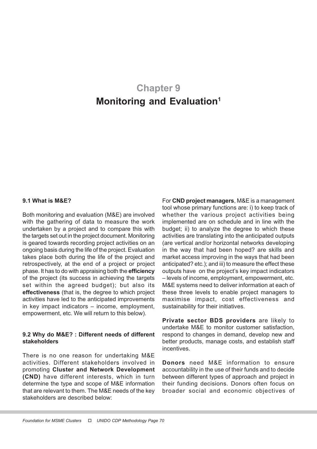# Chapter 9 Monitoring and Evaluation<sup>1</sup>

#### 9.1 What is M&E?

Both monitoring and evaluation (M&E) are involved with the gathering of data to measure the work undertaken by a project and to compare this with the targets set out in the project document. Monitoring is geared towards recording project activities on an ongoing basis during the life of the project. Evaluation takes place both during the life of the project and retrospectively, at the end of a project or project phase. It has to do with appraising both the efficiency of the project (its success in achieving the targets set within the agreed budget); but also its effectiveness (that is, the degree to which project activities have led to the anticipated improvements in key impact indicators – income, employment, empowerment, etc. We will return to this below).

#### 9.2 Why do M&E? : Different needs of different stakeholders

There is no one reason for undertaking M&E activities. Different stakeholders involved in promoting Cluster and Network Development (CND) have different interests, which in turn determine the type and scope of M&E information that are relevant to them. The M&E needs of the key stakeholders are described below:

For CND project managers, M&E is a management tool whose primary functions are: i) to keep track of whether the various project activities being implemented are on schedule and in line with the budget; ii) to analyze the degree to which these activities are translating into the anticipated outputs (are vertical and/or horizontal networks developing in the way that had been hoped? are skills and market access improving in the ways that had been anticipated? etc.); and iii) to measure the effect these outputs have on the project's key impact indicators – levels of income, employment, empowerment, etc. M&E systems need to deliver information at each of these three levels to enable project managers to maximise impact, cost effectiveness and sustainability for their initiatives.

Private sector BDS providers are likely to undertake M&E to monitor customer satisfaction, respond to changes in demand, develop new and better products, manage costs, and establish staff incentives.

Donors need M&E information to ensure accountability in the use of their funds and to decide between different types of approach and project in their funding decisions. Donors often focus on broader social and economic objectives of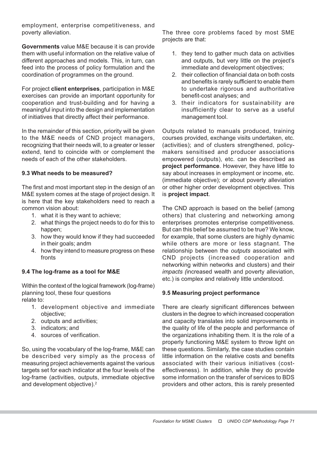employment, enterprise competitiveness, and poverty alleviation.

Governments value M&E because it is can provide them with useful information on the relative value of different approaches and models. This, in turn, can feed into the process of policy formulation and the coordination of programmes on the ground.

For project client enterprises, participation in M&E exercises can provide an important opportunity for cooperation and trust-building and for having a meaningful input into the design and implementation of initiatives that directly affect their performance.

In the remainder of this section, priority will be given to the M&E needs of CND project managers, recognizing that their needs will, to a greater or lesser extend, tend to coincide with or complement the needs of each of the other stakeholders.

## 9.3 What needs to be measured?

The first and most important step in the design of an M&E system comes at the stage of project design. It is here that the key stakeholders need to reach a common vision about:

- 1. what it is they want to achieve;
- 2. what things the project needs to do for this to happen;
- 3. how they would know if they had succeeded in their goals; andm
- 4. how they intend to measure progress on these fronts

## 9.4 The log-frame as a tool for M&E

Within the context of the logical framework (log-frame) planning tool, these four questions relate to:

- 1. development objective and immediate objective;
- 2. outputs and activities;
- 3. indicators; and
- 4. sources of verification.

So, using the vocabulary of the log-frame, M&E can be described very simply as the process of measuring project achievements against the various targets set for each indicator at the four levels of the log-frame (activities, outputs, immediate objective and development objective).<sup>2</sup>

The three core problems faced by most SME projects are that:

- 1. they tend to gather much data on activities and outputs, but very little on the project's immediate and development objectives;
- 2. their collection of financial data on both costs and benefits is rarely sufficient to enable them to undertake rigorous and authoritative benefit-cost analyses; and
- 3. their indicators for sustainability are insufficiently clear to serve as a useful management tool.

Outputs related to manuals produced, training courses provided, exchange visits undertaken, etc. (activities); and of clusters strengthened, policymakers sensitised and producer associations empowered (outputs), etc. can be described as project performance. However, they have little to say about increases in employment or income, etc. (immediate objective); or about poverty alleviation or other higher order development objectives. This is project impact.

The CND approach is based on the belief (among others) that clustering and networking among enterprises promotes enterprise competitiveness. But can this belief be assumed to be true? We know, for example, that some clusters are highly dynamic while others are more or less stagnant. The relationship between the outputs associated with CND projects (increased cooperation and networking within networks and clusters) and their impacts (increased wealth and poverty alleviation, etc.) is complex and relatively little understood.

# 9.5 Measuring project performance

There are clearly significant differences between clusters in the degree to which increased cooperation and capacity translates into solid improvements in the quality of life of the people and performance of the organizations inhabiting them. It is the role of a properly functioning M&E system to throw light on these questions. Similarly, the case studies contain little information on the relative costs and benefits associated with their various initiatives (costeffectiveness). In addition, while they do provide some information on the transfer of services to BDS providers and other actors, this is rarely presented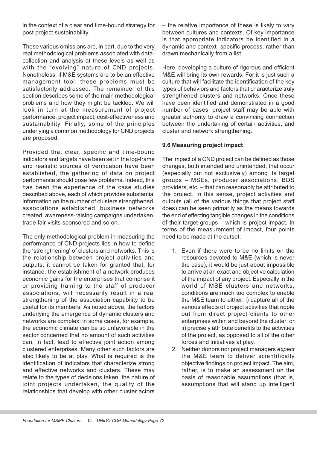in the context of a clear and time-bound strategy for post project sustainability.

These various omissions are, in part, due to the very real methodological problems associated with datacollection and analysis at these levels as well as with the "evolving" nature of CND projects. Nonetheless, if M&E systems are to be an effective management tool, these problems must be satisfactorily addressed. The remainder of this section describes some of the main methodological problems and how they might be tackled. We will look in turn at the measurement of project performance, project impact, cost-effectiveness and sustainability. Finally, some of the principles underlying a common methodology for CND projects are proposed.

Provided that clear, specific and time-bound indicators and targets have been set in the log-frame and realistic sources of verification have been established, the gathering of data on project performance should pose few problems. Indeed, this has been the experience of the case studies described above, each of which provides substantial information on the number of clusters strengthened, associations established, business networks created, awareness-raising campaigns undertaken, trade fair visits sponsored and so on.

The only methodological problem in measuring the performance of CND projects lies in how to define the 'strengthening' of clusters and networks. This is the relationship between project activities and outputs: it cannot be taken for granted that, for instance, the establishment of a network produces economic gains for the enterprises that comprise it or providing training to the staff of producer associations, will necessarily result in a real strengthening of the association capability to be useful for its members. As noted above, the factors underlying the emergence of dynamic clusters and networks are complex: in some cases, for example, the economic climate can be so unfavorable in the sector concerned that no amount of such activities can, in fact, lead to effective joint action among clustered enterprises. Many other such factors are also likely to be at play. What is required is the identification of indicators that characterize strong and effective networks and clusters. These may relate to the types of decisions taken, the nature of joint projects undertaken, the quality of the relationships that develop with other cluster actors

– the relative importance of these is likely to vary between cultures and contexts. Of key importance is that appropriate indicators be identified in a dynamic and context- specific process, rather than drawn mechanically from a list.

Here, developing a culture of rigorous and efficient M&E will bring its own rewards. For it is just such a culture that will facilitate the identification of the key types of behaviors and factors that characterize truly strengthened clusters and networks. Once these have been identified and demonstrated in a good number of cases, project staff may be able with greater authority to draw a convincing connection between the undertaking of certain activities, and cluster and network strengthening.

# 9.6 Measuring project impact

The impact of a CND project can be defined as those changes, both intended and unintended, that occur (especially but not exclusively) among its target groups – MSEs, producer associations, BDS providers, etc. – that can reasonably be attributed to the project. In this sense, project activities and outputs (all of the various things that project staff does) can be seen primarily as the means towards the end of effecting tangible changes in the conditions of their target groups – which is project impact. In terms of the measurement of impact, four points need to be made at the outset:

- 1. Even if there were to be no limits on the resources devoted to M&E (which is never the case), it would be just about impossible to arrive at an exact and objective calculation of the impact of any project. Especially in the world of MSE clusters and networks, conditions are much too complex to enable the M&E team to either: i) capture all of the various effects of project activities that ripple out from direct project clients to other enterprises within and beyond the cluster; or ii) precisely attribute benefits to the activities of the project, as opposed to all of the other forces and initiatives at play.
- 2. Neither donors nor project managers expect the M&E team to deliver scientifically objective findings on project impact. The aim, rather, is to make an assessment on the basis of reasonable assumptions (that is, assumptions that will stand up intelligent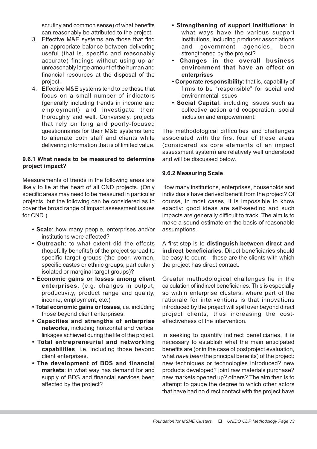scrutiny and common sense) of what benefits can reasonably be attributed to the project.

- 3. Effective M&E systems are those that find an appropriate balance between delivering useful (that is, specific and reasonably accurate) findings without using up an unreasonably large amount of the human and financial resources at the disposal of the project.
- 4. Effective M&E systems tend to be those that focus on a small number of indicators (generally including trends in income and employment) and investigate them thoroughly and well. Conversely, projects that rely on long and poorly-focused questionnaires for their M&E systems tend to alienate both staff and clients while delivering information that is of limited value.

# 9.6.1 What needs to be measured to determine project impact?

Measurements of trends in the following areas are likely to lie at the heart of all CND projects. (Only specific areas may need to be measured in particular projects, but the following can be considered as to cover the broad range of impact assessment issues for CND.)

- Scale: how many people, enterprises and/or institutions were affected?
- Outreach: to what extent did the effects (hopefully benefits!) of the project spread to specific target groups (the poor, women, specific castes or ethnic groups, particularly isolated or marginal target groups)?
- Economic gains or losses among client enterprises, (e.g. changes in output, productivity, product range and quality, income, employment, etc.)
- Total economic gains or losses, i.e. including those beyond client enterprises.
- Capacities and strengths of enterprise networks, including horizontal and vertical linkages achieved during the life of the project.
- Total entrepreneurial and networking capabilities, i.e. including those beyond client enterprises.
- The development of BDS and financial markets: in what way has demand for and supply of BDS and financial services been affected by the project?
- Strengthening of support institutions: in what ways have the various support institutions, including producer associations and government agencies, been strengthened by the project?
- Changes in the overall business environment that have an effect on **enterprises**
- Corporate responsibility: that is, capability of firms to be "responsible" for social and environmental issues
- Social Capital: including issues such as collective action and cooperation, social inclusion and empowerment.

The methodological difficulties and challenges associated with the first four of these areas (considered as core elements of an impact assessment system) are relatively well understood and will be discussed below.

# 9.6.2 Measuring Scale

How many institutions, enterprises, households and individuals have derived benefit from the project? Of course, in most cases, it is impossible to know exactly: good ideas are self-seeding and such impacts are generally difficult to track. The aim is to make a sound estimate on the basis of reasonable assumptions.

A first step is to distinguish between direct and indirect beneficiaries. Direct beneficiaries should be easy to count – these are the clients with which the project has direct contact.

Greater methodological challenges lie in the calculation of indirect beneficiaries. This is especially so within enterprise clusters, where part of the rationale for interventions is that innovations introduced by the project will spill over beyond direct project clients, thus increasing the costeffectiveness of the intervention.

In seeking to quantify indirect beneficiaries, it is necessary to establish what the main anticipated benefits are (or in the case of postproject evaluation, what have been the principal benefits) of the project: new techniques or technologies introduced? new products developed? joint raw materials purchase? new markets opened up? others? The aim then is to attempt to gauge the degree to which other actors that have had no direct contact with the project have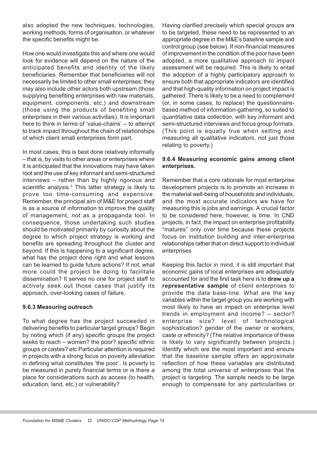also adopted the new techniques, technologies, working methods, forms of organisation, or whatever the specific benefits might be.

How one would investigate this and where one would look for evidence will depend on the nature of the anticipated benefits and identity of the likely beneficiaries. Remember that beneficiaries will not necessarily be limited to other small enterprises: they may also include other actors both upstream (those supplying benefiting enterprises with raw materials, equipment, components, etc.) and downstream (those using the products of benefiting small enterprises in their various activities). It is important here to think in terms of 'value-chains' – to attempt to track impact throughout the chain of relationships of which client small enterprises form part.

In most cases, this is best done relatively informally – that is, by visits to other areas or enterprises where it is anticipated that the innovations may have taken root and the use of key informant and semi-structured interviews – rather than by highly rigorous and scientific analysis.<sup>3</sup> This latter strategy is likely to prove too time-consuming and expensive. Remember, the principal aim of M&E for project staff is as a source of information to improve the quality of management, not as a propaganda tool. In consequence, those undertaking such studies should be motivated primarily by curiosity about the degree to which project strategy is working and benefits are spreading throughout the cluster and beyond. If this is happening to a significant degree, what has the project done right and what lessons can be learned to guide future actions? If not, what more could the project be doing to facilitate dissemination? It serves no one for project staff to actively seek out those cases that justify its approach, over-looking cases of failure.

# 9.6.3 Measuring outreach

To what degree has the project succeeded in delivering benefits to particular target groups? Begin by noting which (if any) specific groups the project seeks to reach – women? the poor? specific ethnic groups or castes? etc Particular attention is required in projects with a strong focus on poverty alleviation in defining what constitutes 'the poor'. Is poverty to be measured in purely financial terms or is there a place for considerations such as access (to health, education, land, etc.) or vulnerability?

Having clarified precisely which special groups are to be targeted, these need to be represented to an appropriate degree in the M&E's baseline sample and control group (see below). If non-financial measures of improvement in the condition of the poor have been adopted, a more qualitative approach to impact assessment will be required. This is likely to entail the adoption of a highly participatory approach to ensure both that appropriate indicators are identified and that high-quality information on project impact is gathered. There is likely to be a need to complement (or, in some cases, to replace) the questionnairebased method of information-gathering, so suited to quantitative data collection, with key informant and semi-structured interviews and focus group formats. (This point is equally true when setting and measuring all qualitative indicators, not just those relating to poverty.)

## 9.6.4 Measuring economic gains among client enterprises.

Remember that a core rationale for most enterprise development projects is to promote an increase in the material well-being of households and individuals, and the most accurate indicators we have for measuring this is jobs and earnings. A crucial factor to be considered here, however, is time. In CND projects, in fact, the impact on enterprise profitability "matures" only over time because these projects focus on institution building and inter-enterprise relationships rather that on direct support to individual enterprises

Keeping this factor in mind, it is still important that economic gains of local enterprises are adequately accounted for and the first task here is to draw up a representative sample of client enterprises to provide the data base-line. What are the key variables within the target group you are working with most likely to have an impact on enterprise level trends in employment and income? – sector? enterprise size? level of technological sophistication? gender of the owner or workers; caste or ethnicity? (The relative importance of these is likely to vary significantly between projects.) Identify which are the most important and ensure that the baseline sample offers an approximate reflection of how these variables are distributed among the total universe of enterprises that the project is targeting. The sample needs to be large enough to compensate for any particularities or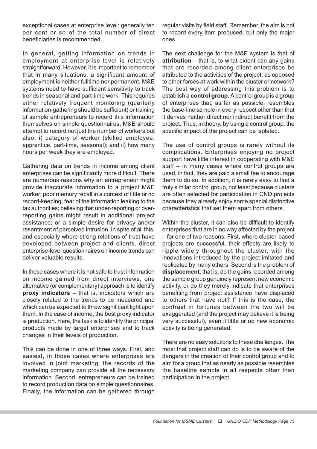exceptional cases at enterprise level: generally ten per cent or so of the total number of direct beneficiaries is recommended.

In general, getting information on trends in employment at enterprise-level is relatively straightforward. However, it is important to remember that in many situations, a significant amount of employment is neither fulltime nor permanent. M&E systems need to have sufficient sensitivity to track trends in seasonal and part-time work. This requires either relatively frequent monitoring (quarterly information-gathering should be sufficient) or training of sample entrepreneurs to record this information themselves on simple questionnaires. M&E should attempt to record not just the number of workers but also: i) category of worker (skilled employee, apprentice, part-time, seasonal); and ii) how many hours per week they are employed.

Gathering data on trends in income among client enterprises can be significantly more difficult. There are numerous reasons why an entrepreneur might provide inaccurate information to a project M&E worker: poor memory recall in a context of little or no record-keeping, fear of the information leaking to the tax authorities; believing that under-reporting or overreporting gains might result in additional project assistance; or a simple desire for privacy and/or resentment of perceived intrusion. In spite of all this, and especially where strong relations of trust have developed between project and clients, direct enterprise-level questionnaires on income trends can deliver valuable results.

In those cases where it is not safe to trust information on income gained from direct interviews, one alternative (or complementary) approach is to identify proxy indicators – that is, indicators which are closely related to the trends to be measured and which can be expected to throw significant light upon them. In the case of income, the best proxy indicator is production. Here, the task is to identify the principal products made by target enterprises and to track changes in their levels of production.

This can be done in one of three ways. First, and easiest, in those cases where enterprises are involved in joint marketing, the records of the marketing company can provide all the necessary information. Second, entrepreneurs can be trained to record production data on simple questionnaires. Finally, the information can be gathered through

regular visits by field staff. Remember, the aim is not to record every item produced, but only the major ones.

The next challenge for the M&E system is that of  $\text{attribution} - \text{that}$  is, to what extent can any gains that are recorded among client enterprises be attributed to the activities of the project, as opposed to other forces at work within the cluster or network? The best way of addressing this problem is to establish a **control group**. A control group is a group of enterprises that, as far as possible, resembles the base-line sample in every respect other than that it derives neither direct nor indirect benefit from the project. Thus, in theory, by using a control group, the specific impact of the project can be isolated.

The use of control groups is rarely without its complications. Enterprises enjoying no project support have little interest in cooperating with M&E staff – in many cases where control groups are used, in fact, they are paid a small fee to encourage them to do so. In addition, it is rarely easy to find a truly similar control group, not least because clusters are often selected for participation in CND projects because they already enjoy some special distinctive characteristics that set them apart from others.

Within the cluster, it can also be difficult to identify enterprises that are in no way affected by the project – for one of two reasons. First, where cluster-based projects are successful, their effects are likely to ripple widely throughout the cluster, with the innovations introduced by the project imitated and replicated by many others. Second is the problem of displacement; that is, do the gains recorded among the sample group genuinely represent new economic activity, or do they merely indicate that enterprises benefiting from project assistance have displaced to others that have not? If this is the case, the contrast in fortunes between the two will be exaggerated (and the project may believe it is being very successful), even if little or no new economic activity is being generated.

There are no easy solutions to these challenges. The most that project staff can do is to be aware of the dangers in the creation of their control group and to aim for a group that as nearly as possible resembles the baseline sample in all respects other than participation in the project.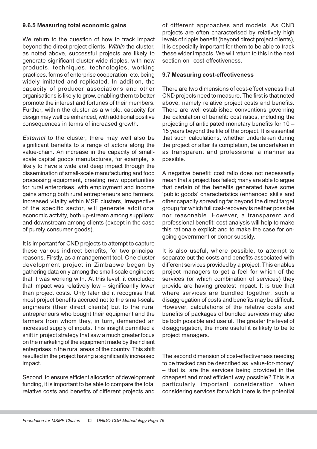#### 9.6.5 Measuring total economic gains

We return to the question of how to track impact beyond the direct project clients. Within the cluster, as noted above, successful projects are likely to generate significant cluster-wide ripples, with new products, techniques, technologies, working practices, forms of enterprise cooperation, etc. being widely imitated and replicated. In addition, the capacity of producer associations and other organisations is likely to grow, enabling them to better promote the interest and fortunes of their members. Further, within the cluster as a whole, capacity for design may well be enhanced, with additional positive consequences in terms of increased growth.

External to the cluster, there may well also be significant benefits to a range of actors along the value-chain. An increase in the capacity of smallscale capital goods manufactures, for example, is likely to have a wide and deep impact through the dissemination of small-scale manufacturing and food processing equipment, creating new opportunities for rural enterprises, with employment and income gains among both rural entrepreneurs and farmers. Increased vitality within MSE clusters, irrespective of the specific sector, will generate additional economic activity, both up-stream among suppliers; and downstream among clients (except in the case of purely consumer goods).

It is important for CND projects to attempt to capture these various indirect benefits, for two principal reasons. Firstly, as a management tool. One cluster development project in Zimbabwe began by gathering data only among the small-scale engineers that it was working with. At this level, it concluded that impact was relatively low – significantly lower than project costs. Only later did it recognise that most project benefits accrued not to the small-scale engineers (their direct clients) but to the rural entrepreneurs who bought their equipment and the farmers from whom they, in turn, demanded an increased supply of inputs. This insight permitted a shift in project strategy that saw a much greater focus on the marketing of the equipment made by their client enterprises in the rural areas of the country. This shift resulted in the project having a significantly increased impact.

Second, to ensure efficient allocation of development funding, it is important to be able to compare the total relative costs and benefits of different projects and

of different approaches and models. As CND projects are often characterised by relatively high levels of ripple benefit (beyond direct project clients), it is especially important for them to be able to track these wider impacts. We will return to this in the next section on cost-effectiveness.

#### 9.7 Measuring cost-effectiveness

There are two dimensions of cost-effectiveness that CND projects need to measure. The first is that noted above, namely relative project costs and benefits. There are well established conventions governing the calculation of benefit: cost ratios, including the projecting of anticipated monetary benefits for 10 – 15 years beyond the life of the project. It is essential that such calculations, whether undertaken during the project or after its completion, be undertaken in as transparent and professional a manner as possible.

A negative benefit: cost ratio does not necessarily mean that a project has failed; many are able to argue that certain of the benefits generated have some 'public goods' characteristics (enhanced skills and other capacity spreading far beyond the direct target group) for which full cost-recovery is neither possible nor reasonable. However, a transparent and professional benefit: cost analysis will help to make this rationale explicit and to make the case for ongoing government or donor subsidy.

It is also useful, where possible, to attempt to separate out the costs and benefits associated with different services provided by a project. This enables project managers to get a feel for which of the services (or which combination of services) they provide are having greatest impact. It is true that where services are bundled together, such a disaggregation of costs and benefits may be difficult. However, calculations of the relative costs and benefits of packages of bundled services may also be both possible and useful. The greater the level of disaggregation, the more useful it is likely to be to project managers.

The second dimension of cost-effectiveness needing to be tracked can be described as 'value-for-money' – that is, are the services being provided in the cheapest and most efficient way possible? This is a particularly important consideration when considering services for which there is the potential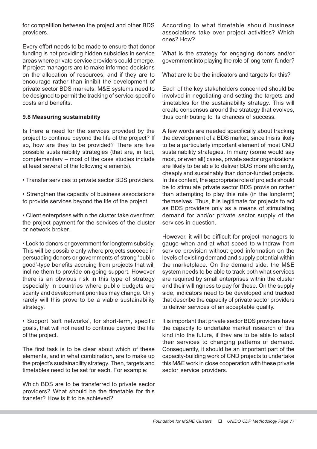for competition between the project and other BDS providers.

Every effort needs to be made to ensure that donor funding is not providing hidden subsidies in service areas where private service providers could emerge. If project managers are to make informed decisions on the allocation of resources; and if they are to encourage rather than inhibit the development of private sector BDS markets, M&E systems need to be designed to permit the tracking of service-specific costs and benefits.

#### 9.8 Measuring sustainability

Is there a need for the services provided by the project to continue beyond the life of the project? If so, how are they to be provided? There are five possible sustainability strategies (that are, in fact, complementary – most of the case studies include at least several of the following elements).

• Transfer services to private sector BDS providers.

• Strengthen the capacity of business associations to provide services beyond the life of the project.

• Client enterprises within the cluster take over from the project payment for the services of the cluster or network broker.

• Look to donors or government for longterm subsidy. This will be possible only where projects succeed in persuading donors or governments of strong 'public good'-type benefits accruing from projects that will incline them to provide on-going support. However there is an obvious risk in this type of strategy especially in countries where public budgets are scanty and development priorities may change. Only rarely will this prove to be a viable sustainability strategy.

• Support 'soft networks', for short-term, specific goals, that will not need to continue beyond the life of the project.

The first task is to be clear about which of these elements, and in what combination, are to make up the project's sustainability strategy. Then, targets and timetables need to be set for each. For example:

Which BDS are to be transferred to private sector providers? What should be the timetable for this transfer? How is it to be achieved?

According to what timetable should business associations take over project activities? Which ones? How?

What is the strategy for engaging donors and/or government into playing the role of long-term funder?

What are to be the indicators and targets for this?

Each of the key stakeholders concerned should be involved in negotiating and setting the targets and timetables for the sustainability strategy. This will create consensus around the strategy that evolves, thus contributing to its chances of success.

A few words are needed specifically about tracking the development of a BDS market, since this is likely to be a particularly important element of most CND sustainability strategies. In many (some would say most, or even all) cases, private sector organizations are likely to be able to deliver BDS more efficiently, cheaply and sustainably than donor-funded projects. In this context, the appropriate role of projects should be to stimulate private sector BDS provision rather than attempting to play this role (in the longterm) themselves. Thus, it is legitimate for projects to act as BDS providers only as a means of stimulating demand for and/or private sector supply of the services in question.

However, it will be difficult for project managers to gauge when and at what speed to withdraw from service provision without good information on the levels of existing demand and supply potential within the marketplace. On the demand side, the M&E system needs to be able to track both what services are required by small enterprises within the cluster and their willingness to pay for these. On the supply side, indicators need to be developed and tracked that describe the capacity of private sector providers to deliver services of an acceptable quality.

It is important that private sector BDS providers have the capacity to undertake market research of this kind into the future, if they are to be able to adapt their services to changing patterns of demand. Consequently, it should be an important part of the capacity-building work of CND projects to undertake this M&E work in close cooperation with these private sector service providers.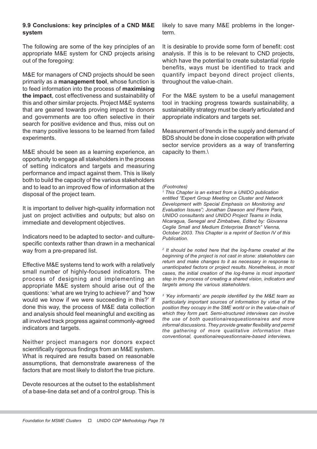## 9.9 Conclusions: key principles of a CND M&E system

The following are some of the key principles of an appropriate M&E system for CND projects arising out of the foregoing:

M&E for managers of CND projects should be seen primarily as a management tool, whose function is to feed information into the process of maximising the impact, cost effectiveness and sustainability of this and other similar projects. Project M&E systems that are geared towards proving impact to donors and governments are too often selective in their search for positive evidence and thus, miss out on the many positive lessons to be learned from failed experiments.

M&E should be seen as a learning experience, an opportunity to engage all stakeholders in the process of setting indicators and targets and measuring performance and impact against them. This is likely both to build the capacity of the various stakeholders and to lead to an improved flow of information at the disposal of the project team.

It is important to deliver high-quality information not just on project activities and outputs; but also on immediate and development objectives.

Indicators need to be adapted to sector- and culturespecific contexts rather than drawn in a mechanical way from a pre-prepared list.

Effective M&E systems tend to work with a relatively small number of highly-focused indicators. The process of designing and implementing an appropriate M&E system should arise out of the questions: 'what are we trying to achieve?' and 'how would we know if we were succeeding in this?' If done this way, the process of M&E data collection and analysis should feel meaningful and exciting as all involved track progress against commonly-agreed indicators and targets.

Neither project managers nor donors expect scientifically rigorous findings from an M&E system. What is required are results based on reasonable assumptions, that demonstrate awareness of the factors that are most likely to distort the true picture.

Devote resources at the outset to the establishment of a base-line data set and of a control group. This is

likely to save many M&E problems in the longerterm.

It is desirable to provide some form of benefit: cost analysis. If this is to be relevant to CND projects, which have the potential to create substantial ripple benefits, ways must be identified to track and quantify impact beyond direct project clients, throughout the value-chain.

For the M&E system to be a useful management tool in tracking progress towards sustainability, a sustainability strategy must be clearly articulated and appropriate indicators and targets set.

Measurement of trends in the supply and demand of BDS should be done in close cooperation with private sector service providers as a way of transferring capacity to them.\

#### (Footnotes)

1 This Chapter is an extract from a UNIDO publication entitled "Expert Group Meeting on Cluster and Network Development with Special Emphasis on Monitoring and Evaluation Issues"; Jonathan Dawson and Pierre Paris, UNIDO consultants and UNIDO Project Teams in India, Nicaragua, Senegal and Zimbabwe, Edited by: Giovanna Ceglie Small and Medium Enterprise Branch" Vienna, October 2003. This Chapter is a reprint of Section IV of this Publication.

<sup>2</sup> It should be noted here that the log-frame created at the beginning of the project is not cast in stone: stakeholders can return and make changes to it as necessary in response to unanticipated factors or project results. Nonetheless, in most cases, the initial creation of the log-frame is most important step in the process of creating a shared vision, indicators and targets among the various stakeholders.

3 'Key informants' are people identified by the M&E team as particularly important sources of information by virtue of the position they occupy in the SME world or in the value-chain of which they form part. Semi-structured interviews can involve the use of both questionairesquestionnaires and more informal discussions. They provide greater flexibility and permit the gathering of more qualitative information than conventional, questionairequestionnaire-based interviews.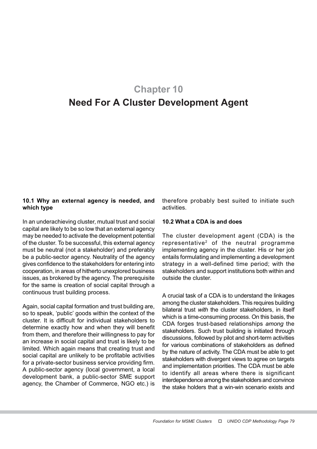# Chapter 10 Need For A Cluster Development Agent

# 10.1 Why an external agency is needed, and which type

In an underachieving cluster, mutual trust and social capital are likely to be so low that an external agency may be needed to activate the development potential of the cluster. To be successful, this external agency must be neutral (not a stakeholder) and preferably be a public-sector agency. Neutrality of the agency gives confidence to the stakeholders for entering into cooperation, in areas of hitherto unexplored business issues, as brokered by the agency. The prerequisite for the same is creation of social capital through a continuous trust building process.

Again, social capital formation and trust building are, so to speak, 'public' goods within the context of the cluster. It is difficult for individual stakeholders to determine exactly how and when they will benefit from them, and therefore their willingness to pay for an increase in social capital and trust is likely to be limited. Which again means that creating trust and social capital are unlikely to be profitable activities for a private-sector business service providing firm. A public-sector agency (local government, a local development bank, a public-sector SME support agency, the Chamber of Commerce, NGO etc.) is

therefore probably best suited to initiate such activities.

## 10.2 What a CDA is and does

The cluster development agent (CDA) is the representative2 of the neutral programme implementing agency in the cluster. His or her job entails formulating and implementing a development strategy in a well-defined time period; with the stakeholders and support institutions both within and outside the cluster.

A crucial task of a CDA is to understand the linkages among the cluster stakeholders. This requires building bilateral trust with the cluster stakeholders, in itself which is a time-consuming process. On this basis, the CDA forges trust-based relationships among the stakeholders. Such trust building is initiated through discussions, followed by pilot and short-term activities for various combinations of stakeholders as defined by the nature of activity. The CDA must be able to get stakeholders with divergent views to agree on targets and implementation priorities. The CDA must be able to identify all areas where there is significant interdependence among the stakeholders and convince the stake holders that a win-win scenario exists and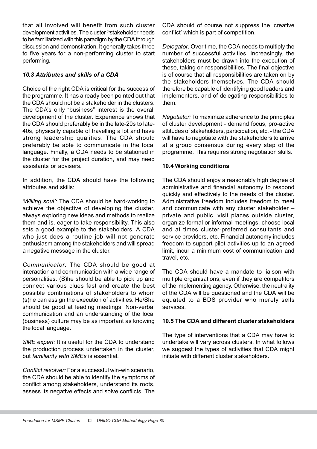that all involved will benefit from such cluster development activities. The cluster <sup>34</sup>stakeholder needs to be familiarized with this paradigm by the CDA through discussion and demonstration. It generally takes three to five years for a non-performing cluster to start performing.

# 10.3 Attributes and skills of a CDA

Choice of the right CDA is critical for the success of the programme. It has already been pointed out that the CDA should not be a stakeholder in the clusters. The CDA's only "business" interest is the overall development of the cluster. Experience shows that the CDA should preferably be in the late-20s to late-40s, physically capable of travelling a lot and have strong leadership qualities. The CDA should preferably be able to communicate in the local language. Finally, a CDA needs to be stationed in the cluster for the project duration, and may need assistants or advisers.

In addition, the CDA should have the following attributes and skills:

'Willing soul': The CDA should be hard-working to achieve the objective of developing the cluster, always exploring new ideas and methods to realize them and is, eager to take responsibility. This also sets a good example to the stakeholders. A CDA who just does a routine job will not generate enthusiasm among the stakeholders and will spread a negative message in the cluster.

Communicator: The CDA should be good at interaction and communication with a wide range of personalities. (S)he should be able to pick up and connect various clues fast and create the best possible combinations of stakeholders to whom (s)he can assign the execution of activities. He/She should be good at leading meetings. Non-verbal communication and an understanding of the local (business) culture may be as important as knowing the local language.

SME expert: It is useful for the CDA to understand the production process undertaken in the cluster, but familiarity with SMEs is essential.

Conflict resolver: For a successful win-win scenario, the CDA should be able to identify the symptoms of conflict among stakeholders, understand its roots, assess its negative effects and solve conflicts. The

CDA should of course not suppress the 'creative conflict' which is part of competition.

Delegator: Over time, the CDA needs to multiply the number of successful activities. Increasingly, the stakeholders must be drawn into the execution of these, taking on responsibilities. The final objective is of course that all responsibilities are taken on by the stakeholders themselves. The CDA should therefore be capable of identifying good leaders and implementers, and of delegating responsibilities to them.

Negotiator: To maximize adherence to the principles of cluster development - demand focus, pro-active attitudes of stakeholders, participation, etc. - the CDA will have to negotiate with the stakeholders to arrive at a group consensus during every step of the programme. This requires strong negotiation skills.

# 10.4 Working conditions

The CDA should enjoy a reasonably high degree of administrative and financial autonomy to respond quickly and effectively to the needs of the cluster. Administrative freedom includes freedom to meet and communicate with any cluster stakeholder – private and public, visit places outside cluster, organize formal or informal meetings, choose local and at times cluster-preferred consultants and service providers, etc. Financial autonomy includes freedom to support pilot activities up to an agreed limit, incur a minimum cost of communication and travel, etc.

The CDA should have a mandate to liaison with multiple organisations, even if they are competitors of the implementing agency. Otherwise, the neutrality of the CDA will be questioned and the CDA will be equated to a BDS provider who merely sells services.

#### 10.5 The CDA and different cluster stakeholders

The type of interventions that a CDA may have to undertake will vary across clusters. In what follows we suggest the types of activities that CDA might initiate with different cluster stakeholders.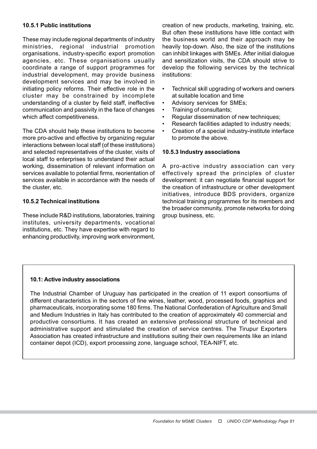## 10.5.1 Public institutions

These may include regional departments of industry ministries, regional industrial promotion organisations, industry-specific export promotion agencies, etc. These organisations usually coordinate a range of support programmes for industrial development, may provide business development services and may be involved in initiating policy reforms. Their effective role in the cluster may be constrained by incomplete understanding of a cluster by field staff, ineffective communication and passivity in the face of changes which affect competitiveness.

The CDA should help these institutions to become more pro-active and effective by organizing regular interactions between local staff (of these institutions) and selected representatives of the cluster, visits of local staff to enterprises to understand their actual working, dissemination of relevant information on services available to potential firms, reorientation of services available in accordance with the needs of the cluster, etc.

# 10.5.2 Technical institutions

These include R&D institutions, laboratories, training institutes, university departments, vocational institutions, etc. They have expertise with regard to enhancing productivity, improving work environment,

creation of new products, marketing, training, etc. But often these institutions have little contact with the business world and their approach may be heavily top-down. Also, the size of the institutions can inhibit linkages with SMEs. After initial dialogue and sensitization visits, the CDA should strive to develop the following services by the technical institutions:

- Technical skill upgrading of workers and owners at suitable location and time
- Advisory services for SMEs;
- Training of consultants;
- Regular dissemination of new techniques:
- Research facilities adapted to industry needs;
- Creation of a special industry-institute interface to promote the above.

#### 10.5.3 Industry associations

A pro-active industry association can very effectively spread the principles of cluster development: it can negotiate financial support for the creation of infrastructure or other development initiatives, introduce BDS providers, organize technical training programmes for its members and the broader community, promote networks for doing group business, etc.

#### 10.1: Active industry associations

The Industrial Chamber of Uruguay has participated in the creation of 11 export consortiums of different characteristics in the sectors of fine wines, leather, wood, processed foods, graphics and pharmaceuticals, incorporating some 180 firms. The National Confederation of Agriculture and Small and Medium Industries in Italy has contributed to the creation of approximately 40 commercial and productive consortiums. It has created an extensive professional structure of technical and administrative support and stimulated the creation of service centres. The Tirupur Exporters Association has created infrastructure and institutions suiting their own requirements like an inland container depot (ICD), export processing zone, language school, TEA-NIFT, etc.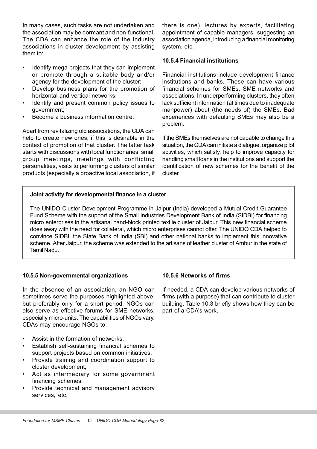In many cases, such tasks are not undertaken and the association may be dormant and non-functional. The CDA can enhance the role of the industry associations in cluster development by assisting them to:

- Identify mega projects that they can implement or promote through a suitable body and/or agency for the development of the cluster;
- Develop business plans for the promotion of horizontal and vertical networks;
- Identify and present common policy issues to government;
- Become a business information centre.

Apart from revitalizing old associations, the CDA can help to create new ones, if this is desirable in the context of promotion of that cluster. The latter task starts with discussions with local functionaries, small group meetings, meetings with conflicting personalities, visits to performing clusters of similar products (especially a proactive local association, if there is one), lectures by experts, facilitating appointment of capable managers, suggesting an association agenda, introducing a financial monitoring system, etc.

#### 10.5.4 Financial institutions

Financial institutions include development finance institutions and banks. These can have various financial schemes for SMEs, SME networks and associations. In underperforming clusters, they often lack sufficient information (at times due to inadequate manpower) about (the needs of) the SMEs. Bad experiences with defaulting SMEs may also be a problem.

If the SMEs themselves are not capable to change this situation, the CDA can initiate a dialogue, organize pilot activities, which satisfy, help to improve capacity for handling small loans in the institutions and support the identification of new schemes for the benefit of the cluster.

#### Joint activity for developmental finance in a cluster

The UNIDO Cluster Development Programme in Jaipur (India) developed a Mutual Credit Guarantee Fund Scheme with the support of the Small Industries Development Bank of India (SIDBI) for financing micro enterprises in the artisanal hand-block printed textile cluster of Jaipur. This new financial scheme does away with the need for collateral, which micro enterprises cannot offer. The UNIDO CDA helped to convince SIDBI, the State Bank of India (SBI) and other national banks to implement this innovative scheme. After Jaipur, the scheme was extended to the artisans of leather cluster of Ambur in the state of Tamil Nadu.

#### 10.5.5 Non-governmental organizations

In the absence of an association, an NGO can sometimes serve the purposes highlighted above, but preferably only for a short period. NGOs can also serve as effective forums for SME networks, especially micro-units. The capabilities of NGOs vary. CDAs may encourage NGOs to:

- Assist in the formation of networks;
- Establish self-sustaining financial schemes to support projects based on common initiatives;
- Provide training and coordination support to cluster development;
- Act as intermediary for some government financing schemes;
- Provide technical and management advisory services, etc.

#### 10.5.6 Networks of firms

If needed, a CDA can develop various networks of firms (with a purpose) that can contribute to cluster building. Table 10.3 briefly shows how they can be part of a CDA's work.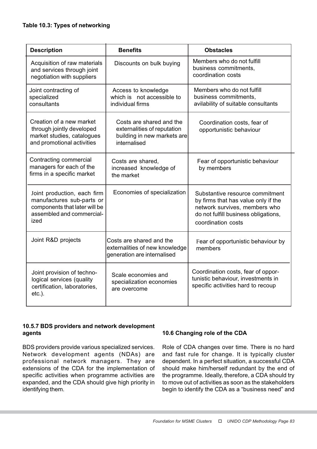| <b>Description</b>                                                                                                             | <b>Benefits</b>                                                                                        | <b>Obstacles</b>                                                                                                                                                      |
|--------------------------------------------------------------------------------------------------------------------------------|--------------------------------------------------------------------------------------------------------|-----------------------------------------------------------------------------------------------------------------------------------------------------------------------|
| Acquisition of raw materials<br>and services through joint<br>negotiation with suppliers                                       | Discounts on bulk buying                                                                               | Members who do not fulfill<br>business commitments,<br>coordination costs                                                                                             |
| Joint contracting of<br>specialized<br>consultants                                                                             | Access to knowledge<br>which is not accessible to<br>individual firms                                  | Members who do not fulfill<br>business commitments.<br>avilability of suitable consultants                                                                            |
| Creation of a new market<br>through jointly developed<br>market studies, catalogues<br>and promotional activities              | Costs are shared and the<br>externalities of reputation<br>building in new markets are<br>internalised | Coordination costs, fear of<br>opportunistic behaviour                                                                                                                |
| Contracting commercial<br>managers for each of the<br>firms in a specific market                                               | Costs are shared,<br>increased knowledge of<br>the market                                              | Fear of opportunistic behaviour<br>by members                                                                                                                         |
| Joint production, each firm<br>manufactures sub-parts or<br>components that later will be<br>assembled and commercial-<br>ized | Economies of specialization                                                                            | Substantive resource commitment<br>by firms that has value only if the<br>network survives, members who<br>do not fulfill business obligations,<br>coordination costs |
| Joint R&D projects                                                                                                             | Costs are shared and the<br>externalities of new knowledge<br>generation are internalised              | Fear of opportunistic behaviour by<br>members                                                                                                                         |
| Joint provision of techno-<br>logical services (quality<br>certification, laboratories,<br>$etc.$ ).                           | Scale economies and<br>specialization economies<br>are overcome                                        | Coordination costs, fear of oppor-<br>tunistic behaviour, investments in<br>specific activities hard to recoup                                                        |

# 10.5.7 BDS providers and network development agents

BDS providers provide various specialized services. Network development agents (NDAs) are professional network managers. They are extensions of the CDA for the implementation of specific activities when programme activities are expanded, and the CDA should give high priority in identifying them.

# 10.6 Changing role of the CDA

Role of CDA changes over time. There is no hard and fast rule for change. It is typically cluster dependent. In a perfect situation, a successful CDA should make him/herself redundant by the end of the programme. Ideally, therefore, a CDA should try to move out of activities as soon as the stakeholders begin to identify the CDA as a "business need" and